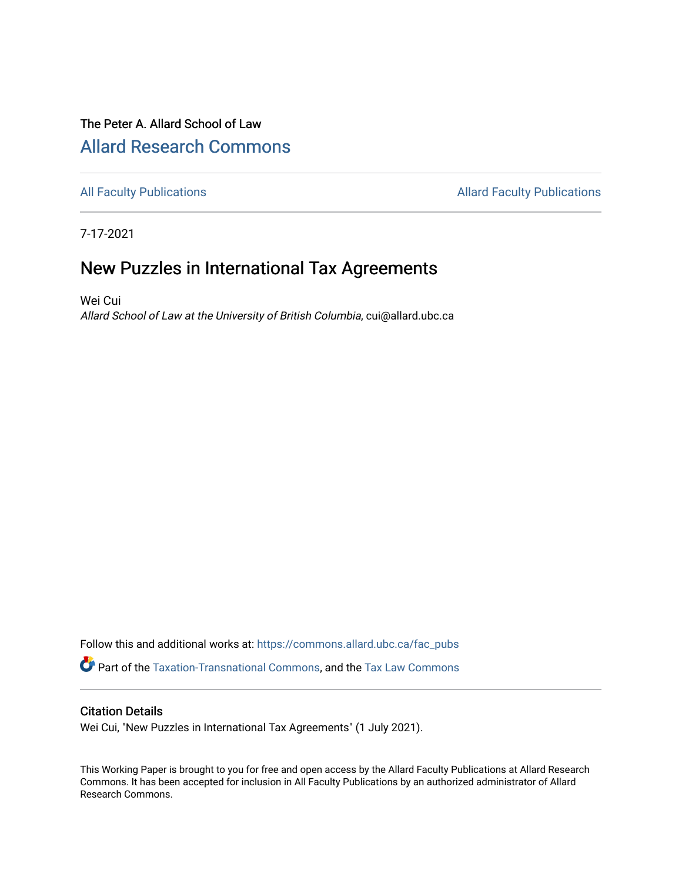# The Peter A. Allard School of Law [Allard Research Commons](https://commons.allard.ubc.ca/)

[All Faculty Publications](https://commons.allard.ubc.ca/fac_pubs) **Allard Faculty Publications Allard Faculty Publications** 

7-17-2021

# New Puzzles in International Tax Agreements

Wei Cui Allard School of Law at the University of British Columbia, cui@allard.ubc.ca

Follow this and additional works at: [https://commons.allard.ubc.ca/fac\\_pubs](https://commons.allard.ubc.ca/fac_pubs?utm_source=commons.allard.ubc.ca%2Ffac_pubs%2F682&utm_medium=PDF&utm_campaign=PDFCoverPages) Part of the [Taxation-Transnational Commons](http://network.bepress.com/hgg/discipline/883?utm_source=commons.allard.ubc.ca%2Ffac_pubs%2F682&utm_medium=PDF&utm_campaign=PDFCoverPages), and the [Tax Law Commons](http://network.bepress.com/hgg/discipline/898?utm_source=commons.allard.ubc.ca%2Ffac_pubs%2F682&utm_medium=PDF&utm_campaign=PDFCoverPages) 

#### Citation Details

Wei Cui, "New Puzzles in International Tax Agreements" (1 July 2021).

This Working Paper is brought to you for free and open access by the Allard Faculty Publications at Allard Research Commons. It has been accepted for inclusion in All Faculty Publications by an authorized administrator of Allard Research Commons.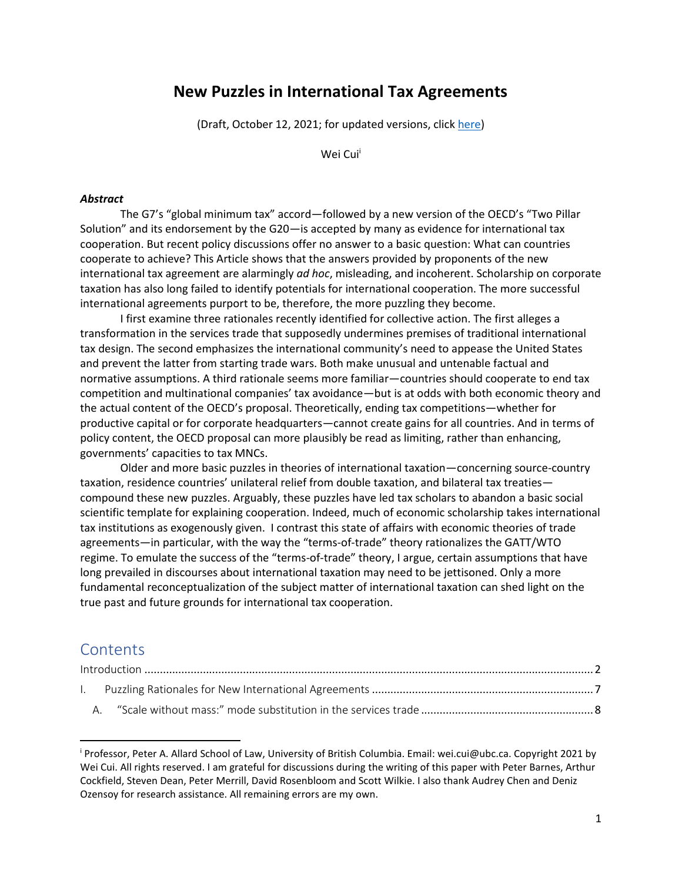## **New Puzzles in International Tax Agreements**

(Draft, October 12, 2021; for updated versions, click [here\)](https://papers.ssrn.com/sol3/papers.cfm?abstract_id=3877854)

Wei Cui<sup>i</sup>

#### *Abstract*

The G7's "global minimum tax" accord—followed by a new version of the OECD's "Two Pillar Solution" and its endorsement by the G20—is accepted by many as evidence for international tax cooperation. But recent policy discussions offer no answer to a basic question: What can countries cooperate to achieve? This Article shows that the answers provided by proponents of the new international tax agreement are alarmingly *ad hoc*, misleading, and incoherent. Scholarship on corporate taxation has also long failed to identify potentials for international cooperation. The more successful international agreements purport to be, therefore, the more puzzling they become.

I first examine three rationales recently identified for collective action. The first alleges a transformation in the services trade that supposedly undermines premises of traditional international tax design. The second emphasizes the international community's need to appease the United States and prevent the latter from starting trade wars. Both make unusual and untenable factual and normative assumptions. A third rationale seems more familiar—countries should cooperate to end tax competition and multinational companies' tax avoidance—but is at odds with both economic theory and the actual content of the OECD's proposal. Theoretically, ending tax competitions—whether for productive capital or for corporate headquarters—cannot create gains for all countries. And in terms of policy content, the OECD proposal can more plausibly be read as limiting, rather than enhancing, governments' capacities to tax MNCs.

Older and more basic puzzles in theories of international taxation—concerning source-country taxation, residence countries' unilateral relief from double taxation, and bilateral tax treaties compound these new puzzles. Arguably, these puzzles have led tax scholars to abandon a basic social scientific template for explaining cooperation. Indeed, much of economic scholarship takes international tax institutions as exogenously given. I contrast this state of affairs with economic theories of trade agreements—in particular, with the way the "terms-of-trade" theory rationalizes the GATT/WTO regime. To emulate the success of the "terms-of-trade" theory, I argue, certain assumptions that have long prevailed in discourses about international taxation may need to be jettisoned. Only a more fundamental reconceptualization of the subject matter of international taxation can shed light on the true past and future grounds for international tax cooperation.

## **Contents**

l

| L. |  |  |  |  |
|----|--|--|--|--|
|    |  |  |  |  |

<sup>i</sup> Professor, Peter A. Allard School of Law, University of British Columbia. Email: wei.cui@ubc.ca. Copyright 2021 by Wei Cui. All rights reserved. I am grateful for discussions during the writing of this paper with Peter Barnes, Arthur Cockfield, Steven Dean, Peter Merrill, David Rosenbloom and Scott Wilkie. I also thank Audrey Chen and Deniz Ozensoy for research assistance. All remaining errors are my own.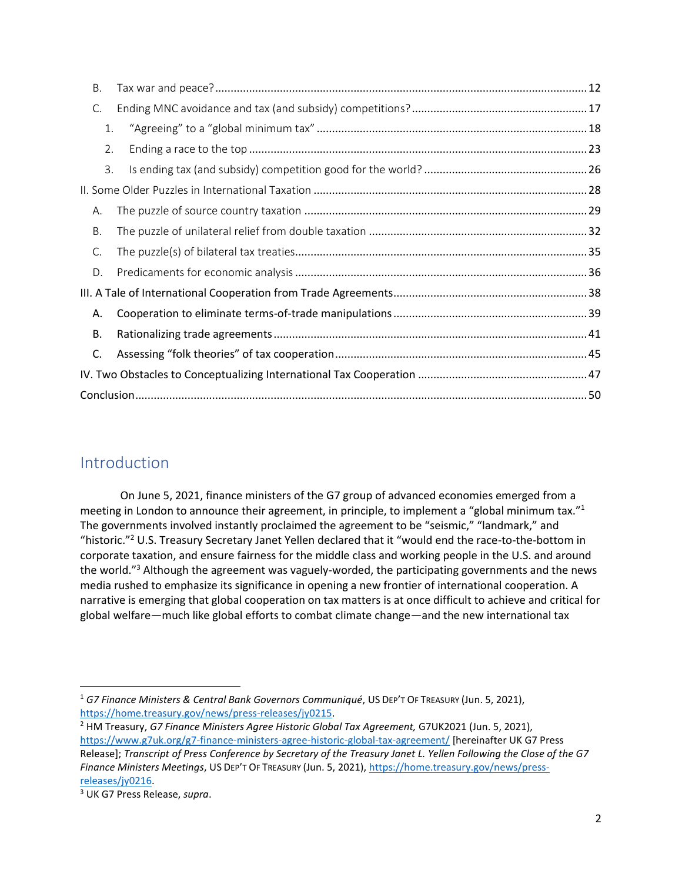| В. |    |  |  |  |  |
|----|----|--|--|--|--|
| C. |    |  |  |  |  |
|    | 1. |  |  |  |  |
|    | 2. |  |  |  |  |
|    | 3. |  |  |  |  |
|    |    |  |  |  |  |
| А. |    |  |  |  |  |
| Β. |    |  |  |  |  |
| C. |    |  |  |  |  |
| D. |    |  |  |  |  |
|    |    |  |  |  |  |
| А. |    |  |  |  |  |
| В. |    |  |  |  |  |
| C. |    |  |  |  |  |
|    |    |  |  |  |  |
|    |    |  |  |  |  |

# <span id="page-2-0"></span>Introduction

<span id="page-2-1"></span>On June 5, 2021, finance ministers of the G7 group of advanced economies emerged from a meeting in London to announce their agreement, in principle, to implement a "global minimum tax."<sup>1</sup> The governments involved instantly proclaimed the agreement to be "seismic," "landmark," and "historic."<sup>2</sup> U.S. Treasury Secretary Janet Yellen declared that it "would end the race-to-the-bottom in corporate taxation, and ensure fairness for the middle class and working people in the U.S. and around the world."<sup>3</sup> Although the agreement was vaguely-worded, the participating governments and the news media rushed to emphasize its significance in opening a new frontier of international cooperation. A narrative is emerging that global cooperation on tax matters is at once difficult to achieve and critical for global welfare—much like global efforts to combat climate change—and the new international tax

<sup>1</sup> *G7 Finance Ministers & Central Bank Governors Communiqué*, US DEP'T OF TREASURY (Jun. 5, 2021), [https://home.treasury.gov/news/press-releases/jy0215.](https://home.treasury.gov/news/press-releases/jy0215) 

<sup>2</sup> HM Treasury, *G7 Finance Ministers Agree Historic Global Tax Agreement,* G7UK2021 (Jun. 5, 2021), <https://www.g7uk.org/g7-finance-ministers-agree-historic-global-tax-agreement/> [hereinafter UK G7 Press Release]; *Transcript of Press Conference by Secretary of the Treasury Janet L. Yellen Following the Close of the G7 Finance Ministers Meetings*, US DEP'T OF TREASURY (Jun. 5, 2021)[, https://home.treasury.gov/news/press](https://home.treasury.gov/news/press-releases/jy0216)[releases/jy0216.](https://home.treasury.gov/news/press-releases/jy0216) 

<sup>3</sup> UK G7 Press Release, *supra*.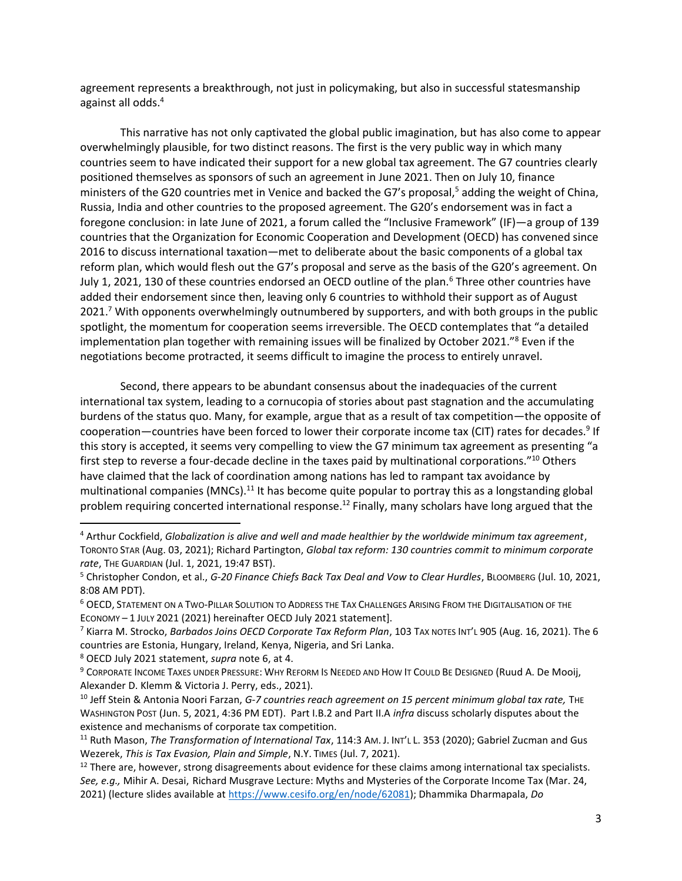agreement represents a breakthrough, not just in policymaking, but also in successful statesmanship against all odds.<sup>4</sup>

This narrative has not only captivated the global public imagination, but has also come to appear overwhelmingly plausible, for two distinct reasons. The first is the very public way in which many countries seem to have indicated their support for a new global tax agreement. The G7 countries clearly positioned themselves as sponsors of such an agreement in June 2021. Then on July 10, finance ministers of the G20 countries met in Venice and backed the G7's proposal,<sup>5</sup> adding the weight of China, Russia, India and other countries to the proposed agreement. The G20's endorsement was in fact a foregone conclusion: in late June of 2021, a forum called the "Inclusive Framework" (IF)—a group of 139 countries that the Organization for Economic Cooperation and Development (OECD) has convened since 2016 to discuss international taxation—met to deliberate about the basic components of a global tax reform plan, which would flesh out the G7's proposal and serve as the basis of the G20's agreement. On July 1, 2021, 130 of these countries endorsed an OECD outline of the plan.<sup>6</sup> Three other countries have added their endorsement since then, leaving only 6 countries to withhold their support as of August 2021.<sup>7</sup> With opponents overwhelmingly outnumbered by supporters, and with both groups in the public spotlight, the momentum for cooperation seems irreversible. The OECD contemplates that "a detailed implementation plan together with remaining issues will be finalized by October 2021."<sup>8</sup> Even if the negotiations become protracted, it seems difficult to imagine the process to entirely unravel.

<span id="page-3-3"></span><span id="page-3-0"></span>Second, there appears to be abundant consensus about the inadequacies of the current international tax system, leading to a cornucopia of stories about past stagnation and the accumulating burdens of the status quo. Many, for example, argue that as a result of tax competition—the opposite of cooperation—countries have been forced to lower their corporate income tax (CIT) rates for decades.<sup>9</sup> If this story is accepted, it seems very compelling to view the G7 minimum tax agreement as presenting "a first step to reverse a four-decade decline in the taxes paid by multinational corporations."<sup>10</sup> Others have claimed that the lack of coordination among nations has led to rampant tax avoidance by multinational companies  $(MNCs)$ <sup>11</sup> It has become quite popular to portray this as a longstanding global problem requiring concerted international response.<sup>12</sup> Finally, many scholars have long argued that the

<sup>8</sup> OECD July 2021 statement, *supra* not[e 6,](#page-3-0) at 4.

<span id="page-3-2"></span><span id="page-3-1"></span>l

<sup>4</sup> Arthur Cockfield, *Globalization is alive and well and made healthier by the worldwide minimum tax agreement*, TORONTO STAR (Aug. 03, 2021); Richard Partington, *Global tax reform: 130 countries commit to minimum corporate rate*, THE GUARDIAN (Jul. 1, 2021, 19:47 BST).

<sup>5</sup> Christopher Condon, et al., *G-20 Finance Chiefs Back Tax Deal and Vow to Clear Hurdles*, BLOOMBERG (Jul. 10, 2021, 8:08 AM PDT).

<sup>6</sup> OECD, STATEMENT ON A TWO-PILLAR SOLUTION TO ADDRESS THE TAX CHALLENGES ARISING FROM THE DIGITALISATION OF THE ECONOMY – 1 JULY 2021 (2021) hereinafter OECD July 2021 statement].

<sup>7</sup> Kiarra M. Strocko, *Barbados Joins OECD Corporate Tax Reform Plan*, 103 TAX NOTES INT'L 905 (Aug. 16, 2021). The 6 countries are Estonia, Hungary, Ireland, Kenya, Nigeria, and Sri Lanka.

<sup>&</sup>lt;sup>9</sup> CORPORATE INCOME TAXES UNDER PRESSURE: WHY REFORM IS NEEDED AND HOW IT COULD BE DESIGNED (Ruud A. De Mooij, Alexander D. Klemm & Victoria J. Perry, eds., 2021).

<sup>&</sup>lt;sup>10</sup> Jeff Stein & Antonia Noori Farzan, *G-7 countries reach agreement on 15 percent minimum global tax rate*, THE WASHINGTON POST (Jun. 5, 2021, 4:36 PM EDT). Part I.B.2 and Part II.A *infra* discuss scholarly disputes about the existence and mechanisms of corporate tax competition.

<sup>11</sup> Ruth Mason, *The Transformation of International Tax*, 114:3 AM. J. INT'L L. 353 (2020); Gabriel Zucman and Gus Wezerek, *This is Tax Evasion, Plain and Simple*, N.Y. TIMES (Jul. 7, 2021).

 $12$  There are, however, strong disagreements about evidence for these claims among international tax specialists. *See, e.g.,* Mihir A. Desai, Richard Musgrave Lecture: Myths and Mysteries of the Corporate Income Tax (Mar. 24, 2021) (lecture slides available at [https://www.cesifo.org/en/node/62081\)](https://www.cesifo.org/en/node/62081); Dhammika Dharmapala, *Do*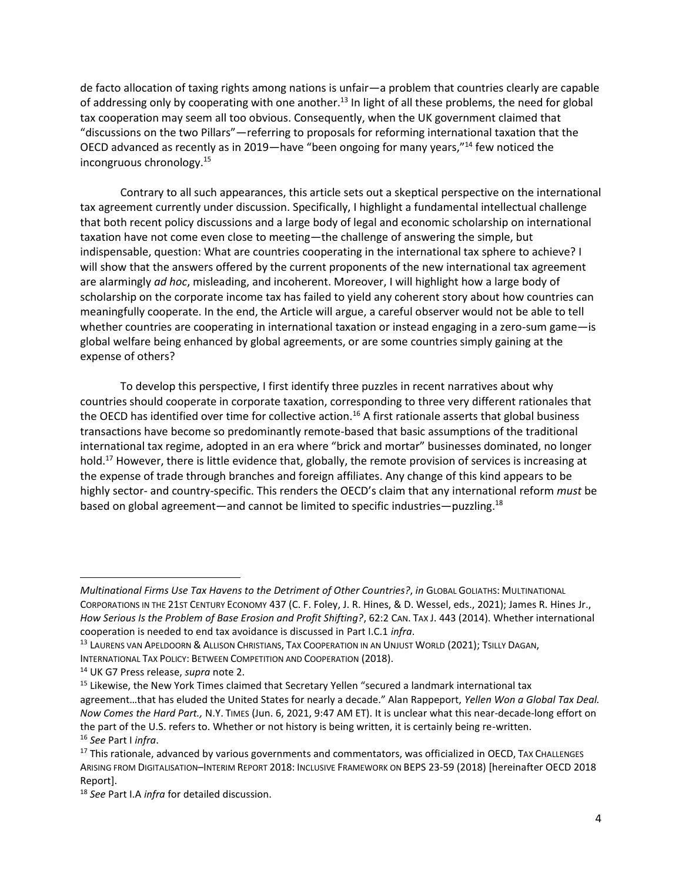de facto allocation of taxing rights among nations is unfair—a problem that countries clearly are capable of addressing only by cooperating with one another.<sup>13</sup> In light of all these problems, the need for global tax cooperation may seem all too obvious. Consequently, when the UK government claimed that "discussions on the two Pillars"—referring to proposals for reforming international taxation that the OECD advanced as recently as in 2019—have "been ongoing for many years,"<sup>14</sup> few noticed the incongruous chronology.<sup>15</sup>

Contrary to all such appearances, this article sets out a skeptical perspective on the international tax agreement currently under discussion. Specifically, I highlight a fundamental intellectual challenge that both recent policy discussions and a large body of legal and economic scholarship on international taxation have not come even close to meeting—the challenge of answering the simple, but indispensable, question: What are countries cooperating in the international tax sphere to achieve? I will show that the answers offered by the current proponents of the new international tax agreement are alarmingly *ad hoc*, misleading, and incoherent. Moreover, I will highlight how a large body of scholarship on the corporate income tax has failed to yield any coherent story about how countries can meaningfully cooperate. In the end, the Article will argue, a careful observer would not be able to tell whether countries are cooperating in international taxation or instead engaging in a zero-sum game—is global welfare being enhanced by global agreements, or are some countries simply gaining at the expense of others?

<span id="page-4-0"></span>To develop this perspective, I first identify three puzzles in recent narratives about why countries should cooperate in corporate taxation, corresponding to three very different rationales that the OECD has identified over time for collective action.<sup>16</sup> A first rationale asserts that global business transactions have become so predominantly remote-based that basic assumptions of the traditional international tax regime, adopted in an era where "brick and mortar" businesses dominated, no longer hold.<sup>17</sup> However, there is little evidence that, globally, the remote provision of services is increasing at the expense of trade through branches and foreign affiliates. Any change of this kind appears to be highly sector- and country-specific. This renders the OECD's claim that any international reform *must* be based on global agreement—and cannot be limited to specific industries—puzzling.<sup>18</sup>

*Multinational Firms Use Tax Havens to the Detriment of Other Countries?*, *in* GLOBAL GOLIATHS: MULTINATIONAL CORPORATIONS IN THE 21ST CENTURY ECONOMY 437 (C. F. Foley, J. R. Hines, & D. Wessel, eds., 2021); James R. Hines Jr., *How Serious Is the Problem of Base Erosion and Profit Shifting?*, 62:2 CAN. TAX J. 443 (2014). Whether international cooperation is needed to end tax avoidance is discussed in Part I.C.1 *infra*.

<sup>13</sup> LAURENS VAN APELDOORN & ALLISON CHRISTIANS, TAX COOPERATION IN AN UNJUST WORLD (2021); TSILLY DAGAN,

INTERNATIONAL TAX POLICY: BETWEEN COMPETITION AND COOPERATION (2018).

<sup>14</sup> UK G7 Press release, *supra* not[e 2.](#page-2-1) 

<sup>&</sup>lt;sup>15</sup> Likewise, the New York Times claimed that Secretary Yellen "secured a landmark international tax agreement…that has eluded the United States for nearly a decade." Alan Rappeport, *Yellen Won a Global Tax Deal. Now Comes the Hard Part.,* N.Y. TIMES (Jun. 6, 2021, 9:47 AM ET). It is unclear what this near-decade-long effort on the part of the U.S. refers to. Whether or not history is being written, it is certainly being re-written. <sup>16</sup> *See* Part I *infra*.

<sup>&</sup>lt;sup>17</sup> This rationale, advanced by various governments and commentators, was officialized in OECD, TAX CHALLENGES ARISING FROM DIGITALISATION–INTERIM REPORT 2018: INCLUSIVE FRAMEWORK ON BEPS 23-59 (2018) [hereinafter OECD 2018 Report].

<sup>18</sup> *See* Part I.A *infra* for detailed discussion.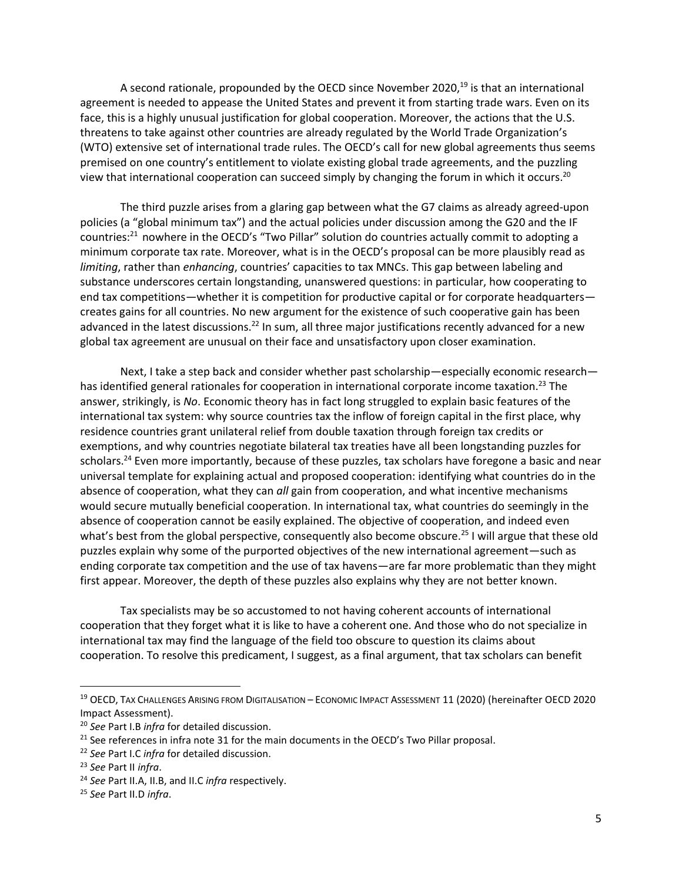<span id="page-5-0"></span>A second rationale, propounded by the OECD since November 2020, $^{19}$  is that an international agreement is needed to appease the United States and prevent it from starting trade wars. Even on its face, this is a highly unusual justification for global cooperation. Moreover, the actions that the U.S. threatens to take against other countries are already regulated by the World Trade Organization's (WTO) extensive set of international trade rules. The OECD's call for new global agreements thus seems premised on one country's entitlement to violate existing global trade agreements, and the puzzling view that international cooperation can succeed simply by changing the forum in which it occurs.<sup>20</sup>

The third puzzle arises from a glaring gap between what the G7 claims as already agreed-upon policies (a "global minimum tax") and the actual policies under discussion among the G20 and the IF countries:<sup>21</sup> nowhere in the OECD's "Two Pillar" solution do countries actually commit to adopting a minimum corporate tax rate. Moreover, what is in the OECD's proposal can be more plausibly read as *limiting*, rather than *enhancing*, countries' capacities to tax MNCs. This gap between labeling and substance underscores certain longstanding, unanswered questions: in particular, how cooperating to end tax competitions—whether it is competition for productive capital or for corporate headquarters creates gains for all countries. No new argument for the existence of such cooperative gain has been advanced in the latest discussions.<sup>22</sup> In sum, all three major justifications recently advanced for a new global tax agreement are unusual on their face and unsatisfactory upon closer examination.

Next, I take a step back and consider whether past scholarship—especially economic research has identified general rationales for cooperation in international corporate income taxation.<sup>23</sup> The answer, strikingly, is *No*. Economic theory has in fact long struggled to explain basic features of the international tax system: why source countries tax the inflow of foreign capital in the first place, why residence countries grant unilateral relief from double taxation through foreign tax credits or exemptions, and why countries negotiate bilateral tax treaties have all been longstanding puzzles for scholars.<sup>24</sup> Even more importantly, because of these puzzles, tax scholars have foregone a basic and near universal template for explaining actual and proposed cooperation: identifying what countries do in the absence of cooperation, what they can *all* gain from cooperation, and what incentive mechanisms would secure mutually beneficial cooperation. In international tax, what countries do seemingly in the absence of cooperation cannot be easily explained. The objective of cooperation, and indeed even what's best from the global perspective, consequently also become obscure.<sup>25</sup> I will argue that these old puzzles explain why some of the purported objectives of the new international agreement—such as ending corporate tax competition and the use of tax havens—are far more problematic than they might first appear. Moreover, the depth of these puzzles also explains why they are not better known.

Tax specialists may be so accustomed to not having coherent accounts of international cooperation that they forget what it is like to have a coherent one. And those who do not specialize in international tax may find the language of the field too obscure to question its claims about cooperation. To resolve this predicament, I suggest, as a final argument, that tax scholars can benefit

<sup>19</sup> OECD, TAX CHALLENGES ARISING FROM DIGITALISATION – ECONOMIC IMPACT ASSESSMENT 11 (2020) (hereinafter OECD 2020 Impact Assessment).

<sup>20</sup> *See* Part I.B *infra* for detailed discussion.

<sup>&</sup>lt;sup>21</sup> See references in infra note [31](#page-7-1) for the main documents in the OECD's Two Pillar proposal.

<sup>22</sup> *See* Part I.C *infra* for detailed discussion.

<sup>23</sup> *See* Part II *infra*.

<sup>24</sup> *See* Part II.A, II.B, and II.C *infra* respectively.

<sup>25</sup> *See* Part II.D *infra*.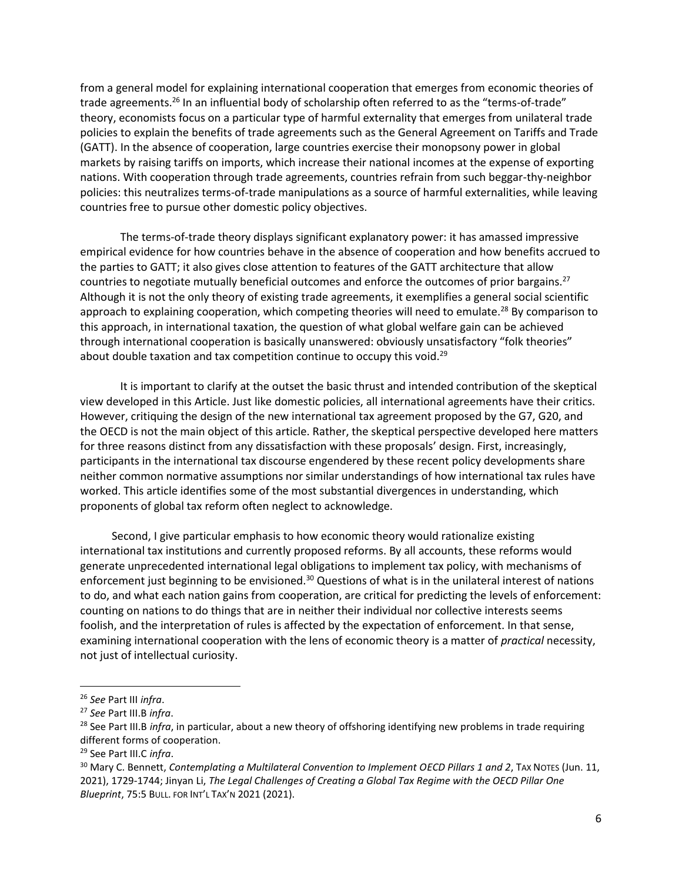from a general model for explaining international cooperation that emerges from economic theories of trade agreements.<sup>26</sup> In an influential body of scholarship often referred to as the "terms-of-trade" theory, economists focus on a particular type of harmful externality that emerges from unilateral trade policies to explain the benefits of trade agreements such as the General Agreement on Tariffs and Trade (GATT). In the absence of cooperation, large countries exercise their monopsony power in global markets by raising tariffs on imports, which increase their national incomes at the expense of exporting nations. With cooperation through trade agreements, countries refrain from such beggar-thy-neighbor policies: this neutralizes terms-of-trade manipulations as a source of harmful externalities, while leaving countries free to pursue other domestic policy objectives.

The terms-of-trade theory displays significant explanatory power: it has amassed impressive empirical evidence for how countries behave in the absence of cooperation and how benefits accrued to the parties to GATT; it also gives close attention to features of the GATT architecture that allow countries to negotiate mutually beneficial outcomes and enforce the outcomes of prior bargains.<sup>27</sup> Although it is not the only theory of existing trade agreements, it exemplifies a general social scientific approach to explaining cooperation, which competing theories will need to emulate.<sup>28</sup> By comparison to this approach, in international taxation, the question of what global welfare gain can be achieved through international cooperation is basically unanswered: obviously unsatisfactory "folk theories" about double taxation and tax competition continue to occupy this void.<sup>29</sup>

It is important to clarify at the outset the basic thrust and intended contribution of the skeptical view developed in this Article. Just like domestic policies, all international agreements have their critics. However, critiquing the design of the new international tax agreement proposed by the G7, G20, and the OECD is not the main object of this article. Rather, the skeptical perspective developed here matters for three reasons distinct from any dissatisfaction with these proposals' design. First, increasingly, participants in the international tax discourse engendered by these recent policy developments share neither common normative assumptions nor similar understandings of how international tax rules have worked. This article identifies some of the most substantial divergences in understanding, which proponents of global tax reform often neglect to acknowledge.

Second, I give particular emphasis to how economic theory would rationalize existing international tax institutions and currently proposed reforms. By all accounts, these reforms would generate unprecedented international legal obligations to implement tax policy, with mechanisms of enforcement just beginning to be envisioned.<sup>30</sup> Questions of what is in the unilateral interest of nations to do, and what each nation gains from cooperation, are critical for predicting the levels of enforcement: counting on nations to do things that are in neither their individual nor collective interests seems foolish, and the interpretation of rules is affected by the expectation of enforcement. In that sense, examining international cooperation with the lens of economic theory is a matter of *practical* necessity, not just of intellectual curiosity.

<sup>26</sup> *See* Part III *infra*.

<sup>27</sup> *See* Part III.B *infra*.

<sup>&</sup>lt;sup>28</sup> See Part III.B *infra*, in particular, about a new theory of offshoring identifying new problems in trade requiring different forms of cooperation.

<sup>29</sup> See Part III.C *infra*.

<sup>&</sup>lt;sup>30</sup> Mary C. Bennett, *Contemplating a Multilateral Convention to Implement OECD Pillars 1 and 2*, TAX NOTES (Jun. 11, 2021), 1729-1744; Jinyan Li, *The Legal Challenges of Creating a Global Tax Regime with the OECD Pillar One Blueprint*, 75:5 BULL. FOR INT'L TAX'N 2021 (2021).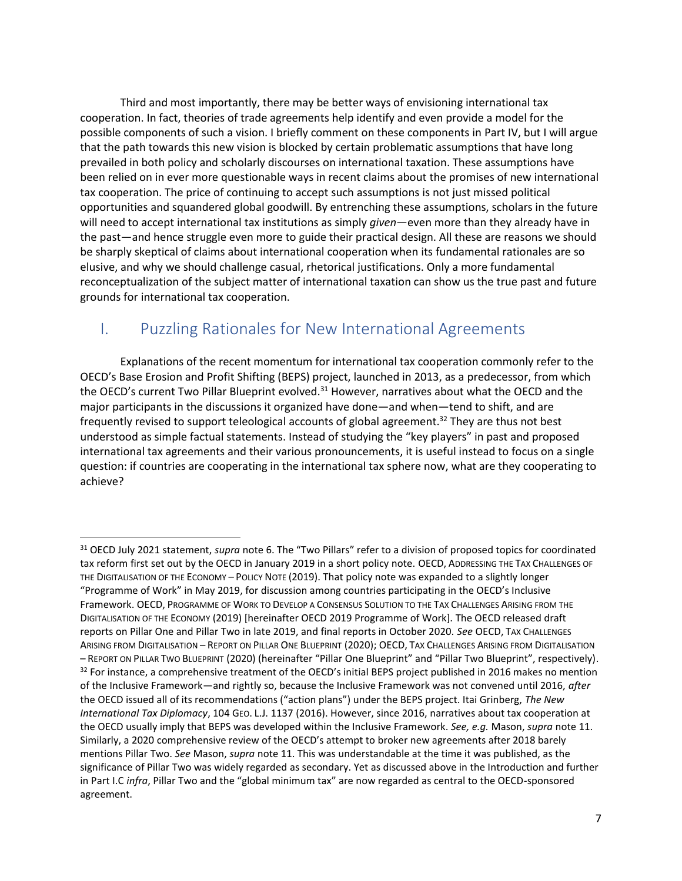Third and most importantly, there may be better ways of envisioning international tax cooperation. In fact, theories of trade agreements help identify and even provide a model for the possible components of such a vision. I briefly comment on these components in Part IV, but I will argue that the path towards this new vision is blocked by certain problematic assumptions that have long prevailed in both policy and scholarly discourses on international taxation. These assumptions have been relied on in ever more questionable ways in recent claims about the promises of new international tax cooperation. The price of continuing to accept such assumptions is not just missed political opportunities and squandered global goodwill. By entrenching these assumptions, scholars in the future will need to accept international tax institutions as simply *given*—even more than they already have in the past—and hence struggle even more to guide their practical design. All these are reasons we should be sharply skeptical of claims about international cooperation when its fundamental rationales are so elusive, and why we should challenge casual, rhetorical justifications. Only a more fundamental reconceptualization of the subject matter of international taxation can show us the true past and future grounds for international tax cooperation.

# <span id="page-7-1"></span><span id="page-7-0"></span>I. Puzzling Rationales for New International Agreements

 $\overline{\phantom{a}}$ 

Explanations of the recent momentum for international tax cooperation commonly refer to the OECD's Base Erosion and Profit Shifting (BEPS) project, launched in 2013, as a predecessor, from which the OECD's current Two Pillar Blueprint evolved.<sup>31</sup> However, narratives about what the OECD and the major participants in the discussions it organized have done—and when—tend to shift, and are frequently revised to support teleological accounts of global agreement.<sup>32</sup> They are thus not best understood as simple factual statements. Instead of studying the "key players" in past and proposed international tax agreements and their various pronouncements, it is useful instead to focus on a single question: if countries are cooperating in the international tax sphere now, what are they cooperating to achieve?

<sup>31</sup> OECD July 2021 statement, *supra* note [6](#page-3-0). The "Two Pillars" refer to a division of proposed topics for coordinated tax reform first set out by the OECD in January 2019 in a short policy note. OECD, ADDRESSING THE TAX CHALLENGES OF THE DIGITALISATION OF THE ECONOMY – POLICY NOTE (2019). That policy note was expanded to a slightly longer "Programme of Work" in May 2019, for discussion among countries participating in the OECD's Inclusive Framework. OECD, PROGRAMME OF WORK TO DEVELOP A CONSENSUS SOLUTION TO THE TAX CHALLENGES ARISING FROM THE DIGITALISATION OF THE ECONOMY (2019) [hereinafter OECD 2019 Programme of Work]. The OECD released draft reports on Pillar One and Pillar Two in late 2019, and final reports in October 2020. *See* OECD, TAX CHALLENGES ARISING FROM DIGITALISATION – REPORT ON PILLAR ONE BLUEPRINT (2020); OECD, TAX CHALLENGES ARISING FROM DIGITALISATION – REPORT ON PILLAR TWO BLUEPRINT (2020) (hereinafter "Pillar One Blueprint" and "Pillar Two Blueprint", respectively). <sup>32</sup> For instance, a comprehensive treatment of the OECD's initial BEPS project published in 2016 makes no mention of the Inclusive Framework—and rightly so, because the Inclusive Framework was not convened until 2016, *after* the OECD issued all of its recommendations ("action plans") under the BEPS project. Itai Grinberg, *The New International Tax Diplomacy*, 104 GEO. L.J. 1137 (2016). However, since 2016, narratives about tax cooperation at the OECD usually imply that BEPS was developed within the Inclusive Framework. *See, e.g.* Mason, *supra* note [11.](#page-3-1) Similarly, a 2020 comprehensive review of the OECD's attempt to broker new agreements after 2018 barely mentions Pillar Two. *See* Mason, *supra* not[e 11.](#page-3-1) This was understandable at the time it was published, as the significance of Pillar Two was widely regarded as secondary. Yet as discussed above in the Introduction and further in Part I.C *infra*, Pillar Two and the "global minimum tax" are now regarded as central to the OECD-sponsored agreement.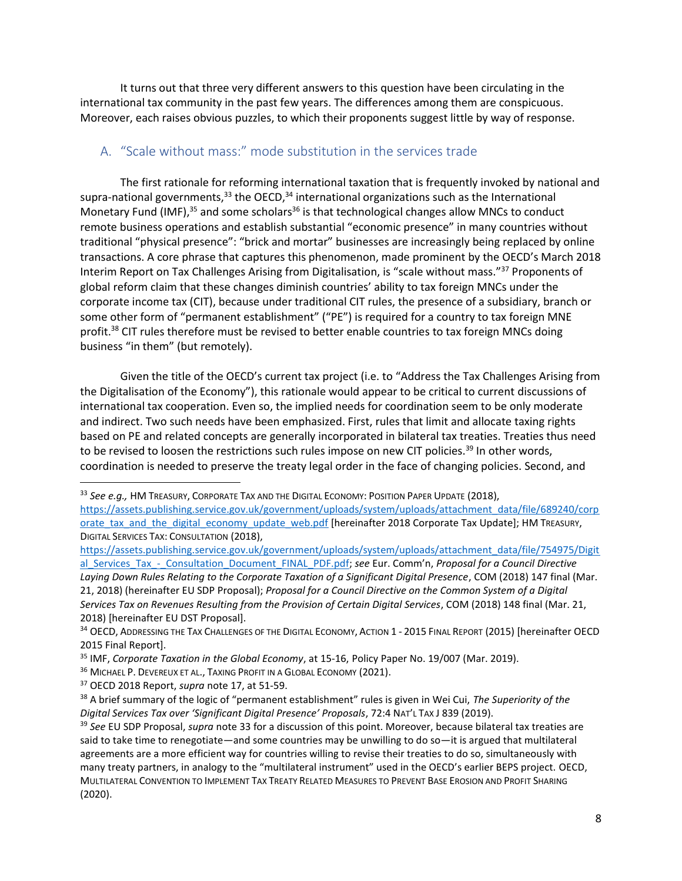It turns out that three very different answers to this question have been circulating in the international tax community in the past few years. The differences among them are conspicuous. Moreover, each raises obvious puzzles, to which their proponents suggest little by way of response.

## <span id="page-8-4"></span><span id="page-8-3"></span><span id="page-8-1"></span><span id="page-8-0"></span>A. "Scale without mass:" mode substitution in the services trade

The first rationale for reforming international taxation that is frequently invoked by national and supra-national governments, $33$  the OECD, $34$  international organizations such as the International Monetary Fund (IMF), $35$  and some scholars<sup>36</sup> is that technological changes allow MNCs to conduct remote business operations and establish substantial "economic presence" in many countries without traditional "physical presence": "brick and mortar" businesses are increasingly being replaced by online transactions. A core phrase that captures this phenomenon, made prominent by the OECD's March 2018 Interim Report on Tax Challenges Arising from Digitalisation, is "scale without mass."<sup>37</sup> Proponents of global reform claim that these changes diminish countries' ability to tax foreign MNCs under the corporate income tax (CIT), because under traditional CIT rules, the presence of a subsidiary, branch or some other form of "permanent establishment" ("PE") is required for a country to tax foreign MNE profit.<sup>38</sup> CIT rules therefore must be revised to better enable countries to tax foreign MNCs doing business "in them" (but remotely).

<span id="page-8-2"></span>Given the title of the OECD's current tax project (i.e. to "Address the Tax Challenges Arising from the Digitalisation of the Economy"), this rationale would appear to be critical to current discussions of international tax cooperation. Even so, the implied needs for coordination seem to be only moderate and indirect. Two such needs have been emphasized. First, rules that limit and allocate taxing rights based on PE and related concepts are generally incorporated in bilateral tax treaties. Treaties thus need to be revised to loosen the restrictions such rules impose on new CIT policies.<sup>39</sup> In other words, coordination is needed to preserve the treaty legal order in the face of changing policies. Second, and

<sup>37</sup> OECD 2018 Report, *supra* note [17,](#page-4-0) at 51-59.

<sup>33</sup> *See e.g.,* HM TREASURY, CORPORATE TAX AND THE DIGITAL ECONOMY: POSITION PAPER UPDATE (2018), [https://assets.publishing.service.gov.uk/government/uploads/system/uploads/attachment\\_data/file/689240/corp](https://assets.publishing.service.gov.uk/government/uploads/system/uploads/attachment_data/file/689240/corporate_tax_and_the_digital_economy_update_web.pdf) [orate\\_tax\\_and\\_the\\_digital\\_economy\\_update\\_web.pdf](https://assets.publishing.service.gov.uk/government/uploads/system/uploads/attachment_data/file/689240/corporate_tax_and_the_digital_economy_update_web.pdf) [hereinafter 2018 Corporate Tax Update]; HM TREASURY, DIGITAL SERVICES TAX: CONSULTATION (2018),

[https://assets.publishing.service.gov.uk/government/uploads/system/uploads/attachment\\_data/file/754975/Digit](https://assets.publishing.service.gov.uk/government/uploads/system/uploads/attachment_data/file/754975/Digital_Services_Tax_-_Consultation_Document_FINAL_PDF.pdf) [al\\_Services\\_Tax\\_-\\_Consultation\\_Document\\_FINAL\\_PDF.pdf;](https://assets.publishing.service.gov.uk/government/uploads/system/uploads/attachment_data/file/754975/Digital_Services_Tax_-_Consultation_Document_FINAL_PDF.pdf) *see* Eur. Comm'n, *Proposal for a Council Directive Laying Down Rules Relating to the Corporate Taxation of a Significant Digital Presence*, COM (2018) 147 final (Mar. 21, 2018) (hereinafter EU SDP Proposal); *Proposal for a Council Directive on the Common System of a Digital Services Tax on Revenues Resulting from the Provision of Certain Digital Services*, COM (2018) 148 final (Mar. 21, 2018) [hereinafter EU DST Proposal].

<sup>34</sup> OECD, ADDRESSING THE TAX CHALLENGES OF THE DIGITAL ECONOMY, ACTION 1 - 2015 FINAL REPORT (2015) [hereinafter OECD 2015 Final Report].

<sup>35</sup> IMF, *Corporate Taxation in the Global Economy*, at 15-16, Policy Paper No. 19/007 (Mar. 2019).

<sup>&</sup>lt;sup>36</sup> MICHAEL P. DEVEREUX ET AL., TAXING PROFIT IN A GLOBAL ECONOMY (2021).

<sup>38</sup> A brief summary of the logic of "permanent establishment" rules is given in Wei Cui, *The Superiority of the Digital Services Tax over 'Significant Digital Presence' Proposals*, 72:4 NAT'L TAX J 839 (2019).

<sup>39</sup> *See* EU SDP Proposal, *supra* note [33](#page-8-1) for a discussion of this point. Moreover, because bilateral tax treaties are said to take time to renegotiate—and some countries may be unwilling to do so—it is argued that multilateral agreements are a more efficient way for countries willing to revise their treaties to do so, simultaneously with many treaty partners, in analogy to the "multilateral instrument" used in the OECD's earlier BEPS project. OECD, MULTILATERAL CONVENTION TO IMPLEMENT TAX TREATY RELATED MEASURES TO PREVENT BASE EROSION AND PROFIT SHARING (2020).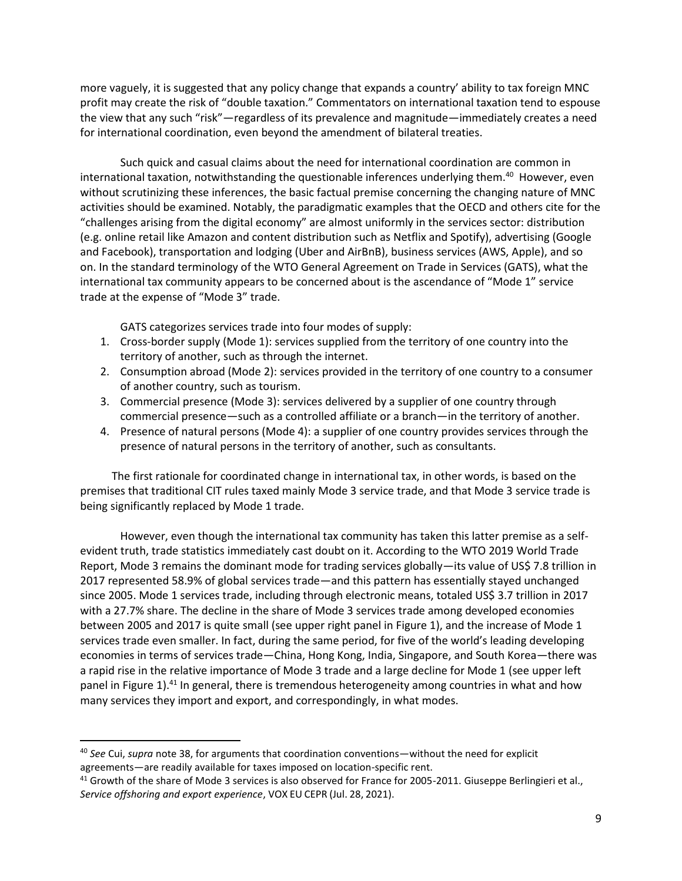more vaguely, it is suggested that any policy change that expands a country' ability to tax foreign MNC profit may create the risk of "double taxation." Commentators on international taxation tend to espouse the view that any such "risk"—regardless of its prevalence and magnitude—immediately creates a need for international coordination, even beyond the amendment of bilateral treaties.

Such quick and casual claims about the need for international coordination are common in international taxation, notwithstanding the questionable inferences underlying them.<sup>40</sup> However, even without scrutinizing these inferences, the basic factual premise concerning the changing nature of MNC activities should be examined. Notably, the paradigmatic examples that the OECD and others cite for the "challenges arising from the digital economy" are almost uniformly in the services sector: distribution (e.g. online retail like Amazon and content distribution such as Netflix and Spotify), advertising (Google and Facebook), transportation and lodging (Uber and AirBnB), business services (AWS, Apple), and so on. In the standard terminology of the WTO General Agreement on Trade in Services (GATS), what the international tax community appears to be concerned about is the ascendance of "Mode 1" service trade at the expense of "Mode 3" trade.

GATS categorizes services trade into four modes of supply:

- 1. Cross-border supply (Mode 1): services supplied from the territory of one country into the territory of another, such as through the internet.
- 2. Consumption abroad (Mode 2): services provided in the territory of one country to a consumer of another country, such as tourism.
- 3. Commercial presence (Mode 3): services delivered by a supplier of one country through commercial presence—such as a controlled affiliate or a branch—in the territory of another.
- 4. Presence of natural persons (Mode 4): a supplier of one country provides services through the presence of natural persons in the territory of another, such as consultants.

The first rationale for coordinated change in international tax, in other words, is based on the premises that traditional CIT rules taxed mainly Mode 3 service trade, and that Mode 3 service trade is being significantly replaced by Mode 1 trade.

However, even though the international tax community has taken this latter premise as a selfevident truth, trade statistics immediately cast doubt on it. According to the WTO 2019 World Trade Report, Mode 3 remains the dominant mode for trading services globally—its value of US\$ 7.8 trillion in 2017 represented 58.9% of global services trade—and this pattern has essentially stayed unchanged since 2005. Mode 1 services trade, including through electronic means, totaled US\$ 3.7 trillion in 2017 with a 27.7% share. The decline in the share of Mode 3 services trade among developed economies between 2005 and 2017 is quite small (see upper right panel in Figure 1), and the increase of Mode 1 services trade even smaller. In fact, during the same period, for five of the world's leading developing economies in terms of services trade—China, Hong Kong, India, Singapore, and South Korea—there was a rapid rise in the relative importance of Mode 3 trade and a large decline for Mode 1 (see upper left panel in Figure 1).<sup>41</sup> In general, there is tremendous heterogeneity among countries in what and how many services they import and export, and correspondingly, in what modes.

l

<sup>40</sup> *See* Cui, *supra* note [38,](#page-8-2) for arguments that coordination conventions—without the need for explicit agreements—are readily available for taxes imposed on location-specific rent.

 $41$  Growth of the share of Mode 3 services is also observed for France for 2005-2011. Giuseppe Berlingieri et al., *Service offshoring and export experience*, VOX EU CEPR (Jul. 28, 2021).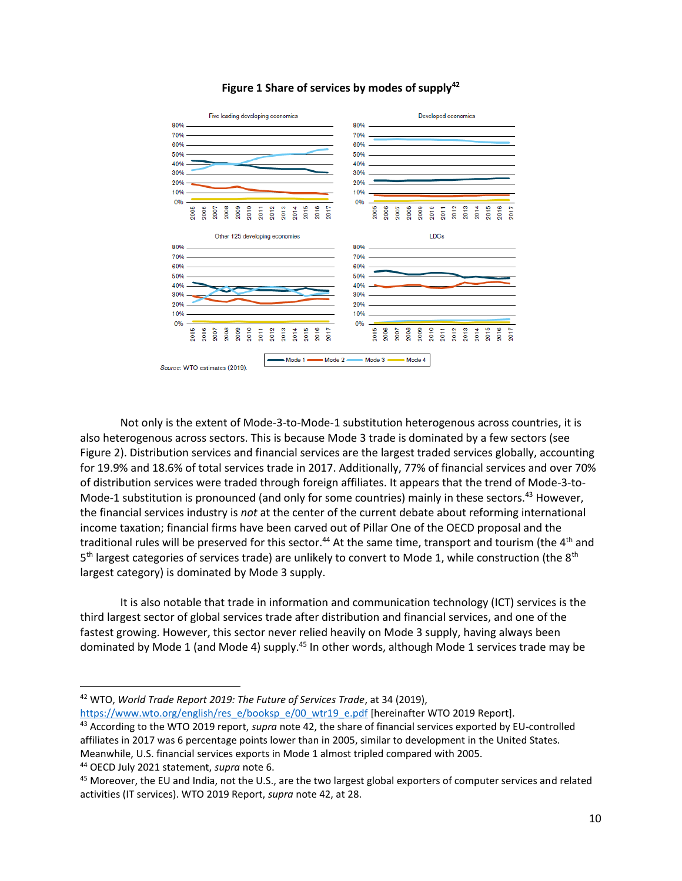<span id="page-10-0"></span>



Not only is the extent of Mode-3-to-Mode-1 substitution heterogenous across countries, it is also heterogenous across sectors. This is because Mode 3 trade is dominated by a few sectors (see Figure 2). Distribution services and financial services are the largest traded services globally, accounting for 19.9% and 18.6% of total services trade in 2017. Additionally, 77% of financial services and over 70% of distribution services were traded through foreign affiliates. It appears that the trend of Mode-3-to-Mode-1 substitution is pronounced (and only for some countries) mainly in these sectors.<sup>43</sup> However, the financial services industry is *not* at the center of the current debate about reforming international income taxation; financial firms have been carved out of Pillar One of the OECD proposal and the traditional rules will be preserved for this sector.<sup>44</sup> At the same time, transport and tourism (the 4<sup>th</sup> and 5<sup>th</sup> largest categories of services trade) are unlikely to convert to Mode 1, while construction (the 8<sup>th</sup> largest category) is dominated by Mode 3 supply.

It is also notable that trade in information and communication technology (ICT) services is the third largest sector of global services trade after distribution and financial services, and one of the fastest growing. However, this sector never relied heavily on Mode 3 supply, having always been dominated by Mode 1 (and Mode 4) supply.<sup>45</sup> In other words, although Mode 1 services trade may be

[https://www.wto.org/english/res\\_e/booksp\\_e/00\\_wtr19\\_e.pdf](https://www.wto.org/english/res_e/booksp_e/00_wtr19_e.pdf) [hereinafter WTO 2019 Report].

- <sup>43</sup> According to the WTO 2019 report, *supra* note [42,](#page-10-0) the share of financial services exported by EU-controlled affiliates in 2017 was 6 percentage points lower than in 2005, similar to development in the United States. Meanwhile, U.S. financial services exports in Mode 1 almost tripled compared with 2005.
- <sup>44</sup> OECD July 2021 statement, *supra* note [6.](#page-3-0)

<sup>42</sup> WTO, *World Trade Report 2019: The Future of Services Trade*, at 34 (2019),

<sup>&</sup>lt;sup>45</sup> Moreover, the EU and India, not the U.S., are the two largest global exporters of computer services and related activities (IT services). WTO 2019 Report, *supra* note [42,](#page-10-0) at 28.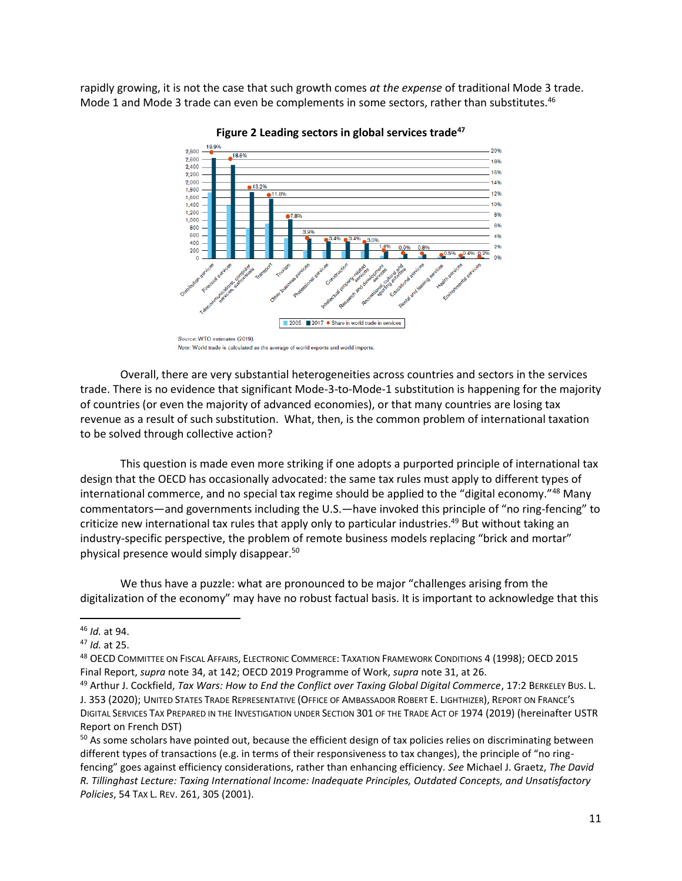rapidly growing, it is not the case that such growth comes *at the expense* of traditional Mode 3 trade. Mode 1 and Mode 3 trade can even be complements in some sectors, rather than substitutes.<sup>46</sup>





<span id="page-11-1"></span><span id="page-11-0"></span>Note: World trade is calculated as the average of world exports and world imports.

Overall, there are very substantial heterogeneities across countries and sectors in the services trade. There is no evidence that significant Mode-3-to-Mode-1 substitution is happening for the majority of countries (or even the majority of advanced economies), or that many countries are losing tax revenue as a result of such substitution. What, then, is the common problem of international taxation to be solved through collective action?

This question is made even more striking if one adopts a purported principle of international tax design that the OECD has occasionally advocated: the same tax rules must apply to different types of international commerce, and no special tax regime should be applied to the "digital economy."<sup>48</sup> Many commentators—and governments including the U.S.—have invoked this principle of "no ring-fencing" to criticize new international tax rules that apply only to particular industries.<sup>49</sup> But without taking an industry-specific perspective, the problem of remote business models replacing "brick and mortar" physical presence would simply disappear.<sup>50</sup>

<span id="page-11-2"></span>We thus have a puzzle: what are pronounced to be major "challenges arising from the digitalization of the economy" may have no robust factual basis. It is important to acknowledge that this

 $\overline{\phantom{a}}$ 

<sup>48</sup> OECD COMMITTEE ON FISCAL AFFAIRS, ELECTRONIC COMMERCE: TAXATION FRAMEWORK CONDITIONS 4 (1998); OECD 2015 Final Report, *supra* note [34,](#page-8-3) at 142; OECD 2019 Programme of Work, *supra* not[e 31,](#page-7-1) at 26.

<sup>46</sup> *Id.* at 94.

<sup>47</sup> *Id.* at 25.

<sup>49</sup> Arthur J. Cockfield, *Tax Wars: How to End the Conflict over Taxing Global Digital Commerce*, 17:2 BERKELEY BUS. L. J. 353 (2020); UNITED STATES TRADE REPRESENTATIVE (OFFICE OF AMBASSADOR ROBERT E. LIGHTHIZER), REPORT ON FRANCE'S DIGITAL SERVICES TAX PREPARED IN THE INVESTIGATION UNDER SECTION 301 OF THE TRADE ACT OF 1974 (2019) (hereinafter USTR Report on French DST)

<sup>&</sup>lt;sup>50</sup> As some scholars have pointed out, because the efficient design of tax policies relies on discriminating between different types of transactions (e.g. in terms of their responsiveness to tax changes), the principle of "no ringfencing" goes against efficiency considerations, rather than enhancing efficiency. *See* Michael J. Graetz, *The David R. Tillinghast Lecture: Taxing International Income: Inadequate Principles, Outdated Concepts, and Unsatisfactory Policies*, 54 TAX L. REV. 261, 305 (2001).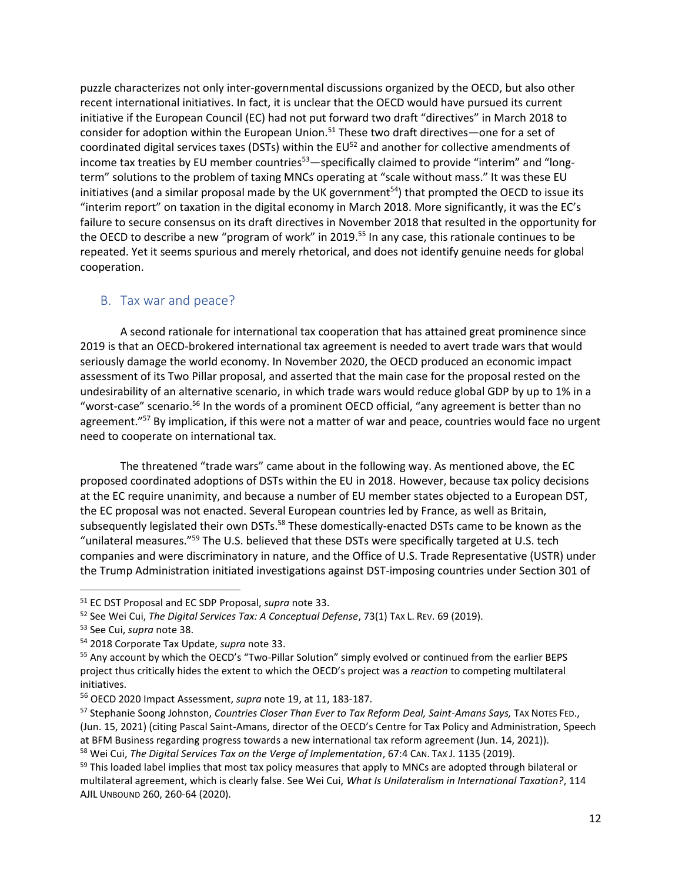<span id="page-12-2"></span>puzzle characterizes not only inter-governmental discussions organized by the OECD, but also other recent international initiatives. In fact, it is unclear that the OECD would have pursued its current initiative if the European Council (EC) had not put forward two draft "directives" in March 2018 to consider for adoption within the European Union.<sup>51</sup> These two draft directives—one for a set of coordinated digital services taxes (DSTs) within the EU<sup>52</sup> and another for collective amendments of income tax treaties by EU member countries $53$ —specifically claimed to provide "interim" and "longterm" solutions to the problem of taxing MNCs operating at "scale without mass." It was these EU initiatives (and a similar proposal made by the UK government<sup>54</sup>) that prompted the OECD to issue its "interim report" on taxation in the digital economy in March 2018. More significantly, it was the EC's failure to secure consensus on its draft directives in November 2018 that resulted in the opportunity for the OECD to describe a new "program of work" in 2019.<sup>55</sup> In any case, this rationale continues to be repeated. Yet it seems spurious and merely rhetorical, and does not identify genuine needs for global cooperation.

### <span id="page-12-0"></span>B. Tax war and peace?

A second rationale for international tax cooperation that has attained great prominence since 2019 is that an OECD-brokered international tax agreement is needed to avert trade wars that would seriously damage the world economy. In November 2020, the OECD produced an economic impact assessment of its Two Pillar proposal, and asserted that the main case for the proposal rested on the undesirability of an alternative scenario, in which trade wars would reduce global GDP by up to 1% in a "worst-case" scenario.<sup>56</sup> In the words of a prominent OECD official, "any agreement is better than no agreement."<sup>57</sup> By implication, if this were not a matter of war and peace, countries would face no urgent need to cooperate on international tax.

<span id="page-12-3"></span>The threatened "trade wars" came about in the following way. As mentioned above, the EC proposed coordinated adoptions of DSTs within the EU in 2018. However, because tax policy decisions at the EC require unanimity, and because a number of EU member states objected to a European DST, the EC proposal was not enacted. Several European countries led by France, as well as Britain, subsequently legislated their own DSTs.<sup>58</sup> These domestically-enacted DSTs came to be known as the "unilateral measures."<sup>59</sup> The U.S. believed that these DSTs were specifically targeted at U.S. tech companies and were discriminatory in nature, and the Office of U.S. Trade Representative (USTR) under the Trump Administration initiated investigations against DST-imposing countries under Section 301 of

<span id="page-12-1"></span> $\overline{a}$ 

<sup>58</sup> Wei Cui, *The Digital Services Tax on the Verge of Implementation*, 67:4 CAN. TAX J. 1135 (2019).

<sup>51</sup> EC DST Proposal and EC SDP Proposal, *supra* not[e 33.](#page-8-1) 

<sup>52</sup> See Wei Cui, *The Digital Services Tax: A Conceptual Defense*, 73(1) TAX L. REV. 69 (2019).

<sup>53</sup> See Cui, *supra* not[e 38.](#page-8-2)

<sup>54</sup> 2018 Corporate Tax Update, *supra* note [33.](#page-8-1)

<sup>&</sup>lt;sup>55</sup> Any account by which the OECD's "Two-Pillar Solution" simply evolved or continued from the earlier BEPS project thus critically hides the extent to which the OECD's project was a *reaction* to competing multilateral initiatives.

<sup>56</sup> OECD 2020 Impact Assessment, *supra* not[e 19,](#page-5-0) at 11, 183-187.

<sup>57</sup> Stephanie Soong Johnston, *Countries Closer Than Ever to Tax Reform Deal, Saint-Amans Says,* TAX NOTES FED., (Jun. 15, 2021) (citing Pascal Saint-Amans, director of the OECD's Centre for Tax Policy and Administration, Speech at BFM Business regarding progress towards a new international tax reform agreement (Jun. 14, 2021)).

<sup>59</sup> This loaded label implies that most tax policy measures that apply to MNCs are adopted through bilateral or multilateral agreement, which is clearly false. See Wei Cui, *What Is Unilateralism in International Taxation?*, 114 AJIL UNBOUND 260, 260-64 (2020).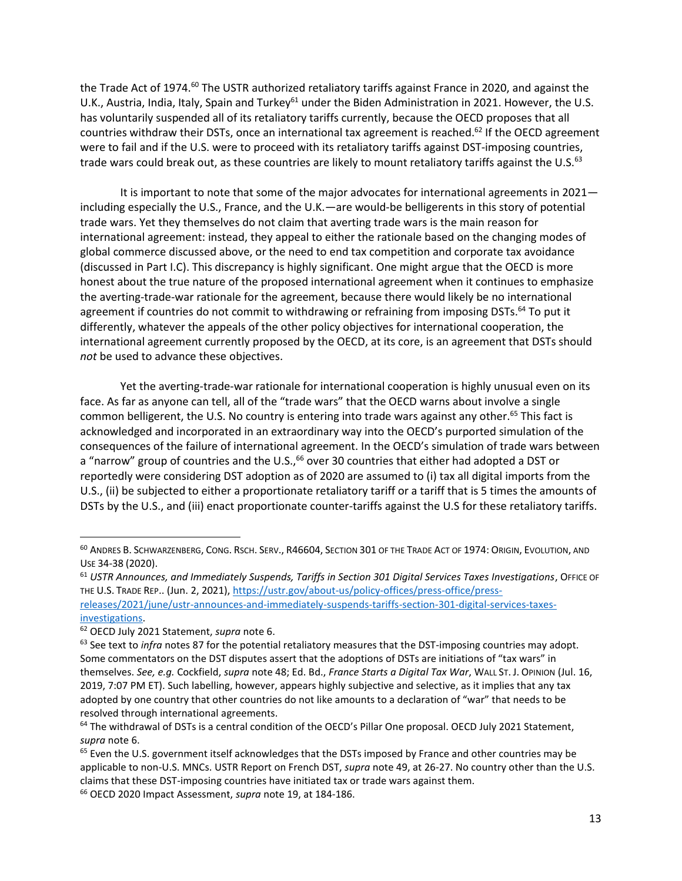<span id="page-13-0"></span>the Trade Act of 1974.<sup>60</sup> The USTR authorized retaliatory tariffs against France in 2020, and against the U.K., Austria, India, Italy, Spain and Turkey<sup>61</sup> under the Biden Administration in 2021. However, the U.S. has voluntarily suspended all of its retaliatory tariffs currently, because the OECD proposes that all countries withdraw their DSTs, once an international tax agreement is reached.<sup>62</sup> If the OECD agreement were to fail and if the U.S. were to proceed with its retaliatory tariffs against DST-imposing countries, trade wars could break out, as these countries are likely to mount retaliatory tariffs against the U.S.<sup>63</sup>

It is important to note that some of the major advocates for international agreements in 2021 including especially the U.S., France, and the U.K.—are would-be belligerents in this story of potential trade wars. Yet they themselves do not claim that averting trade wars is the main reason for international agreement: instead, they appeal to either the rationale based on the changing modes of global commerce discussed above, or the need to end tax competition and corporate tax avoidance (discussed in Part I.C). This discrepancy is highly significant. One might argue that the OECD is more honest about the true nature of the proposed international agreement when it continues to emphasize the averting-trade-war rationale for the agreement, because there would likely be no international agreement if countries do not commit to withdrawing or refraining from imposing DSTs.<sup>64</sup> To put it differently, whatever the appeals of the other policy objectives for international cooperation, the international agreement currently proposed by the OECD, at its core, is an agreement that DSTs should *not* be used to advance these objectives.

Yet the averting-trade-war rationale for international cooperation is highly unusual even on its face. As far as anyone can tell, all of the "trade wars" that the OECD warns about involve a single common belligerent, the U.S. No country is entering into trade wars against any other.<sup>65</sup> This fact is acknowledged and incorporated in an extraordinary way into the OECD's purported simulation of the consequences of the failure of international agreement. In the OECD's simulation of trade wars between a "narrow" group of countries and the U.S.,<sup>66</sup> over 30 countries that either had adopted a DST or reportedly were considering DST adoption as of 2020 are assumed to (i) tax all digital imports from the U.S., (ii) be subjected to either a proportionate retaliatory tariff or a tariff that is 5 times the amounts of DSTs by the U.S., and (iii) enact proportionate counter-tariffs against the U.S for these retaliatory tariffs.

<sup>60</sup> ANDRES B. SCHWARZENBERG, CONG. RSCH. SERV., R46604, SECTION 301 OF THE TRADE ACT OF 1974: ORIGIN, EVOLUTION, AND USE 34-38 (2020).

<sup>61</sup> *USTR Announces, and Immediately Suspends, Tariffs in Section 301 Digital Services Taxes Investigations*, OFFICE OF THE U.S. TRADE REP.. (Jun. 2, 2021), [https://ustr.gov/about-us/policy-offices/press-office/press-](https://ustr.gov/about-us/policy-offices/press-office/press-releases/2021/june/ustr-announces-and-immediately-suspends-tariffs-section-301-digital-services-taxes-investigations)

[releases/2021/june/ustr-announces-and-immediately-suspends-tariffs-section-301-digital-services-taxes](https://ustr.gov/about-us/policy-offices/press-office/press-releases/2021/june/ustr-announces-and-immediately-suspends-tariffs-section-301-digital-services-taxes-investigations)[investigations.](https://ustr.gov/about-us/policy-offices/press-office/press-releases/2021/june/ustr-announces-and-immediately-suspends-tariffs-section-301-digital-services-taxes-investigations)

<sup>62</sup> OECD July 2021 Statement, *supra* not[e 6.](#page-3-0)

<sup>&</sup>lt;sup>63</sup> See text to *infra* notes [87](#page-17-1) for the potential retaliatory measures that the DST-imposing countries may adopt. Some commentators on the DST disputes assert that the adoptions of DSTs are initiations of "tax wars" in themselves. *See, e.g.* Cockfield, *supra* note 48; Ed. Bd., *France Starts a Digital Tax War*, WALL ST. J. OPINION (Jul. 16, 2019, 7:07 PM ET). Such labelling, however, appears highly subjective and selective, as it implies that any tax adopted by one country that other countries do not like amounts to a declaration of "war" that needs to be resolved through international agreements.

<sup>&</sup>lt;sup>64</sup> The withdrawal of DSTs is a central condition of the OECD's Pillar One proposal. OECD July 2021 Statement, *supra* note [6.](#page-3-0)

 $65$  Even the U.S. government itself acknowledges that the DSTs imposed by France and other countries may be applicable to non-U.S. MNCs. USTR Report on French DST, *supra* not[e 49,](#page-11-0) at 26-27. No country other than the U.S. claims that these DST-imposing countries have initiated tax or trade wars against them.

<sup>66</sup> OECD 2020 Impact Assessment, *supra* note [19,](#page-5-0) at 184-186.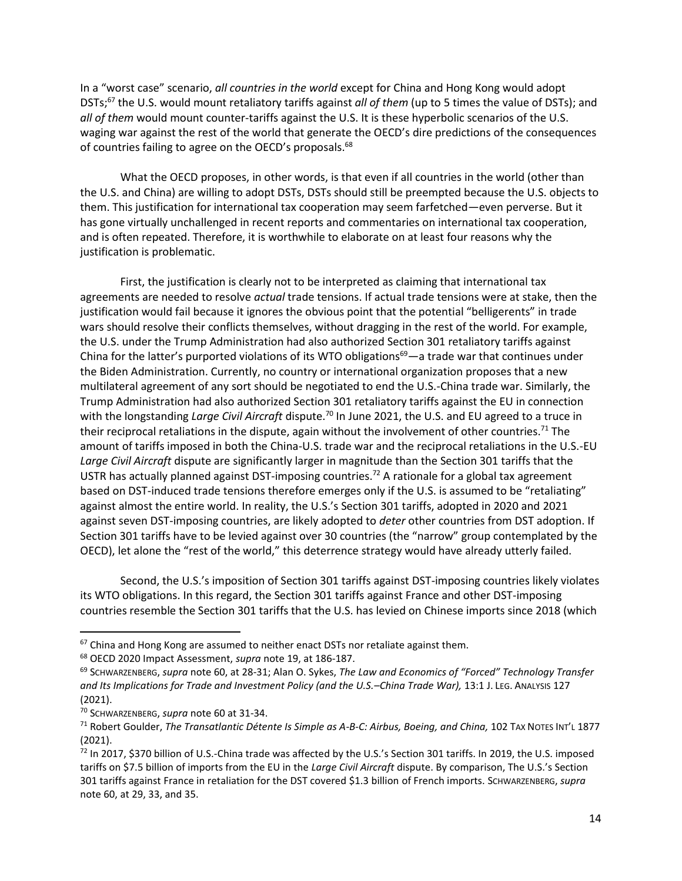In a "worst case" scenario, *all countries in the world* except for China and Hong Kong would adopt DSTs;<sup>67</sup> the U.S. would mount retaliatory tariffs against *all of them* (up to 5 times the value of DSTs); and *all of them* would mount counter-tariffs against the U.S. It is these hyperbolic scenarios of the U.S. waging war against the rest of the world that generate the OECD's dire predictions of the consequences of countries failing to agree on the OECD's proposals.<sup>68</sup>

What the OECD proposes, in other words, is that even if all countries in the world (other than the U.S. and China) are willing to adopt DSTs, DSTs should still be preempted because the U.S. objects to them. This justification for international tax cooperation may seem farfetched—even perverse. But it has gone virtually unchallenged in recent reports and commentaries on international tax cooperation, and is often repeated. Therefore, it is worthwhile to elaborate on at least four reasons why the justification is problematic.

<span id="page-14-0"></span>First, the justification is clearly not to be interpreted as claiming that international tax agreements are needed to resolve *actual* trade tensions. If actual trade tensions were at stake, then the justification would fail because it ignores the obvious point that the potential "belligerents" in trade wars should resolve their conflicts themselves, without dragging in the rest of the world. For example, the U.S. under the Trump Administration had also authorized Section 301 retaliatory tariffs against China for the latter's purported violations of its WTO obligations<sup>69</sup>—a trade war that continues under the Biden Administration. Currently, no country or international organization proposes that a new multilateral agreement of any sort should be negotiated to end the U.S.-China trade war. Similarly, the Trump Administration had also authorized Section 301 retaliatory tariffs against the EU in connection with the longstanding *Large Civil Aircraft* dispute.<sup>70</sup> In June 2021, the U.S. and EU agreed to a truce in their reciprocal retaliations in the dispute, again without the involvement of other countries.<sup>71</sup> The amount of tariffs imposed in both the China-U.S. trade war and the reciprocal retaliations in the U.S.-EU *Large Civil Aircraft* dispute are significantly larger in magnitude than the Section 301 tariffs that the USTR has actually planned against DST-imposing countries.<sup>72</sup> A rationale for a global tax agreement based on DST-induced trade tensions therefore emerges only if the U.S. is assumed to be "retaliating" against almost the entire world. In reality, the U.S.'s Section 301 tariffs, adopted in 2020 and 2021 against seven DST-imposing countries, are likely adopted to *deter* other countries from DST adoption. If Section 301 tariffs have to be levied against over 30 countries (the "narrow" group contemplated by the OECD), let alone the "rest of the world," this deterrence strategy would have already utterly failed.

Second, the U.S.'s imposition of Section 301 tariffs against DST-imposing countries likely violates its WTO obligations. In this regard, the Section 301 tariffs against France and other DST-imposing countries resemble the Section 301 tariffs that the U.S. has levied on Chinese imports since 2018 (which

 $67$  China and Hong Kong are assumed to neither enact DSTs nor retaliate against them.

<sup>68</sup> OECD 2020 Impact Assessment, *supra* note [19,](#page-5-0) at 186-187.

<sup>69</sup> SCHWARZENBERG, *supra* note [60,](#page-13-0) at 28-31; Alan O. Sykes, *The Law and Economics of "Forced" Technology Transfer and Its Implications for Trade and Investment Policy (and the U.S.–China Trade War),* 13:1 J. LEG. ANALYSIS 127 (2021).

<sup>70</sup> SCHWARZENBERG, *supra* note [60](#page-13-0) at 31-34.

<sup>71</sup> Robert Goulder, *The Transatlantic Détente Is Simple as A-B-C: Airbus, Boeing, and China, 102 TAX NOTES INT'L 1877* (2021).

 $72$  In 2017, \$370 billion of U.S.-China trade was affected by the U.S.'s Section 301 tariffs. In 2019, the U.S. imposed tariffs on \$7.5 billion of imports from the EU in the *Large Civil Aircraft* dispute. By comparison, The U.S.'s Section 301 tariffs against France in retaliation for the DST covered \$1.3 billion of French imports. SCHWARZENBERG, *supra* note [60,](#page-13-0) at 29, 33, and 35.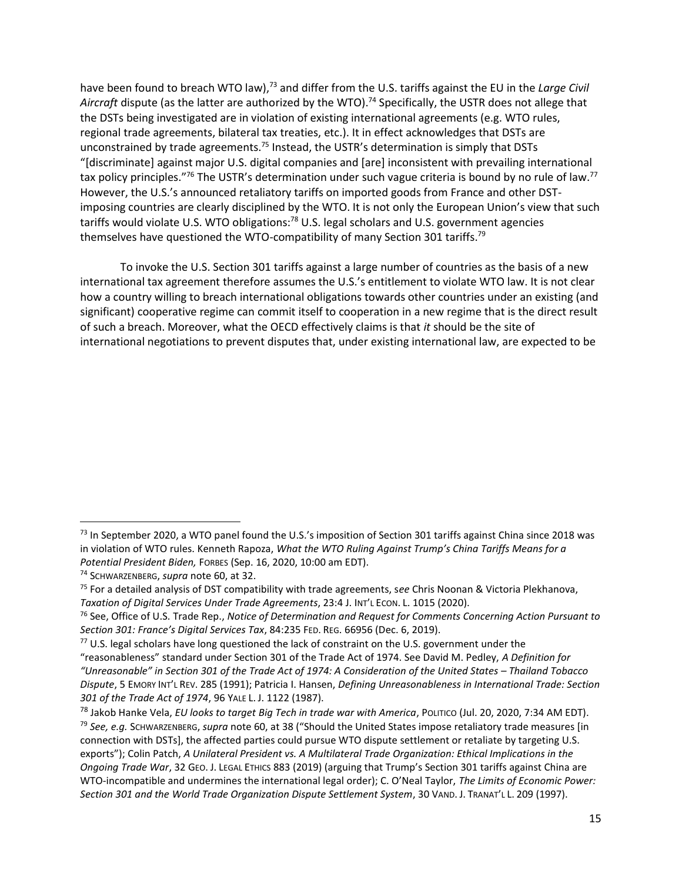have been found to breach WTO law),<sup>73</sup> and differ from the U.S. tariffs against the EU in the *Large Civil* Aircraft dispute (as the latter are authorized by the WTO).<sup>74</sup> Specifically, the USTR does not allege that the DSTs being investigated are in violation of existing international agreements (e.g. WTO rules, regional trade agreements, bilateral tax treaties, etc.). It in effect acknowledges that DSTs are unconstrained by trade agreements.<sup>75</sup> Instead, the USTR's determination is simply that DSTs "[discriminate] against major U.S. digital companies and [are] inconsistent with prevailing international tax policy principles."<sup>76</sup> The USTR's determination under such vague criteria is bound by no rule of law.<sup>77</sup> However, the U.S.'s announced retaliatory tariffs on imported goods from France and other DSTimposing countries are clearly disciplined by the WTO. It is not only the European Union's view that such tariffs would violate U.S. WTO obligations:<sup>78</sup> U.S. legal scholars and U.S. government agencies themselves have questioned the WTO-compatibility of many Section 301 tariffs.<sup>79</sup>

<span id="page-15-0"></span>To invoke the U.S. Section 301 tariffs against a large number of countries as the basis of a new international tax agreement therefore assumes the U.S.'s entitlement to violate WTO law. It is not clear how a country willing to breach international obligations towards other countries under an existing (and significant) cooperative regime can commit itself to cooperation in a new regime that is the direct result of such a breach. Moreover, what the OECD effectively claims is that *it* should be the site of international negotiations to prevent disputes that, under existing international law, are expected to be

 $<sup>73</sup>$  In September 2020, a WTO panel found the U.S.'s imposition of Section 301 tariffs against China since 2018 was</sup> in violation of WTO rules. Kenneth Rapoza, *What the WTO Ruling Against Trump's China Tariffs Means for a Potential President Biden,* FORBES (Sep. 16, 2020, 10:00 am EDT).

<sup>74</sup> SCHWARZENBERG, *supra* note [60,](#page-13-0) at 32.

<sup>75</sup> For a detailed analysis of DST compatibility with trade agreements, s*ee* Chris Noonan & Victoria Plekhanova, *Taxation of Digital Services Under Trade Agreements*, 23:4 J. INT'L ECON. L. 1015 (2020).

<sup>76</sup> See, Office of U.S. Trade Rep., *Notice of Determination and Request for Comments Concerning Action Pursuant to Section 301: France's Digital Services Tax*, 84:235 FED. REG. 66956 (Dec. 6, 2019).

 $77$  U.S. legal scholars have long questioned the lack of constraint on the U.S. government under the

<sup>&</sup>quot;reasonableness" standard under Section 301 of the Trade Act of 1974. See David M. Pedley, *A Definition for "Unreasonable" in Section 301 of the Trade Act of 1974: A Consideration of the United States – Thailand Tobacco Dispute*, 5 EMORY INT'L REV. 285 (1991); Patricia I. Hansen, *Defining Unreasonableness in International Trade: Section 301 of the Trade Act of 1974*, 96 YALE L. J. 1122 (1987).

<sup>78</sup> Jakob Hanke Vela, *EU looks to target Big Tech in trade war with America*, POLITICO (Jul. 20, 2020, 7:34 AM EDT). <sup>79</sup> *See, e.g.* SCHWARZENBERG, *supra* note [60](#page-13-0), at 38 ("Should the United States impose retaliatory trade measures [in connection with DSTs], the affected parties could pursue WTO dispute settlement or retaliate by targeting U.S. exports"); Colin Patch, *A Unilateral President vs. A Multilateral Trade Organization: Ethical Implications in the Ongoing Trade War*, 32 GEO. J. LEGAL ETHICS 883 (2019) (arguing that Trump's Section 301 tariffs against China are WTO-incompatible and undermines the international legal order); C. O'Neal Taylor, *The Limits of Economic Power: Section 301 and the World Trade Organization Dispute Settlement System*, 30 VAND. J. TRANAT'L L. 209 (1997).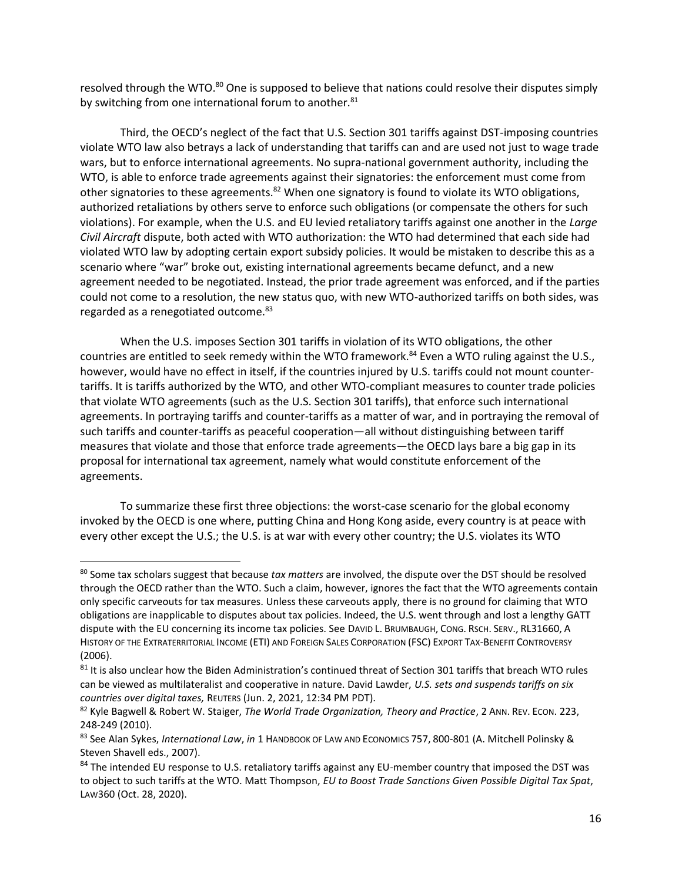resolved through the WTO.<sup>80</sup> One is supposed to believe that nations could resolve their disputes simply by switching from one international forum to another.<sup>81</sup>

<span id="page-16-1"></span>Third, the OECD's neglect of the fact that U.S. Section 301 tariffs against DST-imposing countries violate WTO law also betrays a lack of understanding that tariffs can and are used not just to wage trade wars, but to enforce international agreements. No supra-national government authority, including the WTO, is able to enforce trade agreements against their signatories: the enforcement must come from other signatories to these agreements.<sup>82</sup> When one signatory is found to violate its WTO obligations, authorized retaliations by others serve to enforce such obligations (or compensate the others for such violations). For example, when the U.S. and EU levied retaliatory tariffs against one another in the *Large Civil Aircraft* dispute, both acted with WTO authorization: the WTO had determined that each side had violated WTO law by adopting certain export subsidy policies. It would be mistaken to describe this as a scenario where "war" broke out, existing international agreements became defunct, and a new agreement needed to be negotiated. Instead, the prior trade agreement was enforced, and if the parties could not come to a resolution, the new status quo, with new WTO-authorized tariffs on both sides, was regarded as a renegotiated outcome.<sup>83</sup>

<span id="page-16-0"></span>When the U.S. imposes Section 301 tariffs in violation of its WTO obligations, the other countries are entitled to seek remedy within the WTO framework.<sup>84</sup> Even a WTO ruling against the U.S., however, would have no effect in itself, if the countries injured by U.S. tariffs could not mount countertariffs. It is tariffs authorized by the WTO, and other WTO-compliant measures to counter trade policies that violate WTO agreements (such as the U.S. Section 301 tariffs), that enforce such international agreements. In portraying tariffs and counter-tariffs as a matter of war, and in portraying the removal of such tariffs and counter-tariffs as peaceful cooperation—all without distinguishing between tariff measures that violate and those that enforce trade agreements—the OECD lays bare a big gap in its proposal for international tax agreement, namely what would constitute enforcement of the agreements.

To summarize these first three objections: the worst-case scenario for the global economy invoked by the OECD is one where, putting China and Hong Kong aside, every country is at peace with every other except the U.S.; the U.S. is at war with every other country; the U.S. violates its WTO

<sup>80</sup> Some tax scholars suggest that because *tax matters* are involved, the dispute over the DST should be resolved through the OECD rather than the WTO. Such a claim, however, ignores the fact that the WTO agreements contain only specific carveouts for tax measures. Unless these carveouts apply, there is no ground for claiming that WTO obligations are inapplicable to disputes about tax policies. Indeed, the U.S. went through and lost a lengthy GATT dispute with the EU concerning its income tax policies. See DAVID L. BRUMBAUGH, CONG. RSCH. SERV., RL31660, A HISTORY OF THE EXTRATERRITORIAL INCOME (ETI) AND FOREIGN SALES CORPORATION (FSC) EXPORT TAX-BENEFIT CONTROVERSY (2006).

<sup>&</sup>lt;sup>81</sup> It is also unclear how the Biden Administration's continued threat of Section 301 tariffs that breach WTO rules can be viewed as multilateralist and cooperative in nature. David Lawder, *U.S. sets and suspends tariffs on six countries over digital taxes,* REUTERS (Jun. 2, 2021, 12:34 PM PDT).

<sup>82</sup> Kyle Bagwell & Robert W. Staiger, *The World Trade Organization, Theory and Practice*, 2 ANN. REV. ECON. 223, 248-249 (2010).

<sup>83</sup> See Alan Sykes, *International Law*, *in* 1 HANDBOOK OF LAW AND ECONOMICS 757, 800-801 (A. Mitchell Polinsky & Steven Shavell eds., 2007).

<sup>84</sup> The intended EU response to U.S. retaliatory tariffs against any EU-member country that imposed the DST was to object to such tariffs at the WTO. Matt Thompson, *EU to Boost Trade Sanctions Given Possible Digital Tax Spat*, LAW360 (Oct. 28, 2020).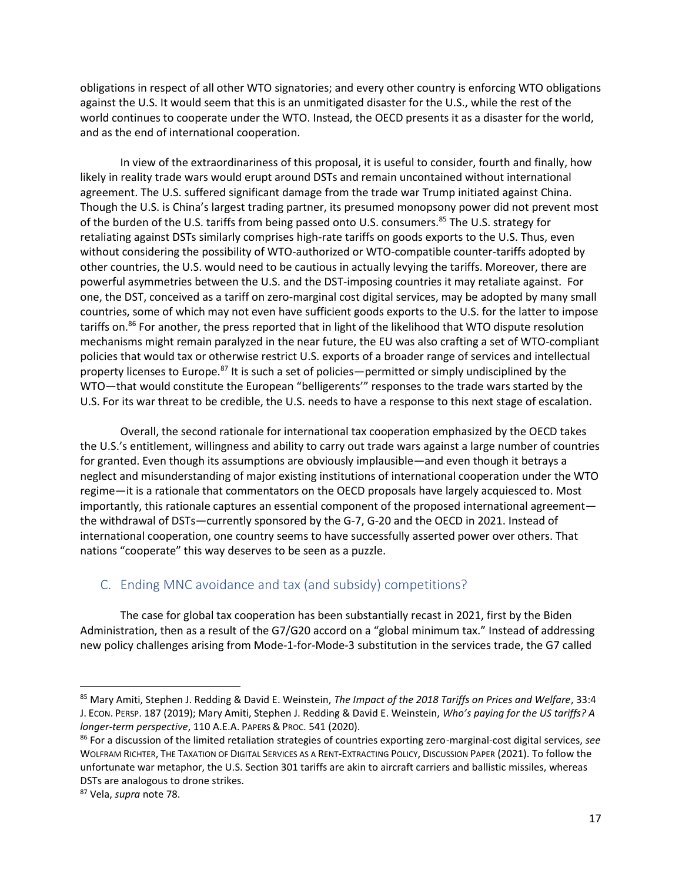obligations in respect of all other WTO signatories; and every other country is enforcing WTO obligations against the U.S. It would seem that this is an unmitigated disaster for the U.S., while the rest of the world continues to cooperate under the WTO. Instead, the OECD presents it as a disaster for the world, and as the end of international cooperation.

In view of the extraordinariness of this proposal, it is useful to consider, fourth and finally, how likely in reality trade wars would erupt around DSTs and remain uncontained without international agreement. The U.S. suffered significant damage from the trade war Trump initiated against China. Though the U.S. is China's largest trading partner, its presumed monopsony power did not prevent most of the burden of the U.S. tariffs from being passed onto U.S. consumers.<sup>85</sup> The U.S. strategy for retaliating against DSTs similarly comprises high-rate tariffs on goods exports to the U.S. Thus, even without considering the possibility of WTO-authorized or WTO-compatible counter-tariffs adopted by other countries, the U.S. would need to be cautious in actually levying the tariffs. Moreover, there are powerful asymmetries between the U.S. and the DST-imposing countries it may retaliate against. For one, the DST, conceived as a tariff on zero-marginal cost digital services, may be adopted by many small countries, some of which may not even have sufficient goods exports to the U.S. for the latter to impose tariffs on.<sup>86</sup> For another, the press reported that in light of the likelihood that WTO dispute resolution mechanisms might remain paralyzed in the near future, the EU was also crafting a set of WTO-compliant policies that would tax or otherwise restrict U.S. exports of a broader range of services and intellectual property licenses to Europe.<sup>87</sup> It is such a set of policies—permitted or simply undisciplined by the WTO—that would constitute the European "belligerents'" responses to the trade wars started by the U.S. For its war threat to be credible, the U.S. needs to have a response to this next stage of escalation.

<span id="page-17-2"></span><span id="page-17-1"></span>Overall, the second rationale for international tax cooperation emphasized by the OECD takes the U.S.'s entitlement, willingness and ability to carry out trade wars against a large number of countries for granted. Even though its assumptions are obviously implausible—and even though it betrays a neglect and misunderstanding of major existing institutions of international cooperation under the WTO regime—it is a rationale that commentators on the OECD proposals have largely acquiesced to. Most importantly, this rationale captures an essential component of the proposed international agreement the withdrawal of DSTs—currently sponsored by the G-7, G-20 and the OECD in 2021. Instead of international cooperation, one country seems to have successfully asserted power over others. That nations "cooperate" this way deserves to be seen as a puzzle.

## <span id="page-17-0"></span>C. Ending MNC avoidance and tax (and subsidy) competitions?

The case for global tax cooperation has been substantially recast in 2021, first by the Biden Administration, then as a result of the G7/G20 accord on a "global minimum tax." Instead of addressing new policy challenges arising from Mode-1-for-Mode-3 substitution in the services trade, the G7 called

<sup>85</sup> Mary Amiti, Stephen J. Redding & David E. Weinstein, *The Impact of the 2018 Tariffs on Prices and Welfare*, 33:4 J. ECON. PERSP. 187 (2019); Mary Amiti, Stephen J. Redding & David E. Weinstein, *Who's paying for the US tariffs? A longer-term perspective*, 110 A.E.A. PAPERS & PROC. 541 (2020).

<sup>86</sup> For a discussion of the limited retaliation strategies of countries exporting zero-marginal-cost digital services, *see* WOLFRAM RICHTER, THE TAXATION OF DIGITAL SERVICES AS A RENT-EXTRACTING POLICY, DISCUSSION PAPER (2021). To follow the unfortunate war metaphor, the U.S. Section 301 tariffs are akin to aircraft carriers and ballistic missiles, whereas DSTs are analogous to drone strikes.

<sup>87</sup> Vela, *supra* not[e 78.](#page-15-0)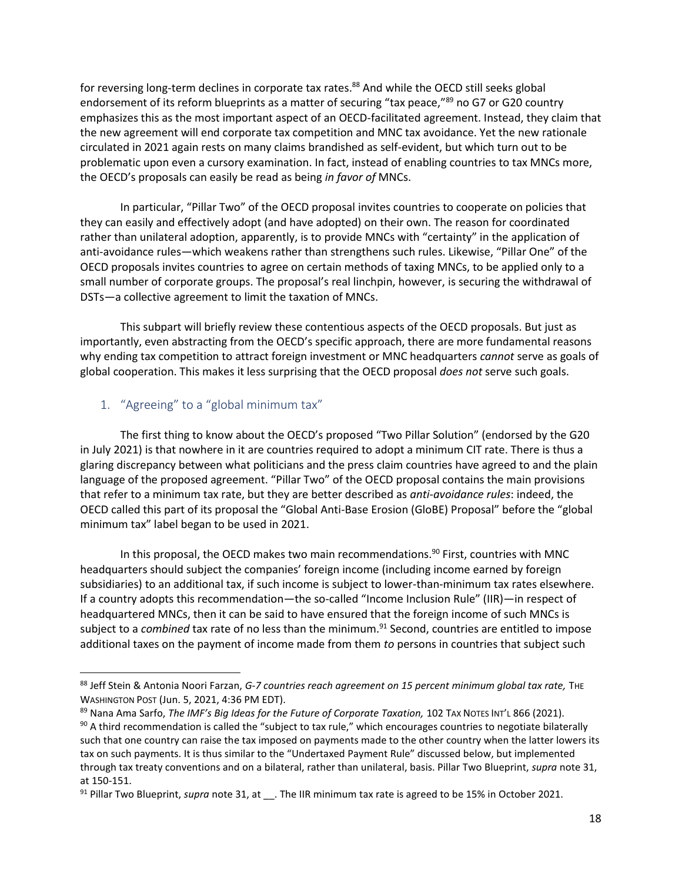for reversing long-term declines in corporate tax rates.<sup>88</sup> And while the OECD still seeks global endorsement of its reform blueprints as a matter of securing "tax peace,"<sup>89</sup> no G7 or G20 country emphasizes this as the most important aspect of an OECD-facilitated agreement. Instead, they claim that the new agreement will end corporate tax competition and MNC tax avoidance. Yet the new rationale circulated in 2021 again rests on many claims brandished as self-evident, but which turn out to be problematic upon even a cursory examination. In fact, instead of enabling countries to tax MNCs more, the OECD's proposals can easily be read as being *in favor of* MNCs.

In particular, "Pillar Two" of the OECD proposal invites countries to cooperate on policies that they can easily and effectively adopt (and have adopted) on their own. The reason for coordinated rather than unilateral adoption, apparently, is to provide MNCs with "certainty" in the application of anti-avoidance rules—which weakens rather than strengthens such rules. Likewise, "Pillar One" of the OECD proposals invites countries to agree on certain methods of taxing MNCs, to be applied only to a small number of corporate groups. The proposal's real linchpin, however, is securing the withdrawal of DSTs—a collective agreement to limit the taxation of MNCs.

This subpart will briefly review these contentious aspects of the OECD proposals. But just as importantly, even abstracting from the OECD's specific approach, there are more fundamental reasons why ending tax competition to attract foreign investment or MNC headquarters *cannot* serve as goals of global cooperation. This makes it less surprising that the OECD proposal *does not* serve such goals.

## <span id="page-18-0"></span>1. "Agreeing" to a "global minimum tax"

 $\overline{\phantom{a}}$ 

The first thing to know about the OECD's proposed "Two Pillar Solution" (endorsed by the G20 in July 2021) is that nowhere in it are countries required to adopt a minimum CIT rate. There is thus a glaring discrepancy between what politicians and the press claim countries have agreed to and the plain language of the proposed agreement. "Pillar Two" of the OECD proposal contains the main provisions that refer to a minimum tax rate, but they are better described as *anti-avoidance rules*: indeed, the OECD called this part of its proposal the "Global Anti-Base Erosion (GloBE) Proposal" before the "global minimum tax" label began to be used in 2021.

In this proposal, the OECD makes two main recommendations.<sup>90</sup> First, countries with MNC headquarters should subject the companies' foreign income (including income earned by foreign subsidiaries) to an additional tax, if such income is subject to lower-than-minimum tax rates elsewhere. If a country adopts this recommendation—the so-called "Income Inclusion Rule" (IIR)—in respect of headquartered MNCs, then it can be said to have ensured that the foreign income of such MNCs is subject to a *combined* tax rate of no less than the minimum.<sup>91</sup> Second, countries are entitled to impose additional taxes on the payment of income made from them *to* persons in countries that subject such

<sup>88</sup> Jeff Stein & Antonia Noori Farzan, *G-7 countries reach agreement on 15 percent minimum global tax rate*, THE WASHINGTON POST (Jun. 5, 2021, 4:36 PM EDT).

<sup>89</sup> Nana Ama Sarfo, *The IMF's Big Ideas for the Future of Corporate Taxation*, 102 TAX NOTES INT'L 866 (2021).  $90$  A third recommendation is called the "subject to tax rule," which encourages countries to negotiate bilaterally such that one country can raise the tax imposed on payments made to the other country when the latter lowers its tax on such payments. It is thus similar to the "Undertaxed Payment Rule" discussed below, but implemented through tax treaty conventions and on a bilateral, rather than unilateral, basis. Pillar Two Blueprint, *supra* not[e 31,](#page-7-1) at 150-151.

<sup>&</sup>lt;sup>91</sup> Pillar Two Blueprint, *supra* not[e 31,](#page-7-1) at \_\_. The IIR minimum tax rate is agreed to be 15% in October 2021.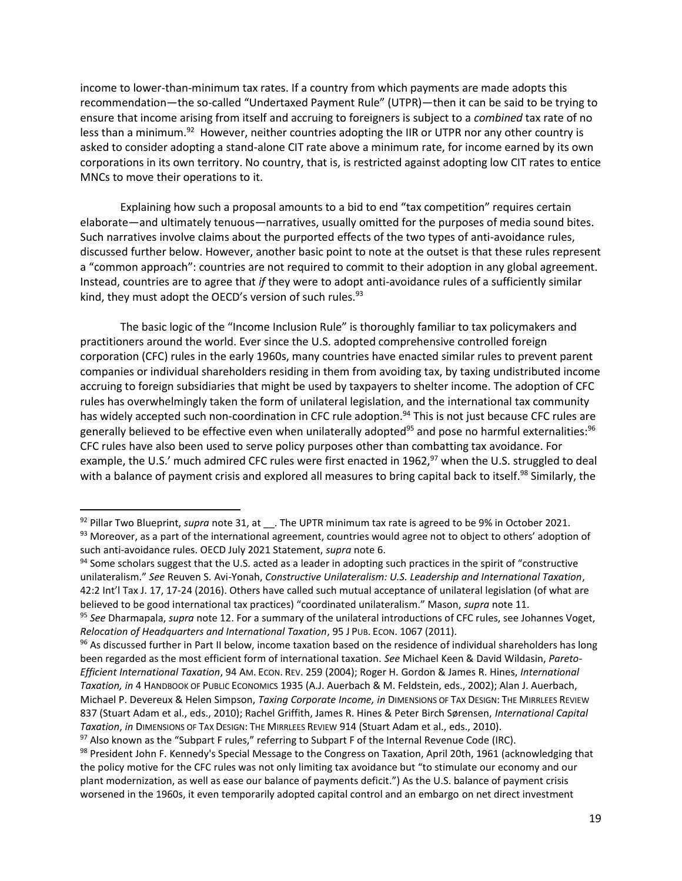income to lower-than-minimum tax rates. If a country from which payments are made adopts this recommendation—the so-called "Undertaxed Payment Rule" (UTPR)—then it can be said to be trying to ensure that income arising from itself and accruing to foreigners is subject to a *combined* tax rate of no less than a minimum.<sup>92</sup> However, neither countries adopting the IIR or UTPR nor any other country is asked to consider adopting a stand-alone CIT rate above a minimum rate, for income earned by its own corporations in its own territory. No country, that is, is restricted against adopting low CIT rates to entice MNCs to move their operations to it.

Explaining how such a proposal amounts to a bid to end "tax competition" requires certain elaborate—and ultimately tenuous—narratives, usually omitted for the purposes of media sound bites. Such narratives involve claims about the purported effects of the two types of anti-avoidance rules, discussed further below. However, another basic point to note at the outset is that these rules represent a "common approach": countries are not required to commit to their adoption in any global agreement. Instead, countries are to agree that *if* they were to adopt anti-avoidance rules of a sufficiently similar kind, they must adopt the OECD's version of such rules.<sup>93</sup>

The basic logic of the "Income Inclusion Rule" is thoroughly familiar to tax policymakers and practitioners around the world. Ever since the U.S. adopted comprehensive controlled foreign corporation (CFC) rules in the early 1960s, many countries have enacted similar rules to prevent parent companies or individual shareholders residing in them from avoiding tax, by taxing undistributed income accruing to foreign subsidiaries that might be used by taxpayers to shelter income. The adoption of CFC rules has overwhelmingly taken the form of unilateral legislation, and the international tax community has widely accepted such non-coordination in CFC rule adoption.<sup>94</sup> This is not just because CFC rules are generally believed to be effective even when unilaterally adopted<sup>95</sup> and pose no harmful externalities:<sup>96</sup> CFC rules have also been used to serve policy purposes other than combatting tax avoidance. For example, the U.S.' much admired CFC rules were first enacted in 1962, $97$  when the U.S. struggled to deal with a balance of payment crisis and explored all measures to bring capital back to itself.<sup>98</sup> Similarly, the

<span id="page-19-1"></span><span id="page-19-0"></span><sup>92</sup> Pillar Two Blueprint, *supra* not[e 31,](#page-7-1) at \_\_. The UPTR minimum tax rate is agreed to be 9% in October 2021. 93 Moreover, as a part of the international agreement, countries would agree not to object to others' adoption of such anti-avoidance rules. OECD July 2021 Statement, *supra* note [6.](#page-3-0)

<sup>94</sup> Some scholars suggest that the U.S. acted as a leader in adopting such practices in the spirit of "constructive unilateralism." *See* Reuven S. Avi-Yonah, *Constructive Unilateralism: U.S. Leadership and International Taxation*, 42:2 Int'l Tax J. 17, 17-24 (2016). Others have called such mutual acceptance of unilateral legislation (of what are believed to be good international tax practices) "coordinated unilateralism." Mason, *supra* note [11.](#page-3-1)

<sup>95</sup> *See* Dharmapala, *supra* not[e 12.](#page-3-2) For a summary of the unilateral introductions of CFC rules, see Johannes Voget, *Relocation of Headquarters and International Taxation*, 95 J PUB. ECON. 1067 (2011).

<sup>96</sup> As discussed further in Part II below, income taxation based on the residence of individual shareholders has long been regarded as the most efficient form of international taxation. *See* Michael Keen & David Wildasin, *Pareto-Efficient International Taxation*, 94 AM. ECON. REV. 259 (2004); Roger H. Gordon & James R. Hines, *International Taxation, in* 4 HANDBOOK OF PUBLIC ECONOMICS 1935 (A.J. Auerbach & M. Feldstein, eds., 2002); Alan J. Auerbach, Michael P. Devereux & Helen Simpson, *Taxing Corporate Income, in* DIMENSIONS OF TAX DESIGN: THE MIRRLEES REVIEW 837 (Stuart Adam et al., eds., 2010); Rachel Griffith, James R. Hines & Peter Birch Sørensen, *International Capital Taxation*, *in* DIMENSIONS OF TAX DESIGN: THE MIRRLEES REVIEW 914 (Stuart Adam et al., eds., 2010).

 $97$  Also known as the "Subpart F rules," referring to Subpart F of the Internal Revenue Code (IRC).

<sup>98</sup> President John F. Kennedy's Special Message to the Congress on Taxation, April 20th, 1961 (acknowledging that the policy motive for the CFC rules was not only limiting tax avoidance but "to stimulate our economy and our plant modernization, as well as ease our balance of payments deficit.") As the U.S. balance of payment crisis worsened in the 1960s, it even temporarily adopted capital control and an embargo on net direct investment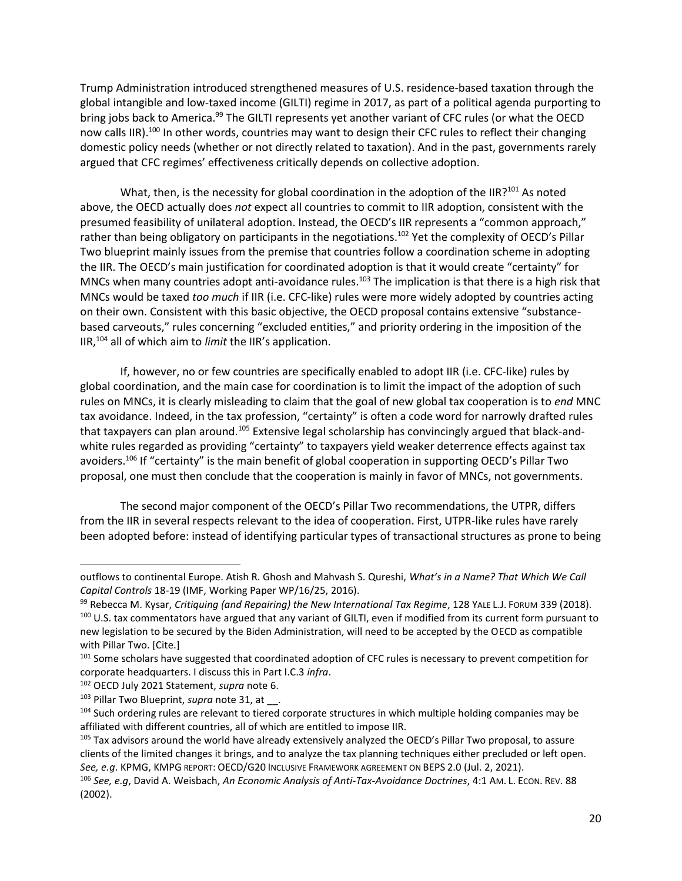Trump Administration introduced strengthened measures of U.S. residence-based taxation through the global intangible and low-taxed income (GILTI) regime in 2017, as part of a political agenda purporting to bring jobs back to America.<sup>99</sup> The GILTI represents yet another variant of CFC rules (or what the OECD now calls IIR).<sup>100</sup> In other words, countries may want to design their CFC rules to reflect their changing domestic policy needs (whether or not directly related to taxation). And in the past, governments rarely argued that CFC regimes' effectiveness critically depends on collective adoption.

What, then, is the necessity for global coordination in the adoption of the IIR?<sup>101</sup> As noted above, the OECD actually does *not* expect all countries to commit to IIR adoption, consistent with the presumed feasibility of unilateral adoption. Instead, the OECD's IIR represents a "common approach," rather than being obligatory on participants in the negotiations.<sup>102</sup> Yet the complexity of OECD's Pillar Two blueprint mainly issues from the premise that countries follow a coordination scheme in adopting the IIR. The OECD's main justification for coordinated adoption is that it would create "certainty" for MNCs when many countries adopt anti-avoidance rules.<sup>103</sup> The implication is that there is a high risk that MNCs would be taxed *too much* if IIR (i.e. CFC-like) rules were more widely adopted by countries acting on their own. Consistent with this basic objective, the OECD proposal contains extensive "substancebased carveouts," rules concerning "excluded entities," and priority ordering in the imposition of the IIR,<sup>104</sup> all of which aim to *limit* the IIR's application.

If, however, no or few countries are specifically enabled to adopt IIR (i.e. CFC-like) rules by global coordination, and the main case for coordination is to limit the impact of the adoption of such rules on MNCs, it is clearly misleading to claim that the goal of new global tax cooperation is to *end* MNC tax avoidance. Indeed, in the tax profession, "certainty" is often a code word for narrowly drafted rules that taxpayers can plan around.<sup>105</sup> Extensive legal scholarship has convincingly argued that black-andwhite rules regarded as providing "certainty" to taxpayers yield weaker deterrence effects against tax avoiders.<sup>106</sup> If "certainty" is the main benefit of global cooperation in supporting OECD's Pillar Two proposal, one must then conclude that the cooperation is mainly in favor of MNCs, not governments.

The second major component of the OECD's Pillar Two recommendations, the UTPR, differs from the IIR in several respects relevant to the idea of cooperation. First, UTPR-like rules have rarely been adopted before: instead of identifying particular types of transactional structures as prone to being

l

outflows to continental Europe. Atish R. Ghosh and Mahvash S. Qureshi, *What's in a Name? That Which We Call Capital Controls* 18-19 (IMF, Working Paper WP/16/25, 2016).

<sup>99</sup> Rebecca M. Kysar, *Critiquing (and Repairing) the New International Tax Regime*, 128 YALE L.J. FORUM 339 (2018). 100 U.S. tax commentators have argued that any variant of GILTI, even if modified from its current form pursuant to new legislation to be secured by the Biden Administration, will need to be accepted by the OECD as compatible with Pillar Two. [Cite.]

<sup>&</sup>lt;sup>101</sup> Some scholars have suggested that coordinated adoption of CFC rules is necessary to prevent competition for corporate headquarters. I discuss this in Part I.C.3 *infra*.

<sup>102</sup> OECD July 2021 Statement, *supra* note [6.](#page-3-0)

<sup>103</sup> Pillar Two Blueprint, *supra* note [31,](#page-7-1) at \_\_.

<sup>&</sup>lt;sup>104</sup> Such ordering rules are relevant to tiered corporate structures in which multiple holding companies may be affiliated with different countries, all of which are entitled to impose IIR.

<sup>&</sup>lt;sup>105</sup> Tax advisors around the world have already extensively analyzed the OECD's Pillar Two proposal, to assure clients of the limited changes it brings, and to analyze the tax planning techniques either precluded or left open. *See, e.g*. KPMG, KMPG REPORT: OECD/G20 INCLUSIVE FRAMEWORK AGREEMENT ON BEPS 2.0 (Jul. 2, 2021).

<sup>106</sup> *See, e.g*, David A. Weisbach, *An Economic Analysis of Anti-Tax-Avoidance Doctrines*, 4:1 AM. L. ECON. REV. 88 (2002).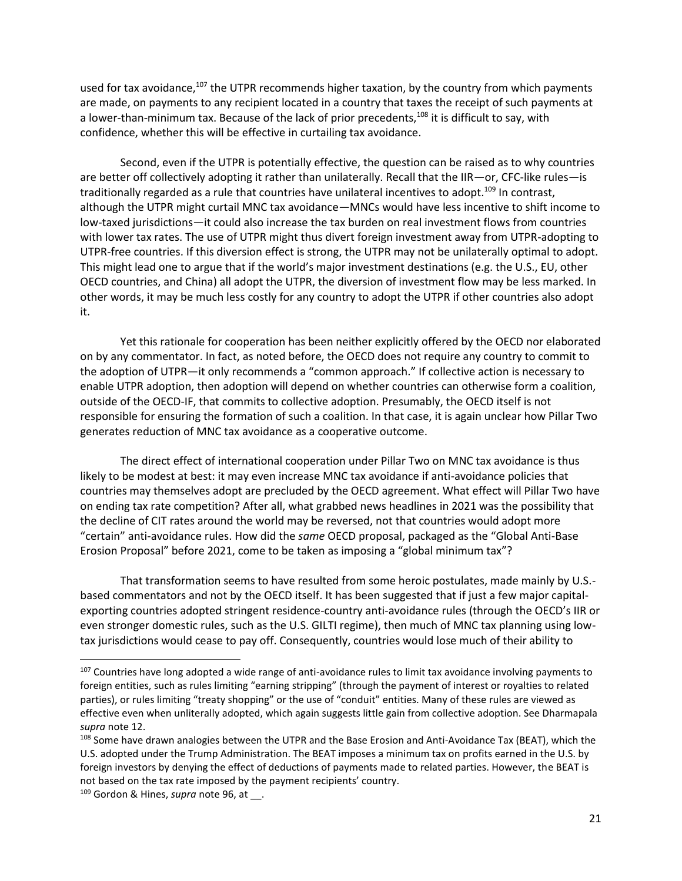used for tax avoidance, $107$  the UTPR recommends higher taxation, by the country from which payments are made, on payments to any recipient located in a country that taxes the receipt of such payments at a lower-than-minimum tax. Because of the lack of prior precedents,<sup>108</sup> it is difficult to say, with confidence, whether this will be effective in curtailing tax avoidance.

Second, even if the UTPR is potentially effective, the question can be raised as to why countries are better off collectively adopting it rather than unilaterally. Recall that the IIR—or, CFC-like rules—is traditionally regarded as a rule that countries have unilateral incentives to adopt.<sup>109</sup> In contrast, although the UTPR might curtail MNC tax avoidance—MNCs would have less incentive to shift income to low-taxed jurisdictions—it could also increase the tax burden on real investment flows from countries with lower tax rates. The use of UTPR might thus divert foreign investment away from UTPR-adopting to UTPR-free countries. If this diversion effect is strong, the UTPR may not be unilaterally optimal to adopt. This might lead one to argue that if the world's major investment destinations (e.g. the U.S., EU, other OECD countries, and China) all adopt the UTPR, the diversion of investment flow may be less marked. In other words, it may be much less costly for any country to adopt the UTPR if other countries also adopt it.

Yet this rationale for cooperation has been neither explicitly offered by the OECD nor elaborated on by any commentator. In fact, as noted before, the OECD does not require any country to commit to the adoption of UTPR—it only recommends a "common approach." If collective action is necessary to enable UTPR adoption, then adoption will depend on whether countries can otherwise form a coalition, outside of the OECD-IF, that commits to collective adoption. Presumably, the OECD itself is not responsible for ensuring the formation of such a coalition. In that case, it is again unclear how Pillar Two generates reduction of MNC tax avoidance as a cooperative outcome.

The direct effect of international cooperation under Pillar Two on MNC tax avoidance is thus likely to be modest at best: it may even increase MNC tax avoidance if anti-avoidance policies that countries may themselves adopt are precluded by the OECD agreement. What effect will Pillar Two have on ending tax rate competition? After all, what grabbed news headlines in 2021 was the possibility that the decline of CIT rates around the world may be reversed, not that countries would adopt more "certain" anti-avoidance rules. How did the *same* OECD proposal, packaged as the "Global Anti-Base Erosion Proposal" before 2021, come to be taken as imposing a "global minimum tax"?

That transformation seems to have resulted from some heroic postulates, made mainly by U.S. based commentators and not by the OECD itself. It has been suggested that if just a few major capitalexporting countries adopted stringent residence-country anti-avoidance rules (through the OECD's IIR or even stronger domestic rules, such as the U.S. GILTI regime), then much of MNC tax planning using lowtax jurisdictions would cease to pay off. Consequently, countries would lose much of their ability to

<sup>&</sup>lt;sup>107</sup> Countries have long adopted a wide range of anti-avoidance rules to limit tax avoidance involving payments to foreign entities, such as rules limiting "earning stripping" (through the payment of interest or royalties to related parties), or rules limiting "treaty shopping" or the use of "conduit" entities. Many of these rules are viewed as effective even when unliterally adopted, which again suggests little gain from collective adoption. See Dharmapala *supra* note [12.](#page-3-2)

<sup>108</sup> Some have drawn analogies between the UTPR and the Base Erosion and Anti-Avoidance Tax (BEAT), which the U.S. adopted under the Trump Administration. The BEAT imposes a minimum tax on profits earned in the U.S. by foreign investors by denying the effect of deductions of payments made to related parties. However, the BEAT is not based on the tax rate imposed by the payment recipients' country.

<sup>&</sup>lt;sup>109</sup> Gordon & Hines, *supra* note [96,](#page-19-0) at \_\_.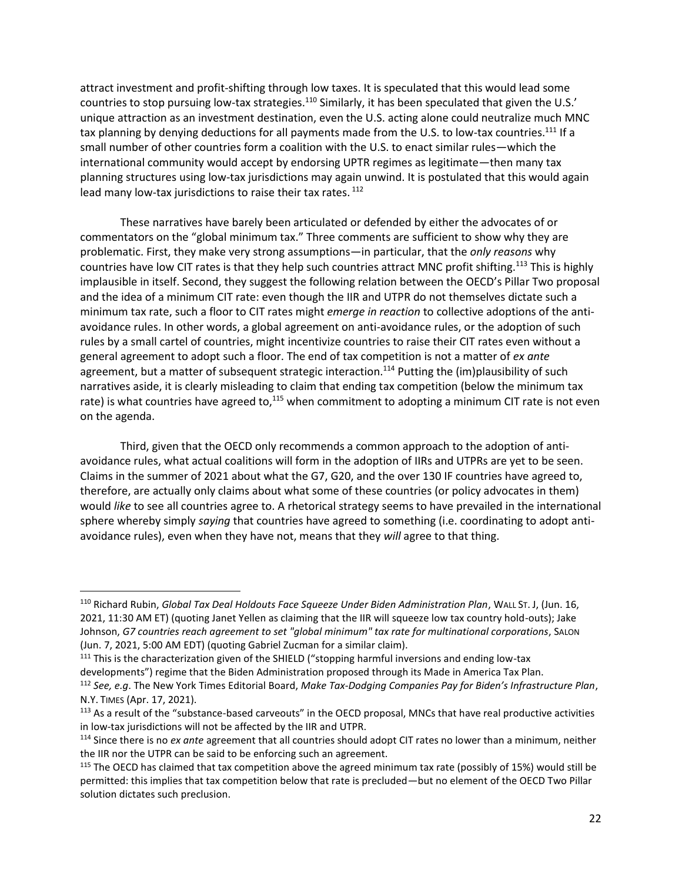<span id="page-22-0"></span>attract investment and profit-shifting through low taxes. It is speculated that this would lead some countries to stop pursuing low-tax strategies.<sup>110</sup> Similarly, it has been speculated that given the U.S.' unique attraction as an investment destination, even the U.S. acting alone could neutralize much MNC tax planning by denying deductions for all payments made from the U.S. to low-tax countries.<sup>111</sup> If a small number of other countries form a coalition with the U.S. to enact similar rules—which the international community would accept by endorsing UPTR regimes as legitimate—then many tax planning structures using low-tax jurisdictions may again unwind. It is postulated that this would again lead many low-tax jurisdictions to raise their tax rates.<sup>112</sup>

<span id="page-22-1"></span>These narratives have barely been articulated or defended by either the advocates of or commentators on the "global minimum tax." Three comments are sufficient to show why they are problematic. First, they make very strong assumptions—in particular, that the *only reasons* why countries have low CIT rates is that they help such countries attract MNC profit shifting.<sup>113</sup> This is highly implausible in itself. Second, they suggest the following relation between the OECD's Pillar Two proposal and the idea of a minimum CIT rate: even though the IIR and UTPR do not themselves dictate such a minimum tax rate, such a floor to CIT rates might *emerge in reaction* to collective adoptions of the antiavoidance rules. In other words, a global agreement on anti-avoidance rules, or the adoption of such rules by a small cartel of countries, might incentivize countries to raise their CIT rates even without a general agreement to adopt such a floor. The end of tax competition is not a matter of *ex ante* agreement, but a matter of subsequent strategic interaction.<sup>114</sup> Putting the (im)plausibility of such narratives aside, it is clearly misleading to claim that ending tax competition (below the minimum tax rate) is what countries have agreed to,<sup>115</sup> when commitment to adopting a minimum CIT rate is not even on the agenda.

Third, given that the OECD only recommends a common approach to the adoption of antiavoidance rules, what actual coalitions will form in the adoption of IIRs and UTPRs are yet to be seen. Claims in the summer of 2021 about what the G7, G20, and the over 130 IF countries have agreed to, therefore, are actually only claims about what some of these countries (or policy advocates in them) would *like* to see all countries agree to. A rhetorical strategy seems to have prevailed in the international sphere whereby simply *saying* that countries have agreed to something (i.e. coordinating to adopt antiavoidance rules), even when they have not, means that they *will* agree to that thing.

<sup>110</sup> Richard Rubin, *Global Tax Deal Holdouts Face Squeeze Under Biden Administration Plan*, WALL ST. J, (Jun. 16, 2021, 11:30 AM ET) (quoting Janet Yellen as claiming that the IIR will squeeze low tax country hold-outs); Jake Johnson, *G7 countries reach agreement to set "global minimum" tax rate for multinational corporations*, SALON (Jun. 7, 2021, 5:00 AM EDT) (quoting Gabriel Zucman for a similar claim).

<sup>&</sup>lt;sup>111</sup> This is the characterization given of the SHIELD ("stopping harmful inversions and ending low-tax developments") regime that the Biden Administration proposed through its Made in America Tax Plan.

<sup>112</sup> *See, e.g*. The New York Times Editorial Board, *Make Tax-Dodging Companies Pay for Biden's Infrastructure Plan*, N.Y. TIMES (Apr. 17, 2021).

<sup>&</sup>lt;sup>113</sup> As a result of the "substance-based carveouts" in the OECD proposal, MNCs that have real productive activities in low-tax jurisdictions will not be affected by the IIR and UTPR.

<sup>114</sup> Since there is no *ex ante* agreement that all countries should adopt CIT rates no lower than a minimum, neither the IIR nor the UTPR can be said to be enforcing such an agreement.

<sup>&</sup>lt;sup>115</sup> The OECD has claimed that tax competition above the agreed minimum tax rate (possibly of 15%) would still be permitted: this implies that tax competition below that rate is precluded—but no element of the OECD Two Pillar solution dictates such preclusion.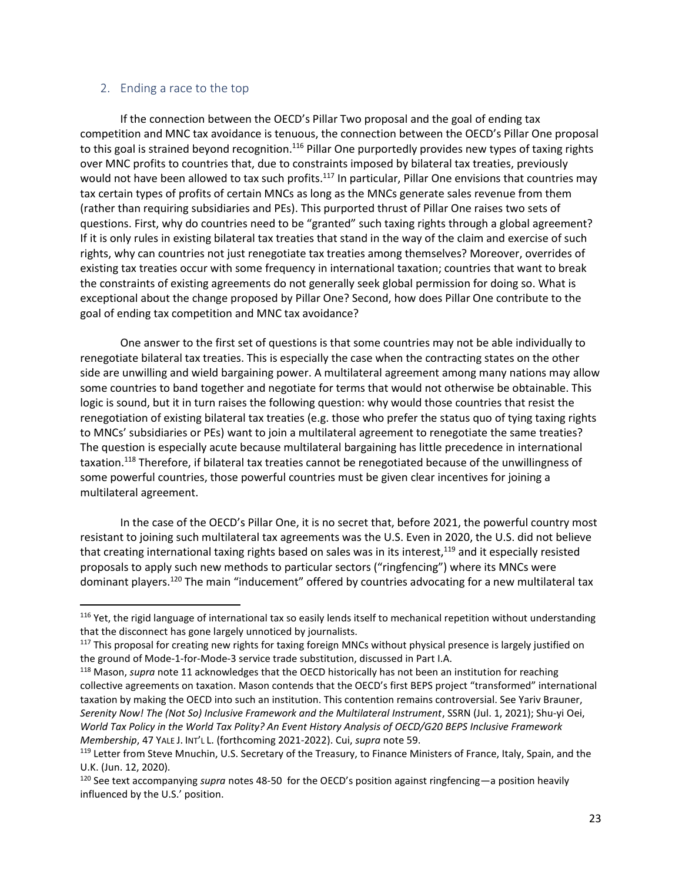#### <span id="page-23-0"></span>2. Ending a race to the top

 $\overline{\phantom{a}}$ 

If the connection between the OECD's Pillar Two proposal and the goal of ending tax competition and MNC tax avoidance is tenuous, the connection between the OECD's Pillar One proposal to this goal is strained beyond recognition.<sup>116</sup> Pillar One purportedly provides new types of taxing rights over MNC profits to countries that, due to constraints imposed by bilateral tax treaties, previously would not have been allowed to tax such profits.<sup>117</sup> In particular, Pillar One envisions that countries may tax certain types of profits of certain MNCs as long as the MNCs generate sales revenue from them (rather than requiring subsidiaries and PEs). This purported thrust of Pillar One raises two sets of questions. First, why do countries need to be "granted" such taxing rights through a global agreement? If it is only rules in existing bilateral tax treaties that stand in the way of the claim and exercise of such rights, why can countries not just renegotiate tax treaties among themselves? Moreover, overrides of existing tax treaties occur with some frequency in international taxation; countries that want to break the constraints of existing agreements do not generally seek global permission for doing so. What is exceptional about the change proposed by Pillar One? Second, how does Pillar One contribute to the goal of ending tax competition and MNC tax avoidance?

One answer to the first set of questions is that some countries may not be able individually to renegotiate bilateral tax treaties. This is especially the case when the contracting states on the other side are unwilling and wield bargaining power. A multilateral agreement among many nations may allow some countries to band together and negotiate for terms that would not otherwise be obtainable. This logic is sound, but it in turn raises the following question: why would those countries that resist the renegotiation of existing bilateral tax treaties (e.g. those who prefer the status quo of tying taxing rights to MNCs' subsidiaries or PEs) want to join a multilateral agreement to renegotiate the same treaties? The question is especially acute because multilateral bargaining has little precedence in international taxation.<sup>118</sup> Therefore, if bilateral tax treaties cannot be renegotiated because of the unwillingness of some powerful countries, those powerful countries must be given clear incentives for joining a multilateral agreement.

In the case of the OECD's Pillar One, it is no secret that, before 2021, the powerful country most resistant to joining such multilateral tax agreements was the U.S. Even in 2020, the U.S. did not believe that creating international taxing rights based on sales was in its interest,<sup>119</sup> and it especially resisted proposals to apply such new methods to particular sectors ("ringfencing") where its MNCs were dominant players.<sup>120</sup> The main "inducement" offered by countries advocating for a new multilateral tax

<sup>&</sup>lt;sup>116</sup> Yet, the rigid language of international tax so easily lends itself to mechanical repetition without understanding that the disconnect has gone largely unnoticed by journalists.

<sup>&</sup>lt;sup>117</sup> This proposal for creating new rights for taxing foreign MNCs without physical presence is largely justified on the ground of Mode-1-for-Mode-3 service trade substitution, discussed in Part I.A.

<sup>118</sup> Mason, *supra* note [11](#page-3-1) acknowledges that the OECD historically has not been an institution for reaching collective agreements on taxation. Mason contends that the OECD's first BEPS project "transformed" international taxation by making the OECD into such an institution. This contention remains controversial. See Yariv Brauner, *Serenity Now! The (Not So) Inclusive Framework and the Multilateral Instrument*, SSRN (Jul. 1, 2021); Shu-yi Oei, *World Tax Policy in the World Tax Polity? An Event History Analysis of OECD/G20 BEPS Inclusive Framework Membership*, 47 YALE J. INT'L L. (forthcoming 2021-2022). Cui, *supra* note [59.](#page-12-1) 

<sup>&</sup>lt;sup>119</sup> Letter from Steve Mnuchin, U.S. Secretary of the Treasury, to Finance Ministers of France, Italy, Spain, and the U.K. (Jun. 12, 2020).

<sup>120</sup> See text accompanying *supra* notes [48](#page-11-1)[-50](#page-11-2) for the OECD's position against ringfencing—a position heavily influenced by the U.S.' position.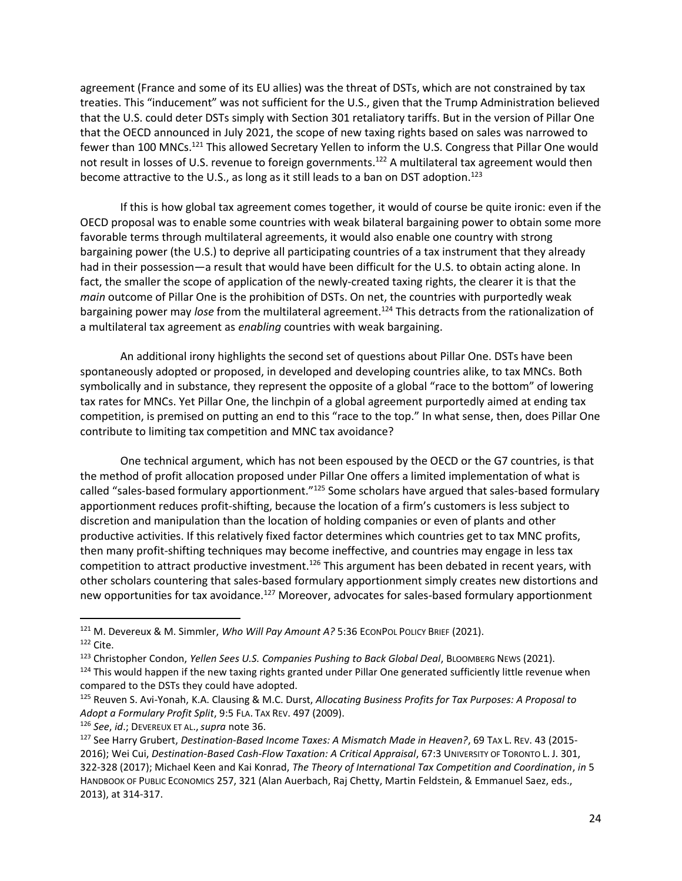agreement (France and some of its EU allies) was the threat of DSTs, which are not constrained by tax treaties. This "inducement" was not sufficient for the U.S., given that the Trump Administration believed that the U.S. could deter DSTs simply with Section 301 retaliatory tariffs. But in the version of Pillar One that the OECD announced in July 2021, the scope of new taxing rights based on sales was narrowed to fewer than 100 MNCs.<sup>121</sup> This allowed Secretary Yellen to inform the U.S. Congress that Pillar One would not result in losses of U.S. revenue to foreign governments.<sup>122</sup> A multilateral tax agreement would then become attractive to the U.S., as long as it still leads to a ban on DST adoption.<sup>123</sup>

If this is how global tax agreement comes together, it would of course be quite ironic: even if the OECD proposal was to enable some countries with weak bilateral bargaining power to obtain some more favorable terms through multilateral agreements, it would also enable one country with strong bargaining power (the U.S.) to deprive all participating countries of a tax instrument that they already had in their possession—a result that would have been difficult for the U.S. to obtain acting alone. In fact, the smaller the scope of application of the newly-created taxing rights, the clearer it is that the *main* outcome of Pillar One is the prohibition of DSTs. On net, the countries with purportedly weak bargaining power may *lose* from the multilateral agreement.<sup>124</sup> This detracts from the rationalization of a multilateral tax agreement as *enabling* countries with weak bargaining.

An additional irony highlights the second set of questions about Pillar One. DSTs have been spontaneously adopted or proposed, in developed and developing countries alike, to tax MNCs. Both symbolically and in substance, they represent the opposite of a global "race to the bottom" of lowering tax rates for MNCs. Yet Pillar One, the linchpin of a global agreement purportedly aimed at ending tax competition, is premised on putting an end to this "race to the top." In what sense, then, does Pillar One contribute to limiting tax competition and MNC tax avoidance?

One technical argument, which has not been espoused by the OECD or the G7 countries, is that the method of profit allocation proposed under Pillar One offers a limited implementation of what is called "sales-based formulary apportionment."<sup>125</sup> Some scholars have argued that sales-based formulary apportionment reduces profit-shifting, because the location of a firm's customers is less subject to discretion and manipulation than the location of holding companies or even of plants and other productive activities. If this relatively fixed factor determines which countries get to tax MNC profits, then many profit-shifting techniques may become ineffective, and countries may engage in less tax competition to attract productive investment.<sup>126</sup> This argument has been debated in recent years, with other scholars countering that sales-based formulary apportionment simply creates new distortions and new opportunities for tax avoidance.<sup>127</sup> Moreover, advocates for sales-based formulary apportionment

<span id="page-24-0"></span><sup>&</sup>lt;sup>121</sup> M. Devereux & M. Simmler, *Who Will Pay Amount A?* 5:36 ECONPOL POLICY BRIEF (2021).

<sup>122</sup> Cite.

<sup>123</sup> Christopher Condon, *Yellen Sees U.S. Companies Pushing to Back Global Deal*, BLOOMBERG NEWS (2021).

<sup>124</sup> This would happen if the new taxing rights granted under Pillar One generated sufficiently little revenue when compared to the DSTs they could have adopted.

<sup>125</sup> Reuven S. Avi-Yonah, K.A. Clausing & M.C. Durst, *Allocating Business Profits for Tax Purposes: A Proposal to Adopt a Formulary Profit Split*, 9:5 FLA. TAX REV. 497 (2009).

<sup>126</sup> *See*, *id*.; DEVEREUX ET AL.,*supra* note [36.](#page-8-4)

<sup>127</sup> See Harry Grubert, *Destination-Based Income Taxes: A Mismatch Made in Heaven?*, 69 TAX L. REV. 43 (2015- 2016); Wei Cui, *Destination-Based Cash-Flow Taxation: A Critical Appraisal*, 67:3 UNIVERSITY OF TORONTO L. J. 301, 322-328 (2017); Michael Keen and Kai Konrad, *The Theory of International Tax Competition and Coordination*, *in* 5 HANDBOOK OF PUBLIC ECONOMICS 257, 321 (Alan Auerbach, Raj Chetty, Martin Feldstein, & Emmanuel Saez, eds., 2013), at 314-317.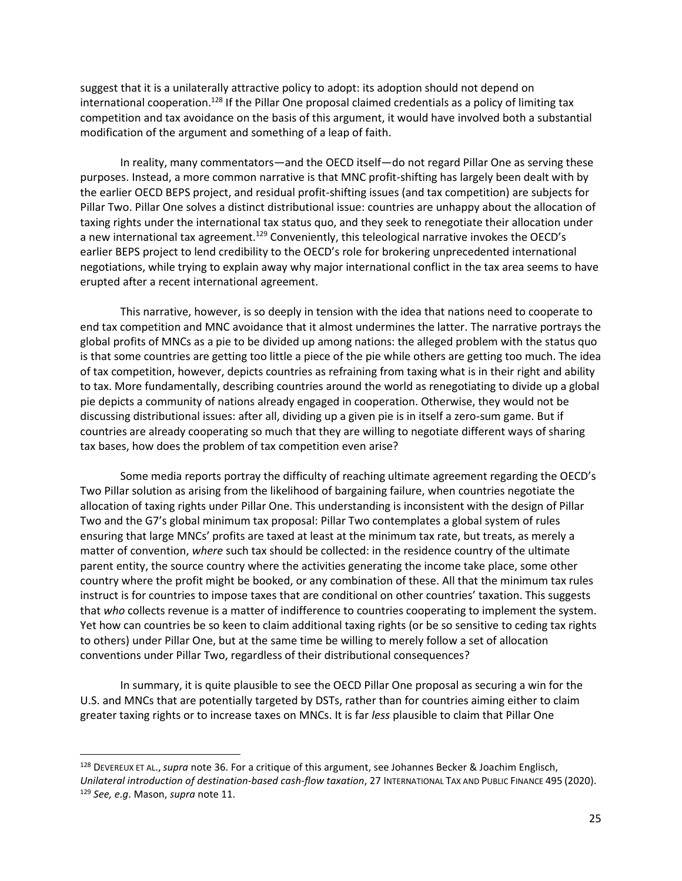<span id="page-25-0"></span>suggest that it is a unilaterally attractive policy to adopt: its adoption should not depend on international cooperation.<sup>128</sup> If the Pillar One proposal claimed credentials as a policy of limiting tax competition and tax avoidance on the basis of this argument, it would have involved both a substantial modification of the argument and something of a leap of faith.

In reality, many commentators—and the OECD itself—do not regard Pillar One as serving these purposes. Instead, a more common narrative is that MNC profit-shifting has largely been dealt with by the earlier OECD BEPS project, and residual profit-shifting issues (and tax competition) are subjects for Pillar Two. Pillar One solves a distinct distributional issue: countries are unhappy about the allocation of taxing rights under the international tax status quo, and they seek to renegotiate their allocation under a new international tax agreement.<sup>129</sup> Conveniently, this teleological narrative invokes the OECD's earlier BEPS project to lend credibility to the OECD's role for brokering unprecedented international negotiations, while trying to explain away why major international conflict in the tax area seems to have erupted after a recent international agreement.

This narrative, however, is so deeply in tension with the idea that nations need to cooperate to end tax competition and MNC avoidance that it almost undermines the latter. The narrative portrays the global profits of MNCs as a pie to be divided up among nations: the alleged problem with the status quo is that some countries are getting too little a piece of the pie while others are getting too much. The idea of tax competition, however, depicts countries as refraining from taxing what is in their right and ability to tax. More fundamentally, describing countries around the world as renegotiating to divide up a global pie depicts a community of nations already engaged in cooperation. Otherwise, they would not be discussing distributional issues: after all, dividing up a given pie is in itself a zero-sum game. But if countries are already cooperating so much that they are willing to negotiate different ways of sharing tax bases, how does the problem of tax competition even arise?

Some media reports portray the difficulty of reaching ultimate agreement regarding the OECD's Two Pillar solution as arising from the likelihood of bargaining failure, when countries negotiate the allocation of taxing rights under Pillar One. This understanding is inconsistent with the design of Pillar Two and the G7's global minimum tax proposal: Pillar Two contemplates a global system of rules ensuring that large MNCs' profits are taxed at least at the minimum tax rate, but treats, as merely a matter of convention, *where* such tax should be collected: in the residence country of the ultimate parent entity, the source country where the activities generating the income take place, some other country where the profit might be booked, or any combination of these. All that the minimum tax rules instruct is for countries to impose taxes that are conditional on other countries' taxation. This suggests that *who* collects revenue is a matter of indifference to countries cooperating to implement the system. Yet how can countries be so keen to claim additional taxing rights (or be so sensitive to ceding tax rights to others) under Pillar One, but at the same time be willing to merely follow a set of allocation conventions under Pillar Two, regardless of their distributional consequences?

In summary, it is quite plausible to see the OECD Pillar One proposal as securing a win for the U.S. and MNCs that are potentially targeted by DSTs, rather than for countries aiming either to claim greater taxing rights or to increase taxes on MNCs. It is far *less* plausible to claim that Pillar One

<sup>128</sup> DEVEREUX ET AL.,*supra* not[e 36.](#page-8-4) For a critique of this argument, see Johannes Becker & Joachim Englisch, *Unilateral introduction of destination-based cash-flow taxation*, 27 INTERNATIONAL TAX AND PUBLIC FINANCE 495 (2020). <sup>129</sup> *See, e.g*. Mason, *supra* note [11.](#page-3-1)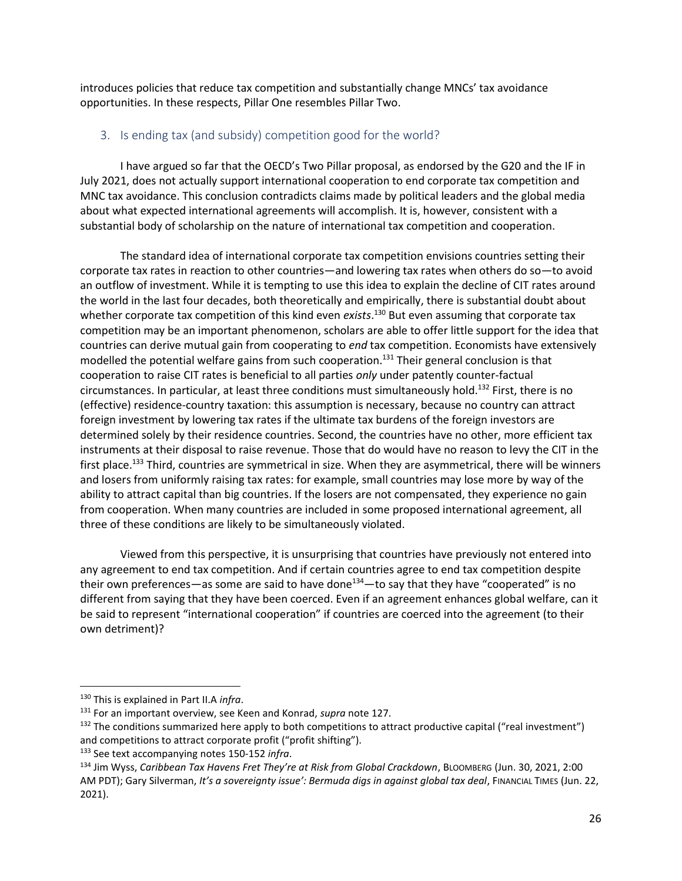introduces policies that reduce tax competition and substantially change MNCs' tax avoidance opportunities. In these respects, Pillar One resembles Pillar Two.

#### <span id="page-26-0"></span>3. Is ending tax (and subsidy) competition good for the world?

I have argued so far that the OECD's Two Pillar proposal, as endorsed by the G20 and the IF in July 2021, does not actually support international cooperation to end corporate tax competition and MNC tax avoidance. This conclusion contradicts claims made by political leaders and the global media about what expected international agreements will accomplish. It is, however, consistent with a substantial body of scholarship on the nature of international tax competition and cooperation.

The standard idea of international corporate tax competition envisions countries setting their corporate tax rates in reaction to other countries—and lowering tax rates when others do so—to avoid an outflow of investment. While it is tempting to use this idea to explain the decline of CIT rates around the world in the last four decades, both theoretically and empirically, there is substantial doubt about whether corporate tax competition of this kind even *exists*. <sup>130</sup> But even assuming that corporate tax competition may be an important phenomenon, scholars are able to offer little support for the idea that countries can derive mutual gain from cooperating to *end* tax competition. Economists have extensively modelled the potential welfare gains from such cooperation.<sup>131</sup> Their general conclusion is that cooperation to raise CIT rates is beneficial to all parties *only* under patently counter-factual circumstances. In particular, at least three conditions must simultaneously hold.<sup>132</sup> First, there is no (effective) residence-country taxation: this assumption is necessary, because no country can attract foreign investment by lowering tax rates if the ultimate tax burdens of the foreign investors are determined solely by their residence countries. Second, the countries have no other, more efficient tax instruments at their disposal to raise revenue. Those that do would have no reason to levy the CIT in the first place.<sup>133</sup> Third, countries are symmetrical in size. When they are asymmetrical, there will be winners and losers from uniformly raising tax rates: for example, small countries may lose more by way of the ability to attract capital than big countries. If the losers are not compensated, they experience no gain from cooperation. When many countries are included in some proposed international agreement, all three of these conditions are likely to be simultaneously violated.

Viewed from this perspective, it is unsurprising that countries have previously not entered into any agreement to end tax competition. And if certain countries agree to end tax competition despite their own preferences—as some are said to have done<sup>134</sup>—to say that they have "cooperated" is no different from saying that they have been coerced. Even if an agreement enhances global welfare, can it be said to represent "international cooperation" if countries are coerced into the agreement (to their own detriment)?

<sup>130</sup> This is explained in Part II.A *infra*.

<sup>131</sup> For an important overview, see Keen and Konrad, *supra* note [127.](#page-24-0)

 $132$  The conditions summarized here apply to both competitions to attract productive capital ("real investment") and competitions to attract corporate profit ("profit shifting").

<sup>133</sup> See text accompanying notes [150-](#page-29-1)[152](#page-30-0) *infra*.

<sup>134</sup> Jim Wyss, *Caribbean Tax Havens Fret They're at Risk from Global Crackdown*, BLOOMBERG (Jun. 30, 2021, 2:00 AM PDT); Gary Silverman, It's a sovereignty issue': Bermuda digs in against global tax deal, FINANCIAL TIMES (Jun. 22, 2021).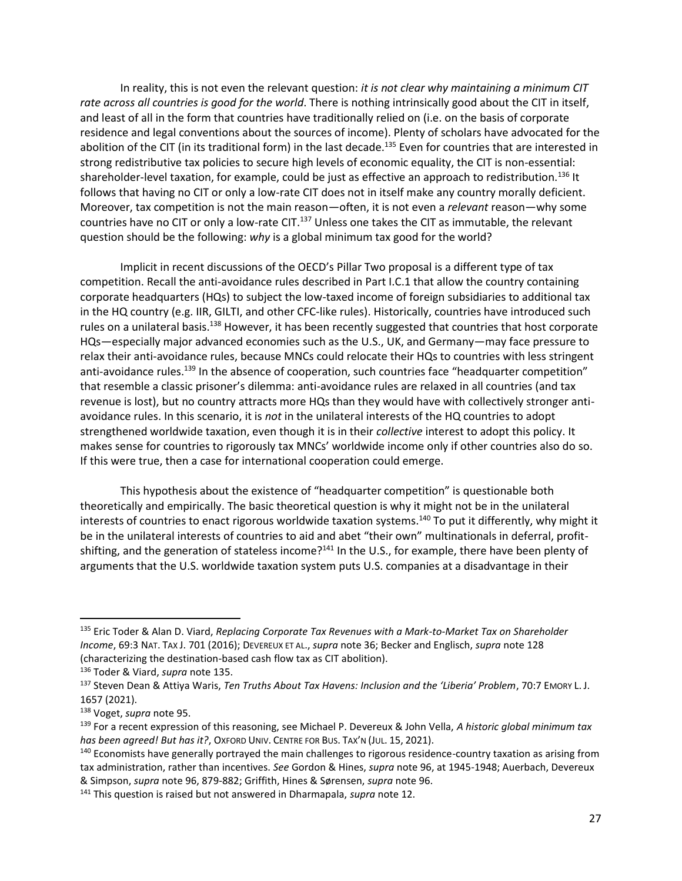<span id="page-27-0"></span>In reality, this is not even the relevant question: *it is not clear why maintaining a minimum CIT rate across all countries is good for the world*. There is nothing intrinsically good about the CIT in itself, and least of all in the form that countries have traditionally relied on (i.e. on the basis of corporate residence and legal conventions about the sources of income). Plenty of scholars have advocated for the abolition of the CIT (in its traditional form) in the last decade.<sup>135</sup> Even for countries that are interested in strong redistributive tax policies to secure high levels of economic equality, the CIT is non-essential: shareholder-level taxation, for example, could be just as effective an approach to redistribution.<sup>136</sup> It follows that having no CIT or only a low-rate CIT does not in itself make any country morally deficient. Moreover, tax competition is not the main reason—often, it is not even a *relevant* reason—why some countries have no CIT or only a low-rate CIT.<sup>137</sup> Unless one takes the CIT as immutable, the relevant question should be the following: *why* is a global minimum tax good for the world?

Implicit in recent discussions of the OECD's Pillar Two proposal is a different type of tax competition. Recall the anti-avoidance rules described in Part I.C.1 that allow the country containing corporate headquarters (HQs) to subject the low-taxed income of foreign subsidiaries to additional tax in the HQ country (e.g. IIR, GILTI, and other CFC-like rules). Historically, countries have introduced such rules on a unilateral basis.<sup>138</sup> However, it has been recently suggested that countries that host corporate HQs—especially major advanced economies such as the U.S., UK, and Germany—may face pressure to relax their anti-avoidance rules, because MNCs could relocate their HQs to countries with less stringent anti-avoidance rules.<sup>139</sup> In the absence of cooperation, such countries face "headquarter competition" that resemble a classic prisoner's dilemma: anti-avoidance rules are relaxed in all countries (and tax revenue is lost), but no country attracts more HQs than they would have with collectively stronger antiavoidance rules. In this scenario, it is *not* in the unilateral interests of the HQ countries to adopt strengthened worldwide taxation, even though it is in their *collective* interest to adopt this policy. It makes sense for countries to rigorously tax MNCs' worldwide income only if other countries also do so. If this were true, then a case for international cooperation could emerge.

This hypothesis about the existence of "headquarter competition" is questionable both theoretically and empirically. The basic theoretical question is why it might not be in the unilateral interests of countries to enact rigorous worldwide taxation systems.<sup>140</sup> To put it differently, why might it be in the unilateral interests of countries to aid and abet "their own" multinationals in deferral, profitshifting, and the generation of stateless income?<sup>141</sup> In the U.S., for example, there have been plenty of arguments that the U.S. worldwide taxation system puts U.S. companies at a disadvantage in their

<sup>135</sup> Eric Toder & Alan D. Viard, *Replacing Corporate Tax Revenues with a Mark-to-Market Tax on Shareholder Income*, 69:3 NAT. TAX J. 701 (2016); DEVEREUX ET AL., *supra* note [36;](#page-8-4) Becker and Englisch, *supra* note [128](#page-25-0) (characterizing the destination-based cash flow tax as CIT abolition).

<sup>136</sup> Toder & Viard, *supra* not[e 135.](#page-27-0)

<sup>137</sup> Steven Dean & Attiya Waris, *Ten Truths About Tax Havens: Inclusion and the 'Liberia' Problem*, 70:7 EMORY L. J. 1657 (2021).

<sup>138</sup> Voget, *supra* note [95.](#page-19-1)

<sup>139</sup> For a recent expression of this reasoning, see Michael P. Devereux & John Vella, *A historic global minimum tax has been agreed! But has it?*, OXFORD UNIV. CENTRE FOR BUS. TAX'N (JUL. 15, 2021).

<sup>&</sup>lt;sup>140</sup> Economists have generally portrayed the main challenges to rigorous residence-country taxation as arising from tax administration, rather than incentives. *See* Gordon & Hines, *supra* not[e 96,](#page-19-0) at 1945-1948; Auerbach, Devereux & Simpson, *supra* not[e 96,](#page-19-0) 879-882; Griffith, Hines & Sørensen, *supra* note [96.](#page-19-0) 

<sup>141</sup> This question is raised but not answered in Dharmapala, *supra* not[e 12.](#page-3-2)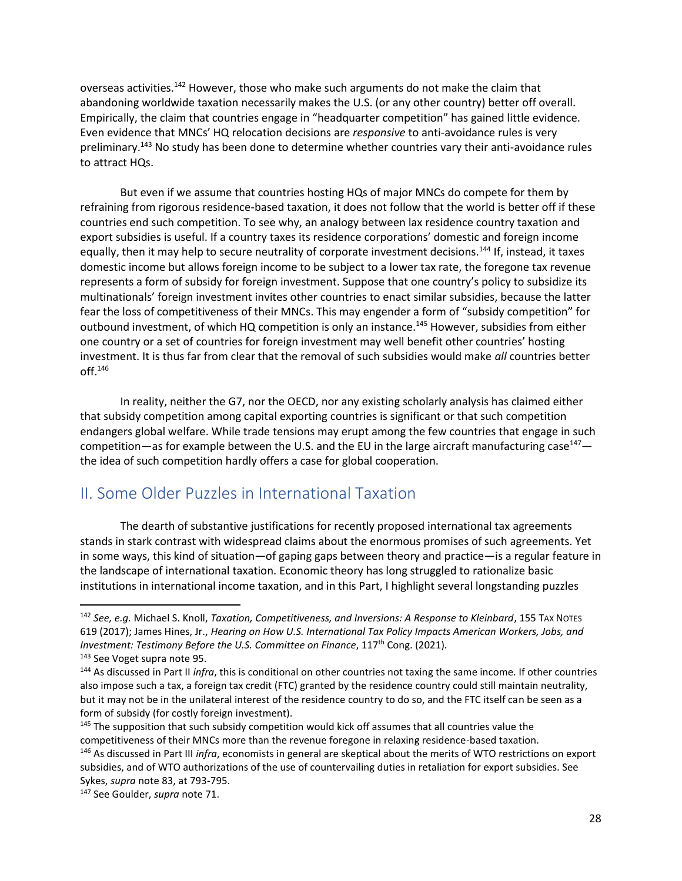overseas activities.<sup>142</sup> However, those who make such arguments do not make the claim that abandoning worldwide taxation necessarily makes the U.S. (or any other country) better off overall. Empirically, the claim that countries engage in "headquarter competition" has gained little evidence. Even evidence that MNCs' HQ relocation decisions are *responsive* to anti-avoidance rules is very preliminary.<sup>143</sup> No study has been done to determine whether countries vary their anti-avoidance rules to attract HQs.

But even if we assume that countries hosting HQs of major MNCs do compete for them by refraining from rigorous residence-based taxation, it does not follow that the world is better off if these countries end such competition. To see why, an analogy between lax residence country taxation and export subsidies is useful. If a country taxes its residence corporations' domestic and foreign income equally, then it may help to secure neutrality of corporate investment decisions.<sup>144</sup> If, instead, it taxes domestic income but allows foreign income to be subject to a lower tax rate, the foregone tax revenue represents a form of subsidy for foreign investment. Suppose that one country's policy to subsidize its multinationals' foreign investment invites other countries to enact similar subsidies, because the latter fear the loss of competitiveness of their MNCs. This may engender a form of "subsidy competition" for outbound investment, of which HQ competition is only an instance.<sup>145</sup> However, subsidies from either one country or a set of countries for foreign investment may well benefit other countries' hosting investment. It is thus far from clear that the removal of such subsidies would make *all* countries better off.<sup>146</sup>

In reality, neither the G7, nor the OECD, nor any existing scholarly analysis has claimed either that subsidy competition among capital exporting countries is significant or that such competition endangers global welfare. While trade tensions may erupt among the few countries that engage in such competition—as for example between the U.S. and the EU in the large aircraft manufacturing case<sup>147</sup> the idea of such competition hardly offers a case for global cooperation.

# <span id="page-28-0"></span>II. Some Older Puzzles in International Taxation

The dearth of substantive justifications for recently proposed international tax agreements stands in stark contrast with widespread claims about the enormous promises of such agreements. Yet in some ways, this kind of situation—of gaping gaps between theory and practice—is a regular feature in the landscape of international taxation. Economic theory has long struggled to rationalize basic institutions in international income taxation, and in this Part, I highlight several longstanding puzzles

<sup>142</sup> *See, e.g.* Michael S. Knoll, *Taxation, Competitiveness, and Inversions: A Response to Kleinbard*, 155 TAX NOTES 619 (2017); James Hines, Jr., *Hearing on How U.S. International Tax Policy Impacts American Workers, Jobs, and Investment: Testimony Before the U.S. Committee on Finance, 117<sup>th</sup> Cong. (2021).* <sup>143</sup> See Voget supra note [95.](#page-19-1)

<sup>144</sup> As discussed in Part II *infra*, this is conditional on other countries not taxing the same income. If other countries also impose such a tax, a foreign tax credit (FTC) granted by the residence country could still maintain neutrality, but it may not be in the unilateral interest of the residence country to do so, and the FTC itself can be seen as a form of subsidy (for costly foreign investment).

<sup>&</sup>lt;sup>145</sup> The supposition that such subsidy competition would kick off assumes that all countries value the competitiveness of their MNCs more than the revenue foregone in relaxing residence-based taxation.

<sup>146</sup> As discussed in Part III *infra*, economists in general are skeptical about the merits of WTO restrictions on export subsidies, and of WTO authorizations of the use of countervailing duties in retaliation for export subsidies. See Sykes, *supra* not[e 83,](#page-16-0) at 793-795.

<sup>147</sup> See Goulder, *supra* not[e 71.](#page-14-0)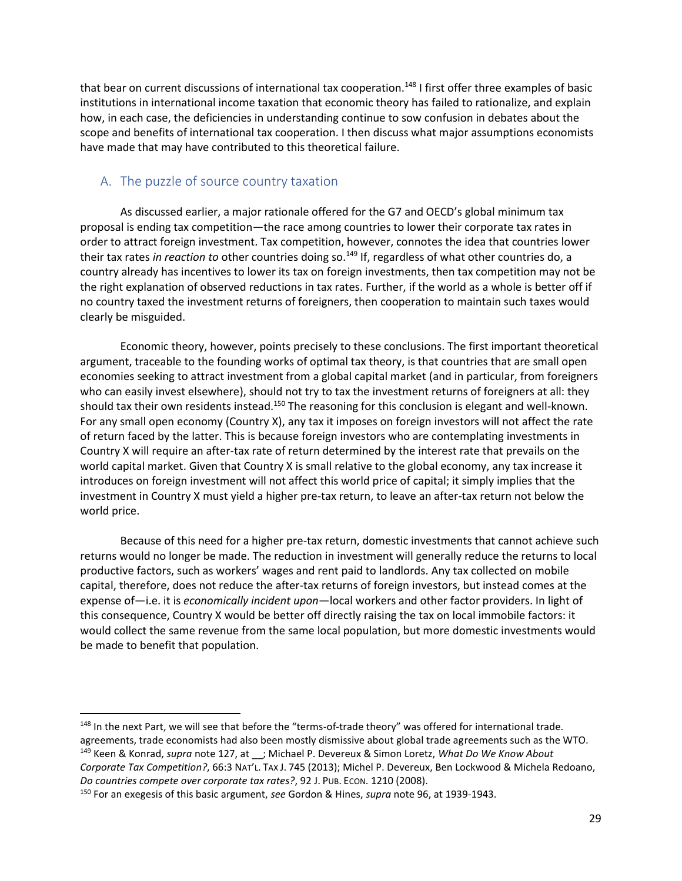that bear on current discussions of international tax cooperation.<sup>148</sup> I first offer three examples of basic institutions in international income taxation that economic theory has failed to rationalize, and explain how, in each case, the deficiencies in understanding continue to sow confusion in debates about the scope and benefits of international tax cooperation. I then discuss what major assumptions economists have made that may have contributed to this theoretical failure.

## <span id="page-29-0"></span>A. The puzzle of source country taxation

As discussed earlier, a major rationale offered for the G7 and OECD's global minimum tax proposal is ending tax competition—the race among countries to lower their corporate tax rates in order to attract foreign investment. Tax competition, however, connotes the idea that countries lower their tax rates *in reaction to* other countries doing so.<sup>149</sup> If, regardless of what other countries do, a country already has incentives to lower its tax on foreign investments, then tax competition may not be the right explanation of observed reductions in tax rates. Further, if the world as a whole is better off if no country taxed the investment returns of foreigners, then cooperation to maintain such taxes would clearly be misguided.

<span id="page-29-1"></span>Economic theory, however, points precisely to these conclusions. The first important theoretical argument, traceable to the founding works of optimal tax theory, is that countries that are small open economies seeking to attract investment from a global capital market (and in particular, from foreigners who can easily invest elsewhere), should not try to tax the investment returns of foreigners at all: they should tax their own residents instead.<sup>150</sup> The reasoning for this conclusion is elegant and well-known. For any small open economy (Country X), any tax it imposes on foreign investors will not affect the rate of return faced by the latter. This is because foreign investors who are contemplating investments in Country X will require an after-tax rate of return determined by the interest rate that prevails on the world capital market. Given that Country X is small relative to the global economy, any tax increase it introduces on foreign investment will not affect this world price of capital; it simply implies that the investment in Country X must yield a higher pre-tax return, to leave an after-tax return not below the world price.

Because of this need for a higher pre-tax return, domestic investments that cannot achieve such returns would no longer be made. The reduction in investment will generally reduce the returns to local productive factors, such as workers' wages and rent paid to landlords. Any tax collected on mobile capital, therefore, does not reduce the after-tax returns of foreign investors, but instead comes at the expense of—i.e. it is *economically incident upon*—local workers and other factor providers. In light of this consequence, Country X would be better off directly raising the tax on local immobile factors: it would collect the same revenue from the same local population, but more domestic investments would be made to benefit that population.

l

<sup>148</sup> In the next Part, we will see that before the "terms-of-trade theory" was offered for international trade. agreements, trade economists had also been mostly dismissive about global trade agreements such as the WTO. <sup>149</sup> Keen & Konrad, *supra* note [127,](#page-24-0) at \_\_; Michael P. Devereux & Simon Loretz, *What Do We Know About* 

*Corporate Tax Competition?*, 66:3 NAT'L. TAX J. 745 (2013); Michel P. Devereux, Ben Lockwood & Michela Redoano, *Do countries compete over corporate tax rates?*, 92 J. PUB. ECON. 1210 (2008).

<sup>150</sup> For an exegesis of this basic argument, *see* Gordon & Hines, *supra* note [96,](#page-19-0) at 1939-1943.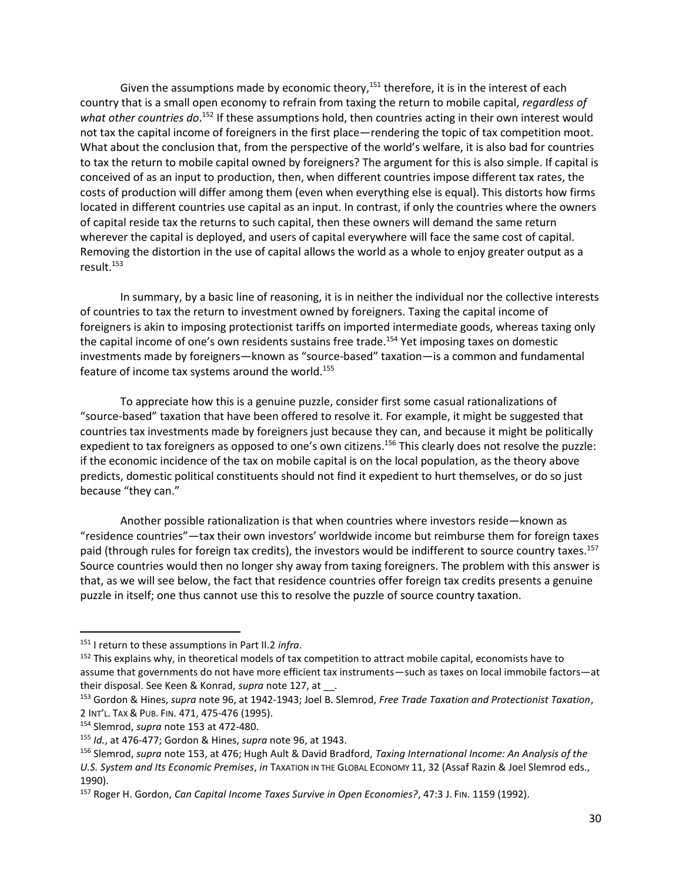<span id="page-30-0"></span>Given the assumptions made by economic theory,  $151$  therefore, it is in the interest of each country that is a small open economy to refrain from taxing the return to mobile capital, *regardless of*  what other countries do.<sup>152</sup> If these assumptions hold, then countries acting in their own interest would not tax the capital income of foreigners in the first place—rendering the topic of tax competition moot. What about the conclusion that, from the perspective of the world's welfare, it is also bad for countries to tax the return to mobile capital owned by foreigners? The argument for this is also simple. If capital is conceived of as an input to production, then, when different countries impose different tax rates, the costs of production will differ among them (even when everything else is equal). This distorts how firms located in different countries use capital as an input. In contrast, if only the countries where the owners of capital reside tax the returns to such capital, then these owners will demand the same return wherever the capital is deployed, and users of capital everywhere will face the same cost of capital. Removing the distortion in the use of capital allows the world as a whole to enjoy greater output as a result.<sup>153</sup>

<span id="page-30-1"></span>In summary, by a basic line of reasoning, it is in neither the individual nor the collective interests of countries to tax the return to investment owned by foreigners. Taxing the capital income of foreigners is akin to imposing protectionist tariffs on imported intermediate goods, whereas taxing only the capital income of one's own residents sustains free trade.<sup>154</sup> Yet imposing taxes on domestic investments made by foreigners—known as "source-based" taxation—is a common and fundamental feature of income tax systems around the world.<sup>155</sup>

To appreciate how this is a genuine puzzle, consider first some casual rationalizations of "source-based" taxation that have been offered to resolve it. For example, it might be suggested that countries tax investments made by foreigners just because they can, and because it might be politically expedient to tax foreigners as opposed to one's own citizens.<sup>156</sup> This clearly does not resolve the puzzle: if the economic incidence of the tax on mobile capital is on the local population, as the theory above predicts, domestic political constituents should not find it expedient to hurt themselves, or do so just because "they can."

<span id="page-30-2"></span>Another possible rationalization is that when countries where investors reside—known as "residence countries"—tax their own investors' worldwide income but reimburse them for foreign taxes paid (through rules for foreign tax credits), the investors would be indifferent to source country taxes.<sup>157</sup> Source countries would then no longer shy away from taxing foreigners. The problem with this answer is that, as we will see below, the fact that residence countries offer foreign tax credits presents a genuine puzzle in itself; one thus cannot use this to resolve the puzzle of source country taxation.

<sup>151</sup> I return to these assumptions in Part II.2 *infra*.

<sup>&</sup>lt;sup>152</sup> This explains why, in theoretical models of tax competition to attract mobile capital, economists have to assume that governments do not have more efficient tax instruments—such as taxes on local immobile factors—at their disposal. See Keen & Konrad, *supra* note [127,](#page-24-0) at \_\_.

<sup>153</sup> Gordon & Hines, *supra* note [96,](#page-19-0) at 1942-1943; Joel B. Slemrod, *Free Trade Taxation and Protectionist Taxation*, 2 INT'L. TAX & PUB. FIN. 471, 475-476 (1995).

<sup>154</sup> Slemrod, *supra* note [153](#page-30-1) at 472-480.

<sup>155</sup> *Id.*, at 476-477; Gordon & Hines, *supra* not[e 96,](#page-19-0) at 1943.

<sup>156</sup> Slemrod, *supra* note [153,](#page-30-1) at 476; Hugh Ault & David Bradford, *Taxing International Income: An Analysis of the U.S. System and Its Economic Premises*, *in* TAXATION IN THE GLOBAL ECONOMY 11, 32 (Assaf Razin & Joel Slemrod eds., 1990).

<sup>157</sup> Roger H. Gordon, *Can Capital Income Taxes Survive in Open Economies?*, 47:3 J. FIN. 1159 (1992).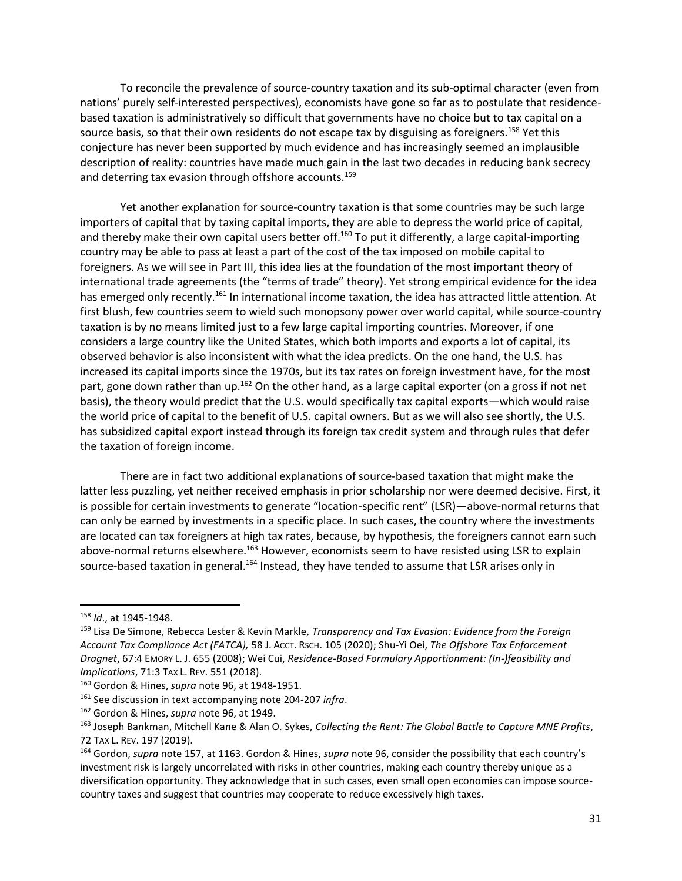To reconcile the prevalence of source-country taxation and its sub-optimal character (even from nations' purely self-interested perspectives), economists have gone so far as to postulate that residencebased taxation is administratively so difficult that governments have no choice but to tax capital on a source basis, so that their own residents do not escape tax by disguising as foreigners.<sup>158</sup> Yet this conjecture has never been supported by much evidence and has increasingly seemed an implausible description of reality: countries have made much gain in the last two decades in reducing bank secrecy and deterring tax evasion through offshore accounts.<sup>159</sup>

Yet another explanation for source-country taxation is that some countries may be such large importers of capital that by taxing capital imports, they are able to depress the world price of capital, and thereby make their own capital users better off.<sup>160</sup> To put it differently, a large capital-importing country may be able to pass at least a part of the cost of the tax imposed on mobile capital to foreigners. As we will see in Part III, this idea lies at the foundation of the most important theory of international trade agreements (the "terms of trade" theory). Yet strong empirical evidence for the idea has emerged only recently.<sup>161</sup> In international income taxation, the idea has attracted little attention. At first blush, few countries seem to wield such monopsony power over world capital, while source-country taxation is by no means limited just to a few large capital importing countries. Moreover, if one considers a large country like the United States, which both imports and exports a lot of capital, its observed behavior is also inconsistent with what the idea predicts. On the one hand, the U.S. has increased its capital imports since the 1970s, but its tax rates on foreign investment have, for the most part, gone down rather than up.<sup>162</sup> On the other hand, as a large capital exporter (on a gross if not net basis), the theory would predict that the U.S. would specifically tax capital exports—which would raise the world price of capital to the benefit of U.S. capital owners. But as we will also see shortly, the U.S. has subsidized capital export instead through its foreign tax credit system and through rules that defer the taxation of foreign income.

There are in fact two additional explanations of source-based taxation that might make the latter less puzzling, yet neither received emphasis in prior scholarship nor were deemed decisive. First, it is possible for certain investments to generate "location-specific rent" (LSR)—above-normal returns that can only be earned by investments in a specific place. In such cases, the country where the investments are located can tax foreigners at high tax rates, because, by hypothesis, the foreigners cannot earn such above-normal returns elsewhere.<sup>163</sup> However, economists seem to have resisted using LSR to explain source-based taxation in general.<sup>164</sup> Instead, they have tended to assume that LSR arises only in

<sup>158</sup> *Id*., at 1945-1948.

<sup>159</sup> Lisa De Simone, Rebecca Lester & Kevin Markle, *Transparency and Tax Evasion: Evidence from the Foreign Account Tax Compliance Act (FATCA),* 58 J. ACCT. RSCH. 105 (2020); Shu-Yi Oei, *The Offshore Tax Enforcement Dragnet*, 67:4 EMORY L. J. 655 (2008); Wei Cui, *Residence-Based Formulary Apportionment: (In-)feasibility and Implications*, 71:3 TAX L. REV. 551 (2018).

<sup>160</sup> Gordon & Hines, *supra* note [96,](#page-19-0) at 1948-1951.

<sup>161</sup> See discussion in text accompanying note [204-](#page-41-1)[207](#page-41-2) *infra*.

<sup>162</sup> Gordon & Hines, *supra* note [96,](#page-19-0) at 1949.

<sup>163</sup> Joseph Bankman, Mitchell Kane & Alan O. Sykes, *Collecting the Rent: The Global Battle to Capture MNE Profits*, 72 TAX L. REV. 197 (2019).

<sup>164</sup> Gordon, *supra* note [157,](#page-30-2) at 1163. Gordon & Hines, *supra* note [96](#page-19-0), consider the possibility that each country's investment risk is largely uncorrelated with risks in other countries, making each country thereby unique as a diversification opportunity. They acknowledge that in such cases, even small open economies can impose sourcecountry taxes and suggest that countries may cooperate to reduce excessively high taxes.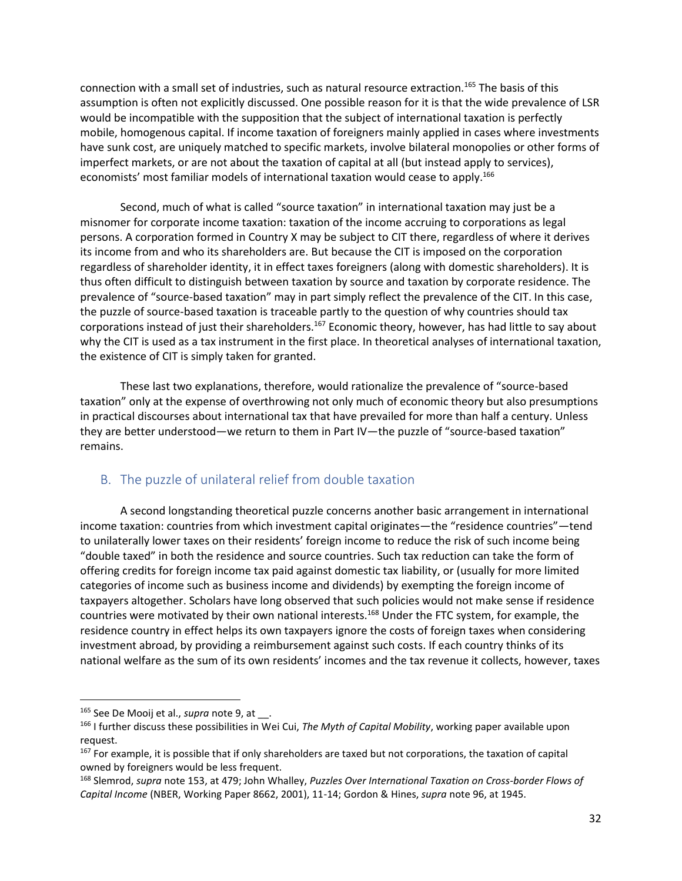connection with a small set of industries, such as natural resource extraction.<sup>165</sup> The basis of this assumption is often not explicitly discussed. One possible reason for it is that the wide prevalence of LSR would be incompatible with the supposition that the subject of international taxation is perfectly mobile, homogenous capital. If income taxation of foreigners mainly applied in cases where investments have sunk cost, are uniquely matched to specific markets, involve bilateral monopolies or other forms of imperfect markets, or are not about the taxation of capital at all (but instead apply to services), economists' most familiar models of international taxation would cease to apply.<sup>166</sup>

Second, much of what is called "source taxation" in international taxation may just be a misnomer for corporate income taxation: taxation of the income accruing to corporations as legal persons. A corporation formed in Country X may be subject to CIT there, regardless of where it derives its income from and who its shareholders are. But because the CIT is imposed on the corporation regardless of shareholder identity, it in effect taxes foreigners (along with domestic shareholders). It is thus often difficult to distinguish between taxation by source and taxation by corporate residence. The prevalence of "source-based taxation" may in part simply reflect the prevalence of the CIT. In this case, the puzzle of source-based taxation is traceable partly to the question of why countries should tax corporations instead of just their shareholders.<sup>167</sup> Economic theory, however, has had little to say about why the CIT is used as a tax instrument in the first place. In theoretical analyses of international taxation, the existence of CIT is simply taken for granted.

These last two explanations, therefore, would rationalize the prevalence of "source-based taxation" only at the expense of overthrowing not only much of economic theory but also presumptions in practical discourses about international tax that have prevailed for more than half a century. Unless they are better understood—we return to them in Part IV—the puzzle of "source-based taxation" remains.

## <span id="page-32-1"></span><span id="page-32-0"></span>B. The puzzle of unilateral relief from double taxation

A second longstanding theoretical puzzle concerns another basic arrangement in international income taxation: countries from which investment capital originates—the "residence countries"—tend to unilaterally lower taxes on their residents' foreign income to reduce the risk of such income being "double taxed" in both the residence and source countries. Such tax reduction can take the form of offering credits for foreign income tax paid against domestic tax liability, or (usually for more limited categories of income such as business income and dividends) by exempting the foreign income of taxpayers altogether. Scholars have long observed that such policies would not make sense if residence countries were motivated by their own national interests.<sup>168</sup> Under the FTC system, for example, the residence country in effect helps its own taxpayers ignore the costs of foreign taxes when considering investment abroad, by providing a reimbursement against such costs. If each country thinks of its national welfare as the sum of its own residents' incomes and the tax revenue it collects, however, taxes

<sup>&</sup>lt;sup>165</sup> See De Mooij et al., *supra* not[e 9,](#page-3-3) at \_\_.

<sup>166</sup> I further discuss these possibilities in Wei Cui, *The Myth of Capital Mobility*, working paper available upon request.

<sup>&</sup>lt;sup>167</sup> For example, it is possible that if only shareholders are taxed but not corporations, the taxation of capital owned by foreigners would be less frequent.

<sup>168</sup> Slemrod, *supra* note [153,](#page-30-1) at 479; John Whalley, *Puzzles Over International Taxation on Cross-border Flows of Capital Income* (NBER, Working Paper 8662, 2001), 11-14; Gordon & Hines, *supra* not[e 96,](#page-19-0) at 1945.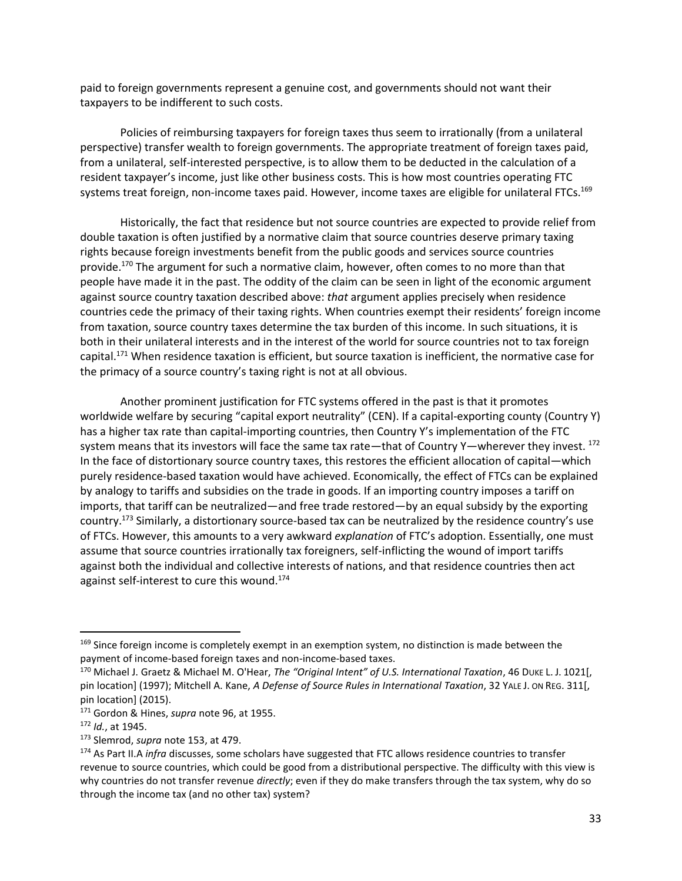paid to foreign governments represent a genuine cost, and governments should not want their taxpayers to be indifferent to such costs.

Policies of reimbursing taxpayers for foreign taxes thus seem to irrationally (from a unilateral perspective) transfer wealth to foreign governments. The appropriate treatment of foreign taxes paid, from a unilateral, self-interested perspective, is to allow them to be deducted in the calculation of a resident taxpayer's income, just like other business costs. This is how most countries operating FTC systems treat foreign, non-income taxes paid. However, income taxes are eligible for unilateral FTCs.<sup>169</sup>

Historically, the fact that residence but not source countries are expected to provide relief from double taxation is often justified by a normative claim that source countries deserve primary taxing rights because foreign investments benefit from the public goods and services source countries provide.<sup>170</sup> The argument for such a normative claim, however, often comes to no more than that people have made it in the past. The oddity of the claim can be seen in light of the economic argument against source country taxation described above: *that* argument applies precisely when residence countries cede the primacy of their taxing rights. When countries exempt their residents' foreign income from taxation, source country taxes determine the tax burden of this income. In such situations, it is both in their unilateral interests and in the interest of the world for source countries not to tax foreign capital.<sup>171</sup> When residence taxation is efficient, but source taxation is inefficient, the normative case for the primacy of a source country's taxing right is not at all obvious.

Another prominent justification for FTC systems offered in the past is that it promotes worldwide welfare by securing "capital export neutrality" (CEN). If a capital-exporting county (Country Y) has a higher tax rate than capital-importing countries, then Country Y's implementation of the FTC system means that its investors will face the same tax rate—that of Country Y—wherever they invest. 172 In the face of distortionary source country taxes, this restores the efficient allocation of capital—which purely residence-based taxation would have achieved. Economically, the effect of FTCs can be explained by analogy to tariffs and subsidies on the trade in goods. If an importing country imposes a tariff on imports, that tariff can be neutralized—and free trade restored—by an equal subsidy by the exporting country.<sup>173</sup> Similarly, a distortionary source-based tax can be neutralized by the residence country's use of FTCs. However, this amounts to a very awkward *explanation* of FTC's adoption. Essentially, one must assume that source countries irrationally tax foreigners, self-inflicting the wound of import tariffs against both the individual and collective interests of nations, and that residence countries then act against self-interest to cure this wound.<sup>174</sup>

<sup>&</sup>lt;sup>169</sup> Since foreign income is completely exempt in an exemption system, no distinction is made between the payment of income-based foreign taxes and non-income-based taxes.

<sup>170</sup> Michael J. Graetz & Michael M. O'Hear, *The "Original Intent" of U.S. International Taxation*, 46 DUKE L. J. 1021[, pin location] (1997); Mitchell A. Kane, *A Defense of Source Rules in International Taxation*, 32 YALE J. ON REG. 311[, pin location] (2015).

<sup>171</sup> Gordon & Hines, *supra* note [96,](#page-19-0) at 1955.

<sup>172</sup> *Id.*, at 1945.

<sup>173</sup> Slemrod, *supra* note [153,](#page-30-1) at 479.

<sup>174</sup> As Part II.A *infra* discusses, some scholars have suggested that FTC allows residence countries to transfer revenue to source countries, which could be good from a distributional perspective. The difficulty with this view is why countries do not transfer revenue *directly*; even if they do make transfers through the tax system, why do so through the income tax (and no other tax) system?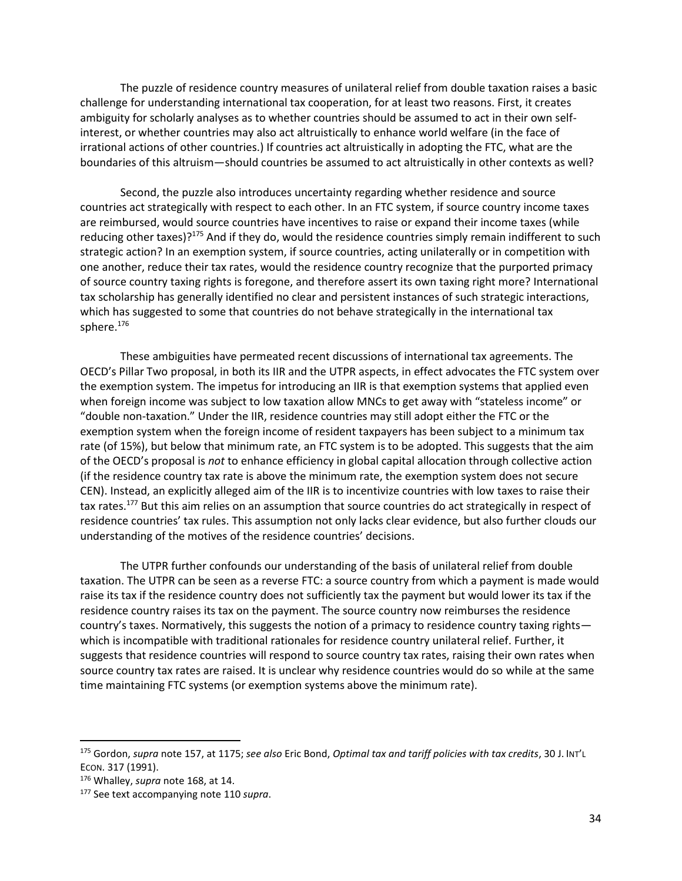The puzzle of residence country measures of unilateral relief from double taxation raises a basic challenge for understanding international tax cooperation, for at least two reasons. First, it creates ambiguity for scholarly analyses as to whether countries should be assumed to act in their own selfinterest, or whether countries may also act altruistically to enhance world welfare (in the face of irrational actions of other countries.) If countries act altruistically in adopting the FTC, what are the boundaries of this altruism—should countries be assumed to act altruistically in other contexts as well?

Second, the puzzle also introduces uncertainty regarding whether residence and source countries act strategically with respect to each other. In an FTC system, if source country income taxes are reimbursed, would source countries have incentives to raise or expand their income taxes (while reducing other taxes) $?^{175}$  And if they do, would the residence countries simply remain indifferent to such strategic action? In an exemption system, if source countries, acting unilaterally or in competition with one another, reduce their tax rates, would the residence country recognize that the purported primacy of source country taxing rights is foregone, and therefore assert its own taxing right more? International tax scholarship has generally identified no clear and persistent instances of such strategic interactions, which has suggested to some that countries do not behave strategically in the international tax sphere.<sup>176</sup>

These ambiguities have permeated recent discussions of international tax agreements. The OECD's Pillar Two proposal, in both its IIR and the UTPR aspects, in effect advocates the FTC system over the exemption system. The impetus for introducing an IIR is that exemption systems that applied even when foreign income was subject to low taxation allow MNCs to get away with "stateless income" or "double non-taxation." Under the IIR, residence countries may still adopt either the FTC or the exemption system when the foreign income of resident taxpayers has been subject to a minimum tax rate (of 15%), but below that minimum rate, an FTC system is to be adopted. This suggests that the aim of the OECD's proposal is *not* to enhance efficiency in global capital allocation through collective action (if the residence country tax rate is above the minimum rate, the exemption system does not secure CEN). Instead, an explicitly alleged aim of the IIR is to incentivize countries with low taxes to raise their tax rates.<sup>177</sup> But this aim relies on an assumption that source countries do act strategically in respect of residence countries' tax rules. This assumption not only lacks clear evidence, but also further clouds our understanding of the motives of the residence countries' decisions.

The UTPR further confounds our understanding of the basis of unilateral relief from double taxation. The UTPR can be seen as a reverse FTC: a source country from which a payment is made would raise its tax if the residence country does not sufficiently tax the payment but would lower its tax if the residence country raises its tax on the payment. The source country now reimburses the residence country's taxes. Normatively, this suggests the notion of a primacy to residence country taxing rights which is incompatible with traditional rationales for residence country unilateral relief. Further, it suggests that residence countries will respond to source country tax rates, raising their own rates when source country tax rates are raised. It is unclear why residence countries would do so while at the same time maintaining FTC systems (or exemption systems above the minimum rate).

l

<sup>175</sup> Gordon, *supra* note [157,](#page-30-2) at 1175; *see also* Eric Bond, *Optimal tax and tariff policies with tax credits*, 30 J. INT'L ECON. 317 (1991).

<sup>176</sup> Whalley, *supra* note [168,](#page-32-1) at 14.

<sup>177</sup> See text accompanying note [110](#page-22-0) *supra*.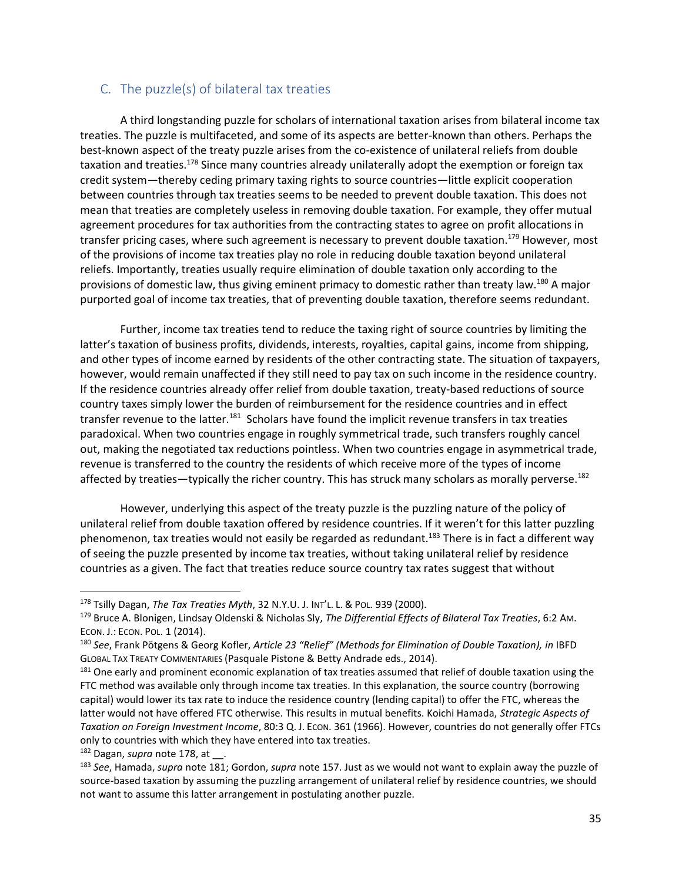### <span id="page-35-1"></span><span id="page-35-0"></span>C. The puzzle(s) of bilateral tax treaties

A third longstanding puzzle for scholars of international taxation arises from bilateral income tax treaties. The puzzle is multifaceted, and some of its aspects are better-known than others. Perhaps the best-known aspect of the treaty puzzle arises from the co-existence of unilateral reliefs from double taxation and treaties.<sup>178</sup> Since many countries already unilaterally adopt the exemption or foreign tax credit system—thereby ceding primary taxing rights to source countries—little explicit cooperation between countries through tax treaties seems to be needed to prevent double taxation. This does not mean that treaties are completely useless in removing double taxation. For example, they offer mutual agreement procedures for tax authorities from the contracting states to agree on profit allocations in transfer pricing cases, where such agreement is necessary to prevent double taxation.<sup>179</sup> However, most of the provisions of income tax treaties play no role in reducing double taxation beyond unilateral reliefs. Importantly, treaties usually require elimination of double taxation only according to the provisions of domestic law, thus giving eminent primacy to domestic rather than treaty law.<sup>180</sup> A major purported goal of income tax treaties, that of preventing double taxation, therefore seems redundant.

<span id="page-35-2"></span>Further, income tax treaties tend to reduce the taxing right of source countries by limiting the latter's taxation of business profits, dividends, interests, royalties, capital gains, income from shipping, and other types of income earned by residents of the other contracting state. The situation of taxpayers, however, would remain unaffected if they still need to pay tax on such income in the residence country. If the residence countries already offer relief from double taxation, treaty-based reductions of source country taxes simply lower the burden of reimbursement for the residence countries and in effect transfer revenue to the latter.<sup>181</sup> Scholars have found the implicit revenue transfers in tax treaties paradoxical. When two countries engage in roughly symmetrical trade, such transfers roughly cancel out, making the negotiated tax reductions pointless. When two countries engage in asymmetrical trade, revenue is transferred to the country the residents of which receive more of the types of income affected by treaties—typically the richer country. This has struck many scholars as morally perverse.<sup>182</sup>

However, underlying this aspect of the treaty puzzle is the puzzling nature of the policy of unilateral relief from double taxation offered by residence countries. If it weren't for this latter puzzling phenomenon, tax treaties would not easily be regarded as redundant.<sup>183</sup> There is in fact a different way of seeing the puzzle presented by income tax treaties, without taking unilateral relief by residence countries as a given. The fact that treaties reduce source country tax rates suggest that without

<sup>178</sup> Tsilly Dagan, *The Tax Treaties Myth*, 32 N.Y.U. J. INT'L. L. & POL. 939 (2000).

<sup>179</sup> Bruce A. Blonigen, Lindsay Oldenski & Nicholas Sly, *The Differential Effects of Bilateral Tax Treaties*, 6:2 AM. ECON. J.: ECON. POL. 1 (2014).

<sup>180</sup> *See*, Frank Pötgens & Georg Kofler, *Article 23 "Relief" (Methods for Elimination of Double Taxation), in* IBFD GLOBAL TAX TREATY COMMENTARIES (Pasquale Pistone & Betty Andrade eds., 2014).

<sup>&</sup>lt;sup>181</sup> One early and prominent economic explanation of tax treaties assumed that relief of double taxation using the FTC method was available only through income tax treaties. In this explanation, the source country (borrowing capital) would lower its tax rate to induce the residence country (lending capital) to offer the FTC, whereas the latter would not have offered FTC otherwise. This results in mutual benefits. Koichi Hamada, *Strategic Aspects of Taxation on Foreign Investment Income*, 80:3 Q. J. ECON. 361 (1966). However, countries do not generally offer FTCs only to countries with which they have entered into tax treaties.

<sup>182</sup> Dagan, *supra* not[e 178,](#page-35-1) at .

<sup>183</sup> *See*, Hamada, *supra* not[e 181;](#page-35-2) Gordon, *supra* not[e 157.](#page-30-2) Just as we would not want to explain away the puzzle of source-based taxation by assuming the puzzling arrangement of unilateral relief by residence countries, we should not want to assume this latter arrangement in postulating another puzzle.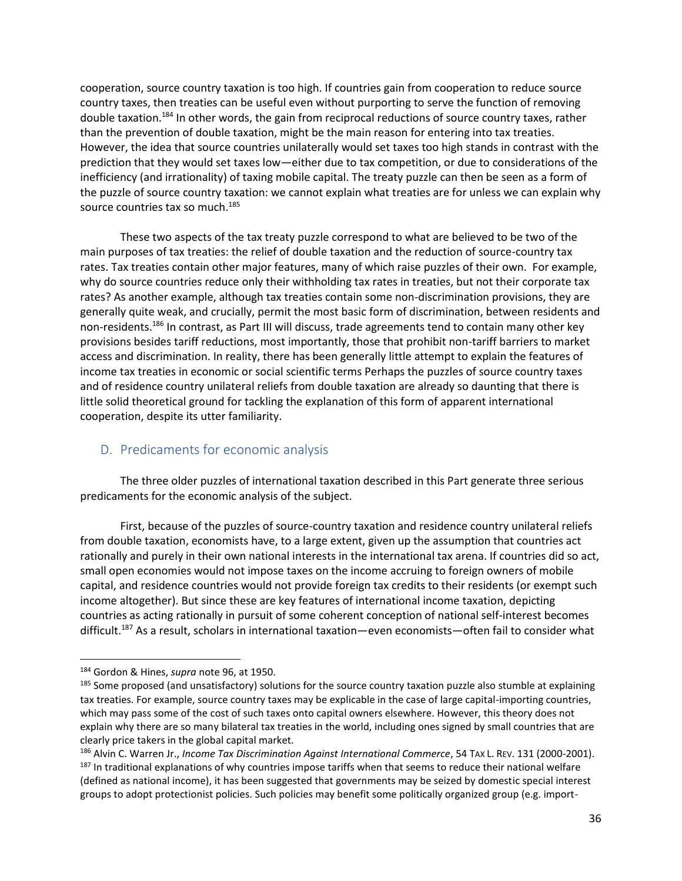cooperation, source country taxation is too high. If countries gain from cooperation to reduce source country taxes, then treaties can be useful even without purporting to serve the function of removing double taxation.<sup>184</sup> In other words, the gain from reciprocal reductions of source country taxes, rather than the prevention of double taxation, might be the main reason for entering into tax treaties. However, the idea that source countries unilaterally would set taxes too high stands in contrast with the prediction that they would set taxes low—either due to tax competition, or due to considerations of the inefficiency (and irrationality) of taxing mobile capital. The treaty puzzle can then be seen as a form of the puzzle of source country taxation: we cannot explain what treaties are for unless we can explain why source countries tax so much.<sup>185</sup>

These two aspects of the tax treaty puzzle correspond to what are believed to be two of the main purposes of tax treaties: the relief of double taxation and the reduction of source-country tax rates. Tax treaties contain other major features, many of which raise puzzles of their own. For example, why do source countries reduce only their withholding tax rates in treaties, but not their corporate tax rates? As another example, although tax treaties contain some non-discrimination provisions, they are generally quite weak, and crucially, permit the most basic form of discrimination, between residents and non-residents.<sup>186</sup> In contrast, as Part III will discuss, trade agreements tend to contain many other key provisions besides tariff reductions, most importantly, those that prohibit non-tariff barriers to market access and discrimination. In reality, there has been generally little attempt to explain the features of income tax treaties in economic or social scientific terms Perhaps the puzzles of source country taxes and of residence country unilateral reliefs from double taxation are already so daunting that there is little solid theoretical ground for tackling the explanation of this form of apparent international cooperation, despite its utter familiarity.

## <span id="page-36-0"></span>D. Predicaments for economic analysis

The three older puzzles of international taxation described in this Part generate three serious predicaments for the economic analysis of the subject.

First, because of the puzzles of source-country taxation and residence country unilateral reliefs from double taxation, economists have, to a large extent, given up the assumption that countries act rationally and purely in their own national interests in the international tax arena. If countries did so act, small open economies would not impose taxes on the income accruing to foreign owners of mobile capital, and residence countries would not provide foreign tax credits to their residents (or exempt such income altogether). But since these are key features of international income taxation, depicting countries as acting rationally in pursuit of some coherent conception of national self-interest becomes difficult.<sup>187</sup> As a result, scholars in international taxation—even economists—often fail to consider what

<sup>184</sup> Gordon & Hines, *supra* note [96,](#page-19-0) at 1950.

<sup>&</sup>lt;sup>185</sup> Some proposed (and unsatisfactory) solutions for the source country taxation puzzle also stumble at explaining tax treaties. For example, source country taxes may be explicable in the case of large capital-importing countries, which may pass some of the cost of such taxes onto capital owners elsewhere. However, this theory does not explain why there are so many bilateral tax treaties in the world, including ones signed by small countries that are clearly price takers in the global capital market.

<sup>186</sup> Alvin C. Warren Jr., *Income Tax Discrimination Against International Commerce*, 54 TAX L. REV. 131 (2000-2001). <sup>187</sup> In traditional explanations of why countries impose tariffs when that seems to reduce their national welfare (defined as national income), it has been suggested that governments may be seized by domestic special interest groups to adopt protectionist policies. Such policies may benefit some politically organized group (e.g. import-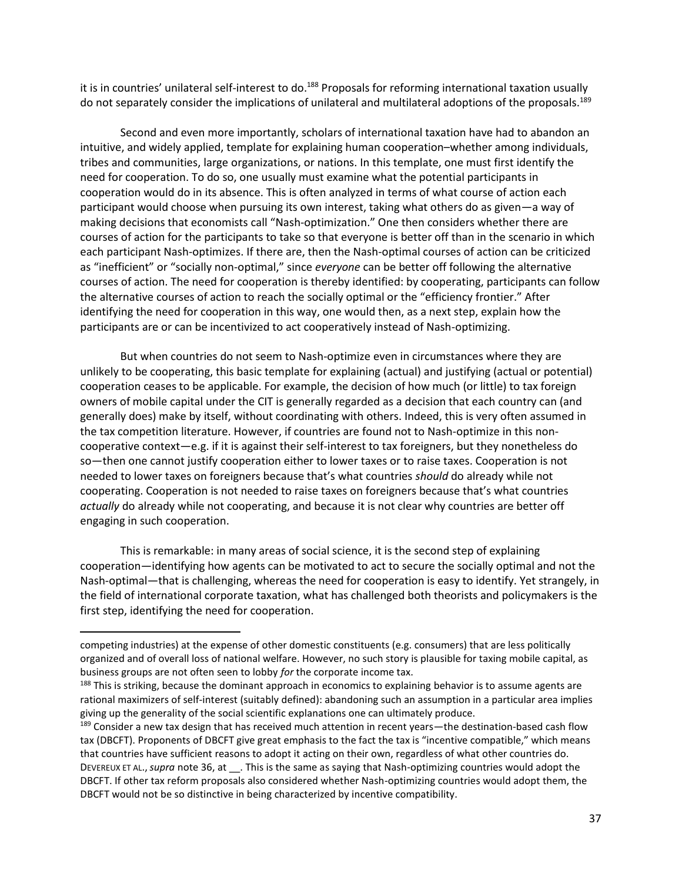it is in countries' unilateral self-interest to do.<sup>188</sup> Proposals for reforming international taxation usually do not separately consider the implications of unilateral and multilateral adoptions of the proposals.<sup>189</sup>

Second and even more importantly, scholars of international taxation have had to abandon an intuitive, and widely applied, template for explaining human cooperation–whether among individuals, tribes and communities, large organizations, or nations. In this template, one must first identify the need for cooperation. To do so, one usually must examine what the potential participants in cooperation would do in its absence. This is often analyzed in terms of what course of action each participant would choose when pursuing its own interest, taking what others do as given—a way of making decisions that economists call "Nash-optimization." One then considers whether there are courses of action for the participants to take so that everyone is better off than in the scenario in which each participant Nash-optimizes. If there are, then the Nash-optimal courses of action can be criticized as "inefficient" or "socially non-optimal," since *everyone* can be better off following the alternative courses of action. The need for cooperation is thereby identified: by cooperating, participants can follow the alternative courses of action to reach the socially optimal or the "efficiency frontier." After identifying the need for cooperation in this way, one would then, as a next step, explain how the participants are or can be incentivized to act cooperatively instead of Nash-optimizing.

But when countries do not seem to Nash-optimize even in circumstances where they are unlikely to be cooperating, this basic template for explaining (actual) and justifying (actual or potential) cooperation ceases to be applicable. For example, the decision of how much (or little) to tax foreign owners of mobile capital under the CIT is generally regarded as a decision that each country can (and generally does) make by itself, without coordinating with others. Indeed, this is very often assumed in the tax competition literature. However, if countries are found not to Nash-optimize in this noncooperative context—e.g. if it is against their self-interest to tax foreigners, but they nonetheless do so—then one cannot justify cooperation either to lower taxes or to raise taxes. Cooperation is not needed to lower taxes on foreigners because that's what countries *should* do already while not cooperating. Cooperation is not needed to raise taxes on foreigners because that's what countries *actually* do already while not cooperating, and because it is not clear why countries are better off engaging in such cooperation.

This is remarkable: in many areas of social science, it is the second step of explaining cooperation—identifying how agents can be motivated to act to secure the socially optimal and not the Nash-optimal—that is challenging, whereas the need for cooperation is easy to identify. Yet strangely, in the field of international corporate taxation, what has challenged both theorists and policymakers is the first step, identifying the need for cooperation.

competing industries) at the expense of other domestic constituents (e.g. consumers) that are less politically organized and of overall loss of national welfare. However, no such story is plausible for taxing mobile capital, as business groups are not often seen to lobby *for* the corporate income tax.

<sup>&</sup>lt;sup>188</sup> This is striking, because the dominant approach in economics to explaining behavior is to assume agents are rational maximizers of self-interest (suitably defined): abandoning such an assumption in a particular area implies giving up the generality of the social scientific explanations one can ultimately produce.

<sup>&</sup>lt;sup>189</sup> Consider a new tax design that has received much attention in recent years—the destination-based cash flow tax (DBCFT). Proponents of DBCFT give great emphasis to the fact the tax is "incentive compatible," which means that countries have sufficient reasons to adopt it acting on their own, regardless of what other countries do. DEVEREUX ET AL.,*supra* not[e 36,](#page-8-4) at \_\_. This is the same as saying that Nash-optimizing countries would adopt the DBCFT. If other tax reform proposals also considered whether Nash-optimizing countries would adopt them, the DBCFT would not be so distinctive in being characterized by incentive compatibility.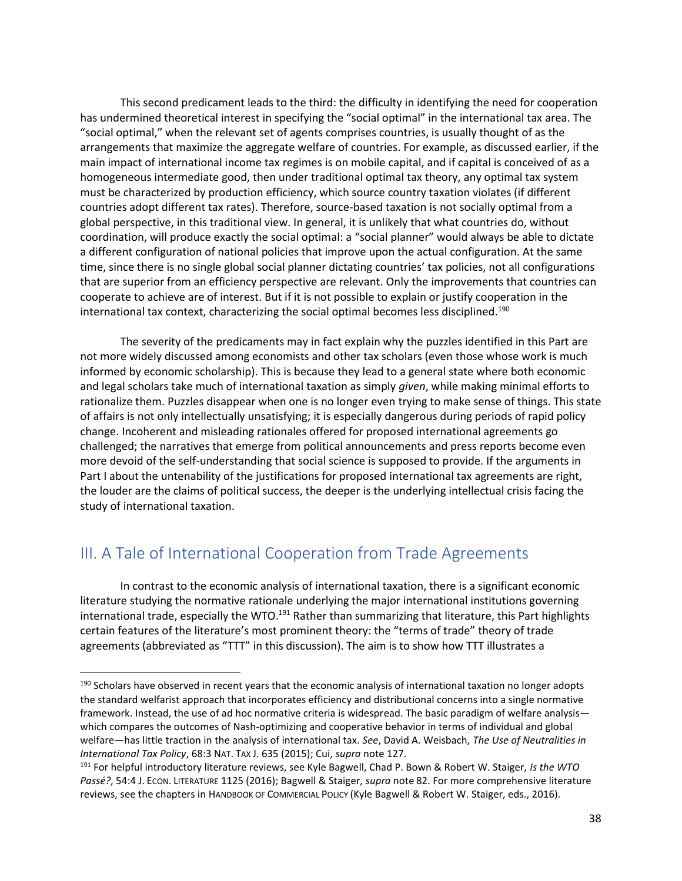This second predicament leads to the third: the difficulty in identifying the need for cooperation has undermined theoretical interest in specifying the "social optimal" in the international tax area. The "social optimal," when the relevant set of agents comprises countries, is usually thought of as the arrangements that maximize the aggregate welfare of countries. For example, as discussed earlier, if the main impact of international income tax regimes is on mobile capital, and if capital is conceived of as a homogeneous intermediate good, then under traditional optimal tax theory, any optimal tax system must be characterized by production efficiency, which source country taxation violates (if different countries adopt different tax rates). Therefore, source-based taxation is not socially optimal from a global perspective, in this traditional view. In general, it is unlikely that what countries do, without coordination, will produce exactly the social optimal: a "social planner" would always be able to dictate a different configuration of national policies that improve upon the actual configuration. At the same time, since there is no single global social planner dictating countries' tax policies, not all configurations that are superior from an efficiency perspective are relevant. Only the improvements that countries can cooperate to achieve are of interest. But if it is not possible to explain or justify cooperation in the international tax context, characterizing the social optimal becomes less disciplined.<sup>190</sup>

The severity of the predicaments may in fact explain why the puzzles identified in this Part are not more widely discussed among economists and other tax scholars (even those whose work is much informed by economic scholarship). This is because they lead to a general state where both economic and legal scholars take much of international taxation as simply *given*, while making minimal efforts to rationalize them. Puzzles disappear when one is no longer even trying to make sense of things. This state of affairs is not only intellectually unsatisfying; it is especially dangerous during periods of rapid policy change. Incoherent and misleading rationales offered for proposed international agreements go challenged; the narratives that emerge from political announcements and press reports become even more devoid of the self-understanding that social science is supposed to provide. If the arguments in Part I about the untenability of the justifications for proposed international tax agreements are right, the louder are the claims of political success, the deeper is the underlying intellectual crisis facing the study of international taxation.

# <span id="page-38-0"></span>III. A Tale of International Cooperation from Trade Agreements

 $\overline{\phantom{a}}$ 

<span id="page-38-1"></span>In contrast to the economic analysis of international taxation, there is a significant economic literature studying the normative rationale underlying the major international institutions governing international trade, especially the WTO.<sup>191</sup> Rather than summarizing that literature, this Part highlights certain features of the literature's most prominent theory: the "terms of trade" theory of trade agreements (abbreviated as "TTT" in this discussion). The aim is to show how TTT illustrates a

<sup>&</sup>lt;sup>190</sup> Scholars have observed in recent years that the economic analysis of international taxation no longer adopts the standard welfarist approach that incorporates efficiency and distributional concerns into a single normative framework. Instead, the use of ad hoc normative criteria is widespread. The basic paradigm of welfare analysis which compares the outcomes of Nash-optimizing and cooperative behavior in terms of individual and global welfare—has little traction in the analysis of international tax. *See*, David A. Weisbach, *The Use of Neutralities in International Tax Policy*, 68:3 NAT. TAX J. 635 (2015); Cui, *supra* not[e 127.](#page-24-0)

<sup>191</sup> For helpful introductory literature reviews, see Kyle Bagwell, Chad P. Bown & Robert W. Staiger, *Is the WTO Passé?*, 54:4 J. ECON. LITERATURE 1125 (2016); Bagwell & Staiger, *supra* note [82.](#page-16-1) For more comprehensive literature reviews, see the chapters in HANDBOOK OF COMMERCIAL POLICY (Kyle Bagwell & Robert W. Staiger, eds., 2016).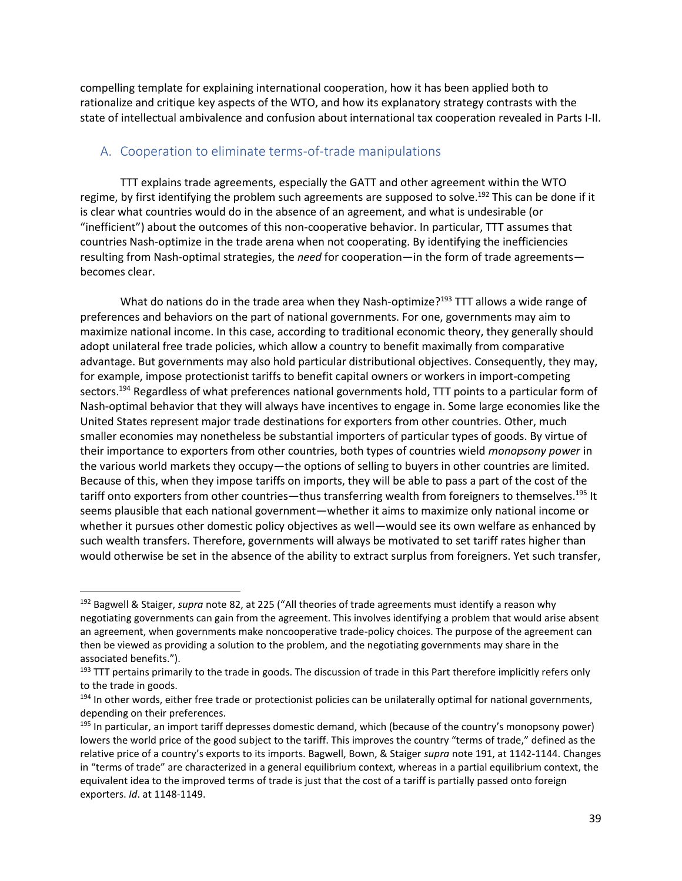compelling template for explaining international cooperation, how it has been applied both to rationalize and critique key aspects of the WTO, and how its explanatory strategy contrasts with the state of intellectual ambivalence and confusion about international tax cooperation revealed in Parts I-II.

### <span id="page-39-0"></span>A. Cooperation to eliminate terms-of-trade manipulations

TTT explains trade agreements, especially the GATT and other agreement within the WTO regime, by first identifying the problem such agreements are supposed to solve.<sup>192</sup> This can be done if it is clear what countries would do in the absence of an agreement, and what is undesirable (or "inefficient") about the outcomes of this non-cooperative behavior. In particular, TTT assumes that countries Nash-optimize in the trade arena when not cooperating. By identifying the inefficiencies resulting from Nash-optimal strategies, the *need* for cooperation—in the form of trade agreements becomes clear.

What do nations do in the trade area when they Nash-optimize?<sup>193</sup> TTT allows a wide range of preferences and behaviors on the part of national governments. For one, governments may aim to maximize national income. In this case, according to traditional economic theory, they generally should adopt unilateral free trade policies, which allow a country to benefit maximally from comparative advantage. But governments may also hold particular distributional objectives. Consequently, they may, for example, impose protectionist tariffs to benefit capital owners or workers in import-competing sectors.<sup>194</sup> Regardless of what preferences national governments hold, TTT points to a particular form of Nash-optimal behavior that they will always have incentives to engage in. Some large economies like the United States represent major trade destinations for exporters from other countries. Other, much smaller economies may nonetheless be substantial importers of particular types of goods. By virtue of their importance to exporters from other countries, both types of countries wield *monopsony power* in the various world markets they occupy—the options of selling to buyers in other countries are limited. Because of this, when they impose tariffs on imports, they will be able to pass a part of the cost of the tariff onto exporters from other countries—thus transferring wealth from foreigners to themselves.<sup>195</sup> It seems plausible that each national government—whether it aims to maximize only national income or whether it pursues other domestic policy objectives as well—would see its own welfare as enhanced by such wealth transfers. Therefore, governments will always be motivated to set tariff rates higher than would otherwise be set in the absence of the ability to extract surplus from foreigners. Yet such transfer,

<sup>192</sup> Bagwell & Staiger, *supra* note [82](#page-16-1), at 225 ("All theories of trade agreements must identify a reason why negotiating governments can gain from the agreement. This involves identifying a problem that would arise absent an agreement, when governments make noncooperative trade-policy choices. The purpose of the agreement can then be viewed as providing a solution to the problem, and the negotiating governments may share in the associated benefits.").

<sup>193</sup> TTT pertains primarily to the trade in goods. The discussion of trade in this Part therefore implicitly refers only to the trade in goods.

<sup>&</sup>lt;sup>194</sup> In other words, either free trade or protectionist policies can be unilaterally optimal for national governments, depending on their preferences.

<sup>&</sup>lt;sup>195</sup> In particular, an import tariff depresses domestic demand, which (because of the country's monopsony power) lowers the world price of the good subject to the tariff. This improves the country "terms of trade," defined as the relative price of a country's exports to its imports. Bagwell, Bown, & Staiger *supra* note [191,](#page-38-1) at 1142-1144. Changes in "terms of trade" are characterized in a general equilibrium context, whereas in a partial equilibrium context, the equivalent idea to the improved terms of trade is just that the cost of a tariff is partially passed onto foreign exporters. *Id*. at 1148-1149.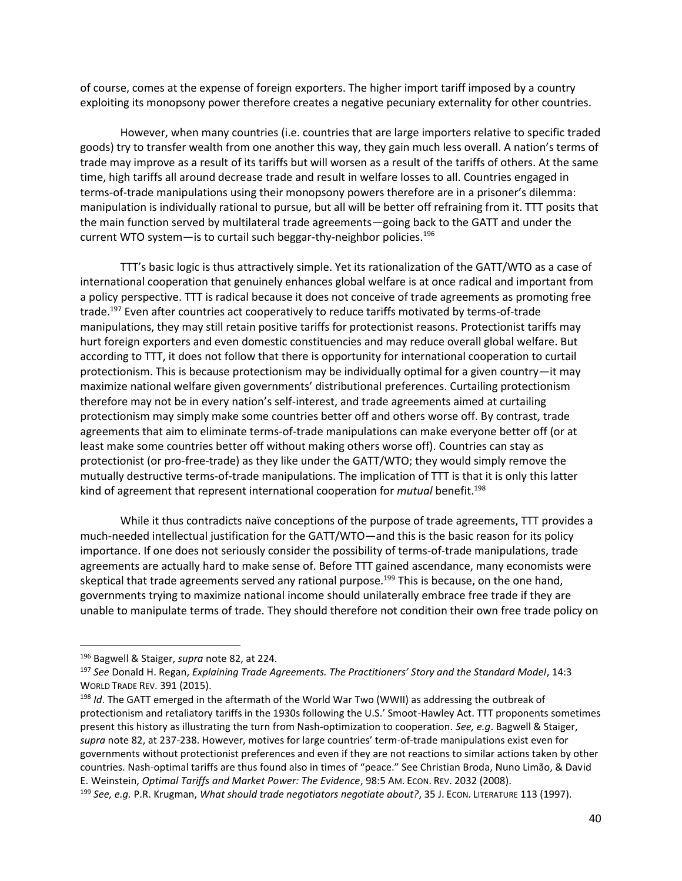of course, comes at the expense of foreign exporters. The higher import tariff imposed by a country exploiting its monopsony power therefore creates a negative pecuniary externality for other countries.

However, when many countries (i.e. countries that are large importers relative to specific traded goods) try to transfer wealth from one another this way, they gain much less overall. A nation's terms of trade may improve as a result of its tariffs but will worsen as a result of the tariffs of others. At the same time, high tariffs all around decrease trade and result in welfare losses to all. Countries engaged in terms-of-trade manipulations using their monopsony powers therefore are in a prisoner's dilemma: manipulation is individually rational to pursue, but all will be better off refraining from it. TTT posits that the main function served by multilateral trade agreements—going back to the GATT and under the current WTO system—is to curtail such beggar-thy-neighbor policies.<sup>196</sup>

<span id="page-40-0"></span>TTT's basic logic is thus attractively simple. Yet its rationalization of the GATT/WTO as a case of international cooperation that genuinely enhances global welfare is at once radical and important from a policy perspective. TTT is radical because it does not conceive of trade agreements as promoting free trade.<sup>197</sup> Even after countries act cooperatively to reduce tariffs motivated by terms-of-trade manipulations, they may still retain positive tariffs for protectionist reasons. Protectionist tariffs may hurt foreign exporters and even domestic constituencies and may reduce overall global welfare. But according to TTT, it does not follow that there is opportunity for international cooperation to curtail protectionism. This is because protectionism may be individually optimal for a given country—it may maximize national welfare given governments' distributional preferences. Curtailing protectionism therefore may not be in every nation's self-interest, and trade agreements aimed at curtailing protectionism may simply make some countries better off and others worse off. By contrast, trade agreements that aim to eliminate terms-of-trade manipulations can make everyone better off (or at least make some countries better off without making others worse off). Countries can stay as protectionist (or pro-free-trade) as they like under the GATT/WTO; they would simply remove the mutually destructive terms-of-trade manipulations. The implication of TTT is that it is only this latter kind of agreement that represent international cooperation for *mutual* benefit.<sup>198</sup>

<span id="page-40-1"></span>While it thus contradicts naïve conceptions of the purpose of trade agreements, TTT provides a much-needed intellectual justification for the GATT/WTO—and this is the basic reason for its policy importance. If one does not seriously consider the possibility of terms-of-trade manipulations, trade agreements are actually hard to make sense of. Before TTT gained ascendance, many economists were skeptical that trade agreements served any rational purpose.<sup>199</sup> This is because, on the one hand, governments trying to maximize national income should unilaterally embrace free trade if they are unable to manipulate terms of trade. They should therefore not condition their own free trade policy on

<sup>196</sup> Bagwell & Staiger, *supra* note [82,](#page-16-1) at 224.

<sup>197</sup> *See* Donald H. Regan, *Explaining Trade Agreements. The Practitioners' Story and the Standard Model*, 14:3 WORLD TRADE REV. 391 (2015).

<sup>198</sup> *Id*. The GATT emerged in the aftermath of the World War Two (WWII) as addressing the outbreak of protectionism and retaliatory tariffs in the 1930s following the U.S.' Smoot-Hawley Act. TTT proponents sometimes present this history as illustrating the turn from Nash-optimization to cooperation. *See, e.g*. Bagwell & Staiger, *supra* note [82,](#page-16-1) at 237-238. However, motives for large countries' term-of-trade manipulations exist even for governments without protectionist preferences and even if they are not reactions to similar actions taken by other countries. Nash-optimal tariffs are thus found also in times of "peace." See Christian Broda, Nuno Limão, & David E. Weinstein, *Optimal Tariffs and Market Power: The Evidence*, 98:5 AM. ECON. REV. 2032 (2008).

<sup>199</sup> *See, e.g.* P.R. Krugman, *What should trade negotiators negotiate about?*, 35 J. ECON. LITERATURE 113 (1997).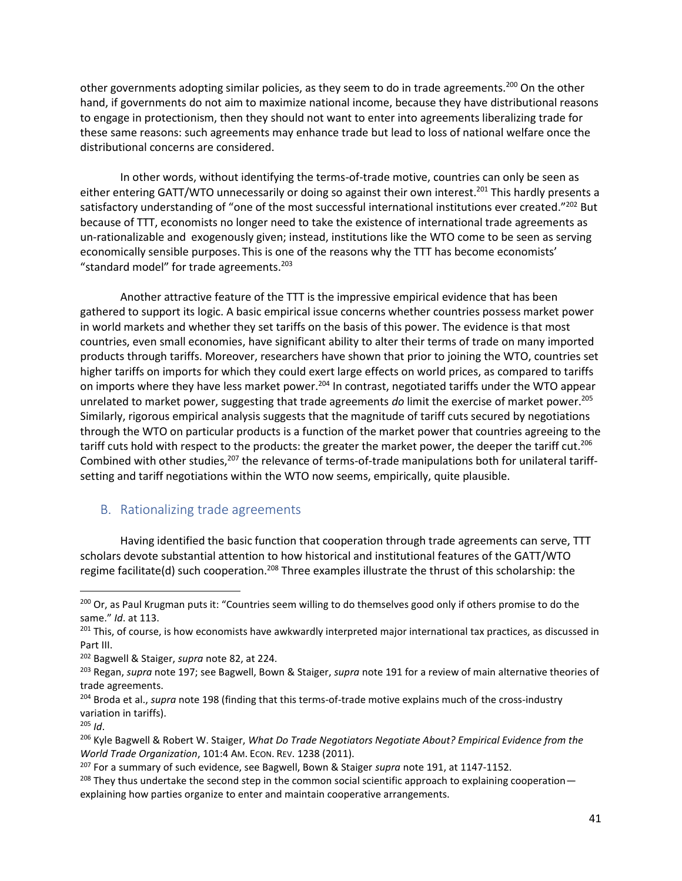other governments adopting similar policies, as they seem to do in trade agreements.<sup>200</sup> On the other hand, if governments do not aim to maximize national income, because they have distributional reasons to engage in protectionism, then they should not want to enter into agreements liberalizing trade for these same reasons: such agreements may enhance trade but lead to loss of national welfare once the distributional concerns are considered.

In other words, without identifying the terms-of-trade motive, countries can only be seen as either entering GATT/WTO unnecessarily or doing so against their own interest.<sup>201</sup> This hardly presents a satisfactory understanding of "one of the most successful international institutions ever created."<sup>202</sup> But because of TTT, economists no longer need to take the existence of international trade agreements as un-rationalizable and exogenously given; instead, institutions like the WTO come to be seen as serving economically sensible purposes. This is one of the reasons why the TTT has become economists' "standard model" for trade agreements. $^{203}$ 

Another attractive feature of the TTT is the impressive empirical evidence that has been gathered to support its logic. A basic empirical issue concerns whether countries possess market power in world markets and whether they set tariffs on the basis of this power. The evidence is that most countries, even small economies, have significant ability to alter their terms of trade on many imported products through tariffs. Moreover, researchers have shown that prior to joining the WTO, countries set higher tariffs on imports for which they could exert large effects on world prices, as compared to tariffs on imports where they have less market power.<sup>204</sup> In contrast, negotiated tariffs under the WTO appear unrelated to market power, suggesting that trade agreements *do* limit the exercise of market power.<sup>205</sup> Similarly, rigorous empirical analysis suggests that the magnitude of tariff cuts secured by negotiations through the WTO on particular products is a function of the market power that countries agreeing to the tariff cuts hold with respect to the products: the greater the market power, the deeper the tariff cut.<sup>206</sup> Combined with other studies,<sup>207</sup> the relevance of terms-of-trade manipulations both for unilateral tariffsetting and tariff negotiations within the WTO now seems, empirically, quite plausible.

### <span id="page-41-2"></span><span id="page-41-1"></span><span id="page-41-0"></span>B. Rationalizing trade agreements

Having identified the basic function that cooperation through trade agreements can serve, TTT scholars devote substantial attention to how historical and institutional features of the GATT/WTO regime facilitate(d) such cooperation.<sup>208</sup> Three examples illustrate the thrust of this scholarship: the

<sup>&</sup>lt;sup>200</sup> Or, as Paul Krugman puts it: "Countries seem willing to do themselves good only if others promise to do the same." *Id*. at 113.

 $201$  This, of course, is how economists have awkwardly interpreted major international tax practices, as discussed in Part III.

<sup>202</sup> Bagwell & Staiger, *supra* note [82,](#page-16-1) at 224.

<sup>203</sup> Regan, *supra* note [197;](#page-40-0) see Bagwell, Bown & Staiger, *supra* note [191](#page-38-1) for a review of main alternative theories of trade agreements.

<sup>204</sup> Broda et al., *supra* not[e 198](#page-40-1) (finding that this terms-of-trade motive explains much of the cross-industry variation in tariffs).

 $205$  *Id.* 

<sup>206</sup> Kyle Bagwell & Robert W. Staiger, *What Do Trade Negotiators Negotiate About? Empirical Evidence from the World Trade Organization*, 101:4 AM. ECON. REV. 1238 (2011).

<sup>207</sup> For a summary of such evidence, see Bagwell, Bown & Staiger *supra* note [191,](#page-38-1) at 1147-1152.

<sup>&</sup>lt;sup>208</sup> They thus undertake the second step in the common social scientific approach to explaining cooperation explaining how parties organize to enter and maintain cooperative arrangements.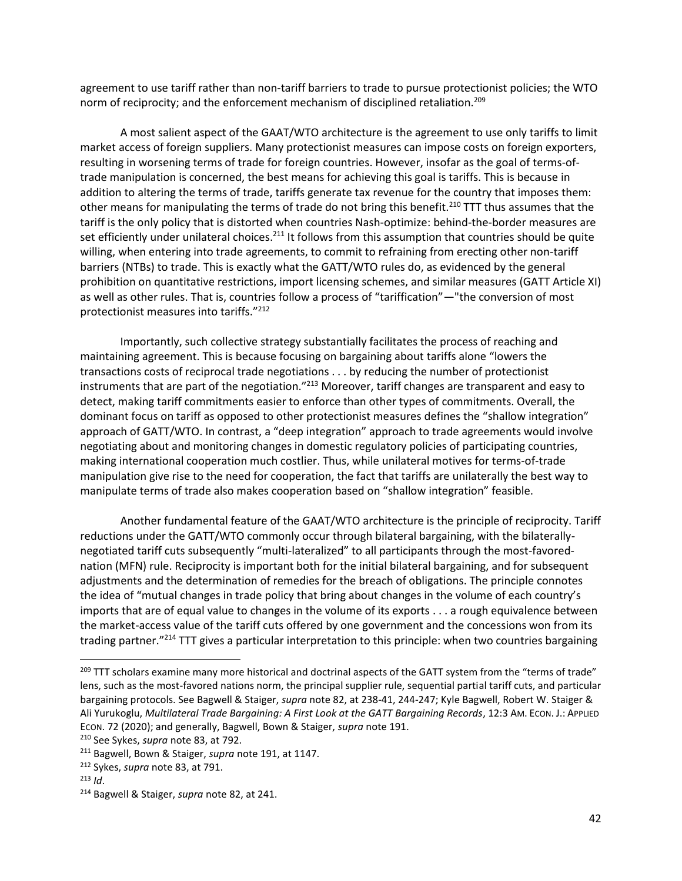agreement to use tariff rather than non-tariff barriers to trade to pursue protectionist policies; the WTO norm of reciprocity; and the enforcement mechanism of disciplined retaliation.<sup>209</sup>

A most salient aspect of the GAAT/WTO architecture is the agreement to use only tariffs to limit market access of foreign suppliers. Many protectionist measures can impose costs on foreign exporters, resulting in worsening terms of trade for foreign countries. However, insofar as the goal of terms-oftrade manipulation is concerned, the best means for achieving this goal is tariffs. This is because in addition to altering the terms of trade, tariffs generate tax revenue for the country that imposes them: other means for manipulating the terms of trade do not bring this benefit.<sup>210</sup> TTT thus assumes that the tariff is the only policy that is distorted when countries Nash-optimize: behind-the-border measures are set efficiently under unilateral choices.<sup>211</sup> It follows from this assumption that countries should be quite willing, when entering into trade agreements, to commit to refraining from erecting other non-tariff barriers (NTBs) to trade. This is exactly what the GATT/WTO rules do, as evidenced by the general prohibition on quantitative restrictions, import licensing schemes, and similar measures (GATT Article XI) as well as other rules. That is, countries follow a process of "tariffication"—"the conversion of most protectionist measures into tariffs."<sup>212</sup>

Importantly, such collective strategy substantially facilitates the process of reaching and maintaining agreement. This is because focusing on bargaining about tariffs alone "lowers the transactions costs of reciprocal trade negotiations . . . by reducing the number of protectionist instruments that are part of the negotiation."<sup>213</sup> Moreover, tariff changes are transparent and easy to detect, making tariff commitments easier to enforce than other types of commitments. Overall, the dominant focus on tariff as opposed to other protectionist measures defines the "shallow integration" approach of GATT/WTO. In contrast, a "deep integration" approach to trade agreements would involve negotiating about and monitoring changes in domestic regulatory policies of participating countries, making international cooperation much costlier. Thus, while unilateral motives for terms-of-trade manipulation give rise to the need for cooperation, the fact that tariffs are unilaterally the best way to manipulate terms of trade also makes cooperation based on "shallow integration" feasible.

Another fundamental feature of the GAAT/WTO architecture is the principle of reciprocity. Tariff reductions under the GATT/WTO commonly occur through bilateral bargaining, with the bilaterallynegotiated tariff cuts subsequently "multi-lateralized" to all participants through the most-favorednation (MFN) rule. Reciprocity is important both for the initial bilateral bargaining, and for subsequent adjustments and the determination of remedies for the breach of obligations. The principle connotes the idea of "mutual changes in trade policy that bring about changes in the volume of each country's imports that are of equal value to changes in the volume of its exports . . . a rough equivalence between the market-access value of the tariff cuts offered by one government and the concessions won from its trading partner."<sup>214</sup> TTT gives a particular interpretation to this principle: when two countries bargaining

<sup>&</sup>lt;sup>209</sup> TTT scholars examine many more historical and doctrinal aspects of the GATT system from the "terms of trade" lens, such as the most-favored nations norm, the principal supplier rule, sequential partial tariff cuts, and particular bargaining protocols. See Bagwell & Staiger, *supra* note [82,](#page-16-1) at 238-41, 244-247; Kyle Bagwell, Robert W. Staiger & Ali Yurukoglu, *Multilateral Trade Bargaining: A First Look at the GATT Bargaining Records*, 12:3 AM. ECON. J.: APPLIED ECON. 72 (2020); and generally, Bagwell, Bown & Staiger, *supra* not[e 191.](#page-38-1)

<sup>210</sup> See Sykes, *supra* note [83,](#page-16-0) at 792.

<sup>211</sup> Bagwell, Bown & Staiger, *supra* note [191,](#page-38-1) at 1147.

<sup>212</sup> Sykes, *supra* not[e 83,](#page-16-0) at 791.

<sup>213</sup> *Id*.

<sup>214</sup> Bagwell & Staiger, *supra* note [82,](#page-16-1) at 241.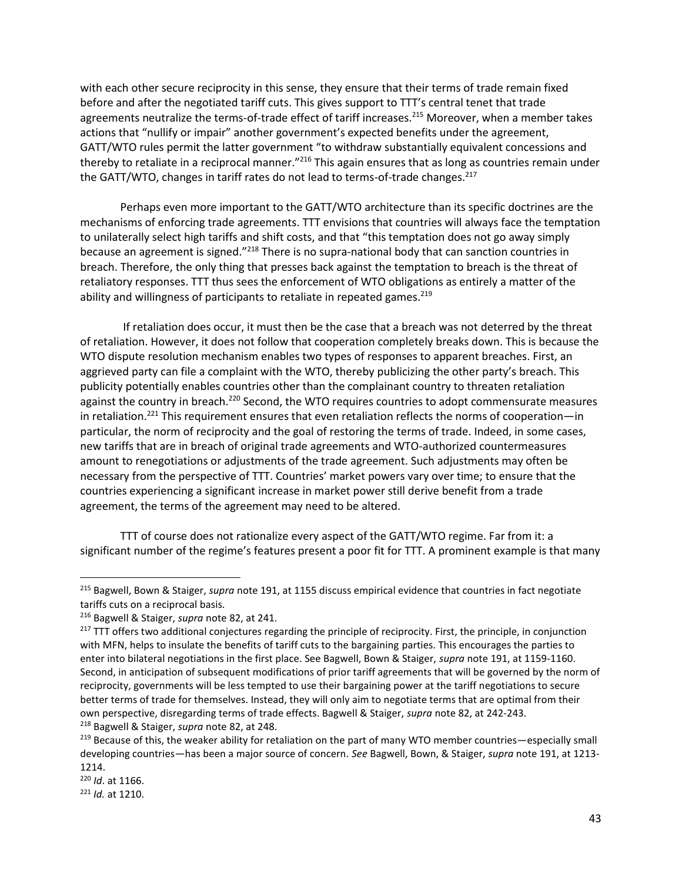with each other secure reciprocity in this sense, they ensure that their terms of trade remain fixed before and after the negotiated tariff cuts. This gives support to TTT's central tenet that trade agreements neutralize the terms-of-trade effect of tariff increases.<sup>215</sup> Moreover, when a member takes actions that "nullify or impair" another government's expected benefits under the agreement, GATT/WTO rules permit the latter government "to withdraw substantially equivalent concessions and thereby to retaliate in a reciprocal manner."<sup>216</sup> This again ensures that as long as countries remain under the GATT/WTO, changes in tariff rates do not lead to terms-of-trade changes.<sup>217</sup>

Perhaps even more important to the GATT/WTO architecture than its specific doctrines are the mechanisms of enforcing trade agreements. TTT envisions that countries will always face the temptation to unilaterally select high tariffs and shift costs, and that "this temptation does not go away simply because an agreement is signed."<sup>218</sup> There is no supra-national body that can sanction countries in breach. Therefore, the only thing that presses back against the temptation to breach is the threat of retaliatory responses. TTT thus sees the enforcement of WTO obligations as entirely a matter of the ability and willingness of participants to retaliate in repeated games.<sup>219</sup>

If retaliation does occur, it must then be the case that a breach was not deterred by the threat of retaliation. However, it does not follow that cooperation completely breaks down. This is because the WTO dispute resolution mechanism enables two types of responses to apparent breaches. First, an aggrieved party can file a complaint with the WTO, thereby publicizing the other party's breach. This publicity potentially enables countries other than the complainant country to threaten retaliation against the country in breach.<sup>220</sup> Second, the WTO requires countries to adopt commensurate measures in retaliation.<sup>221</sup> This requirement ensures that even retaliation reflects the norms of cooperation—in particular, the norm of reciprocity and the goal of restoring the terms of trade. Indeed, in some cases, new tariffs that are in breach of original trade agreements and WTO-authorized countermeasures amount to renegotiations or adjustments of the trade agreement. Such adjustments may often be necessary from the perspective of TTT. Countries' market powers vary over time; to ensure that the countries experiencing a significant increase in market power still derive benefit from a trade agreement, the terms of the agreement may need to be altered.

TTT of course does not rationalize every aspect of the GATT/WTO regime. Far from it: a significant number of the regime's features present a poor fit for TTT. A prominent example is that many

<sup>215</sup> Bagwell, Bown & Staiger, *supra* note [191,](#page-38-1) at 1155 discuss empirical evidence that countries in fact negotiate tariffs cuts on a reciprocal basis.

<sup>216</sup> Bagwell & Staiger, *supra* note [82,](#page-16-1) at 241.

 $217$  TTT offers two additional conjectures regarding the principle of reciprocity. First, the principle, in conjunction with MFN, helps to insulate the benefits of tariff cuts to the bargaining parties. This encourages the parties to enter into bilateral negotiations in the first place. See Bagwell, Bown & Staiger, *supra* not[e 191,](#page-38-1) at 1159-1160. Second, in anticipation of subsequent modifications of prior tariff agreements that will be governed by the norm of reciprocity, governments will be less tempted to use their bargaining power at the tariff negotiations to secure better terms of trade for themselves. Instead, they will only aim to negotiate terms that are optimal from their own perspective, disregarding terms of trade effects. Bagwell & Staiger, *supra* not[e 82,](#page-16-1) at 242-243. <sup>218</sup> Bagwell & Staiger, *supra* note [82,](#page-16-1) at 248.

<sup>&</sup>lt;sup>219</sup> Because of this, the weaker ability for retaliation on the part of many WTO member countries—especially small developing countries—has been a major source of concern. *See* Bagwell, Bown, & Staiger, *supra* not[e 191,](#page-38-1) at 1213- 1214.

<sup>220</sup> *Id*. at 1166.

<sup>221</sup> *Id.* at 1210.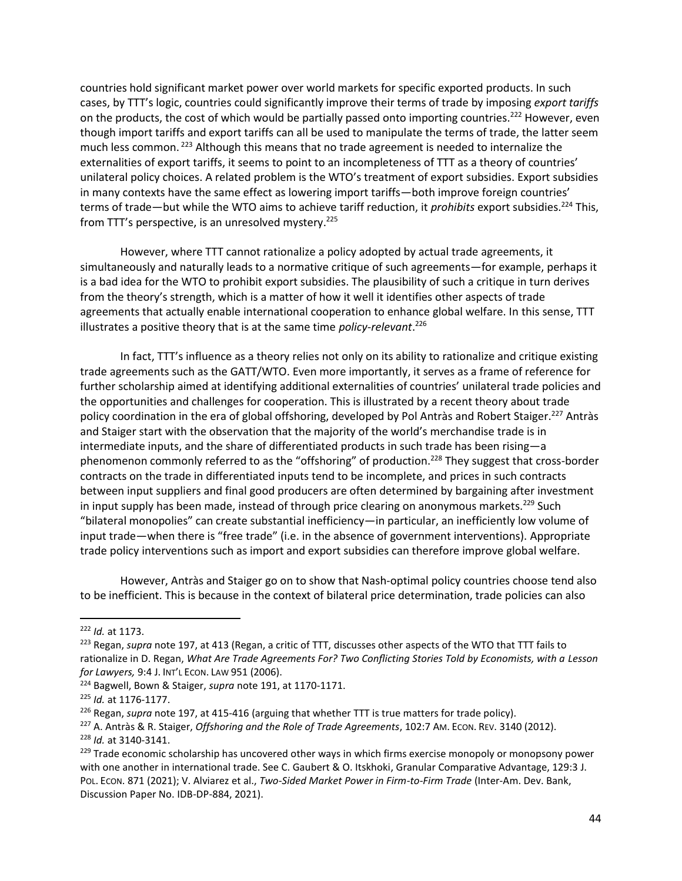<span id="page-44-1"></span>countries hold significant market power over world markets for specific exported products. In such cases, by TTT's logic, countries could significantly improve their terms of trade by imposing *export tariffs* on the products, the cost of which would be partially passed onto importing countries.<sup>222</sup> However, even though import tariffs and export tariffs can all be used to manipulate the terms of trade, the latter seem much less common.<sup>223</sup> Although this means that no trade agreement is needed to internalize the externalities of export tariffs, it seems to point to an incompleteness of TTT as a theory of countries' unilateral policy choices. A related problem is the WTO's treatment of export subsidies. Export subsidies in many contexts have the same effect as lowering import tariffs—both improve foreign countries' terms of trade—but while the WTO aims to achieve tariff reduction, it *prohibits* export subsidies.<sup>224</sup> This, from TTT's perspective, is an unresolved mystery.<sup>225</sup>

However, where TTT cannot rationalize a policy adopted by actual trade agreements, it simultaneously and naturally leads to a normative critique of such agreements—for example, perhaps it is a bad idea for the WTO to prohibit export subsidies. The plausibility of such a critique in turn derives from the theory's strength, which is a matter of how it well it identifies other aspects of trade agreements that actually enable international cooperation to enhance global welfare. In this sense, TTT illustrates a positive theory that is at the same time *policy-relevant*. 226

<span id="page-44-0"></span>In fact, TTT's influence as a theory relies not only on its ability to rationalize and critique existing trade agreements such as the GATT/WTO. Even more importantly, it serves as a frame of reference for further scholarship aimed at identifying additional externalities of countries' unilateral trade policies and the opportunities and challenges for cooperation. This is illustrated by a recent theory about trade policy coordination in the era of global offshoring, developed by Pol Antràs and Robert Staiger.<sup>227</sup> Antràs and Staiger start with the observation that the majority of the world's merchandise trade is in intermediate inputs, and the share of differentiated products in such trade has been rising—a phenomenon commonly referred to as the "offshoring" of production.<sup>228</sup> They suggest that cross-border contracts on the trade in differentiated inputs tend to be incomplete, and prices in such contracts between input suppliers and final good producers are often determined by bargaining after investment in input supply has been made, instead of through price clearing on anonymous markets.<sup>229</sup> Such "bilateral monopolies" can create substantial inefficiency—in particular, an inefficiently low volume of input trade—when there is "free trade" (i.e. in the absence of government interventions). Appropriate trade policy interventions such as import and export subsidies can therefore improve global welfare.

However, Antràs and Staiger go on to show that Nash-optimal policy countries choose tend also to be inefficient. This is because in the context of bilateral price determination, trade policies can also

<sup>222</sup> *Id.* at 1173.

<sup>223</sup> Regan, *supra* note [197,](#page-40-0) at 413 (Regan, a critic of TTT, discusses other aspects of the WTO that TTT fails to rationalize in D. Regan, What Are Trade Agreements For? Two Conflicting Stories Told by Economists, with a Lesson *for Lawyers,* 9:4 J. INT'L ECON. LAW 951 (2006).

<sup>224</sup> Bagwell, Bown & Staiger, *supra* note [191,](#page-38-1) at 1170-1171.

<sup>225</sup> *Id.* at 1176-1177.

<sup>226</sup> Regan, *supra* note [197,](#page-40-0) at 415-416 (arguing that whether TTT is true matters for trade policy).

<sup>227</sup> A. Antràs & R. Staiger, *Offshoring and the Role of Trade Agreements*, 102:7 AM. ECON. REV. 3140 (2012). <sup>228</sup> *Id.* at 3140-3141.

<sup>&</sup>lt;sup>229</sup> Trade economic scholarship has uncovered other ways in which firms exercise monopoly or monopsony power with one another in international trade. See C. Gaubert & O. Itskhoki, Granular Comparative Advantage, 129:3 J. POL. ECON. 871 (2021); V. Alviarez et al., *Two-Sided Market Power in Firm-to-Firm Trade* (Inter-Am. Dev. Bank, Discussion Paper No. IDB-DP-884, 2021).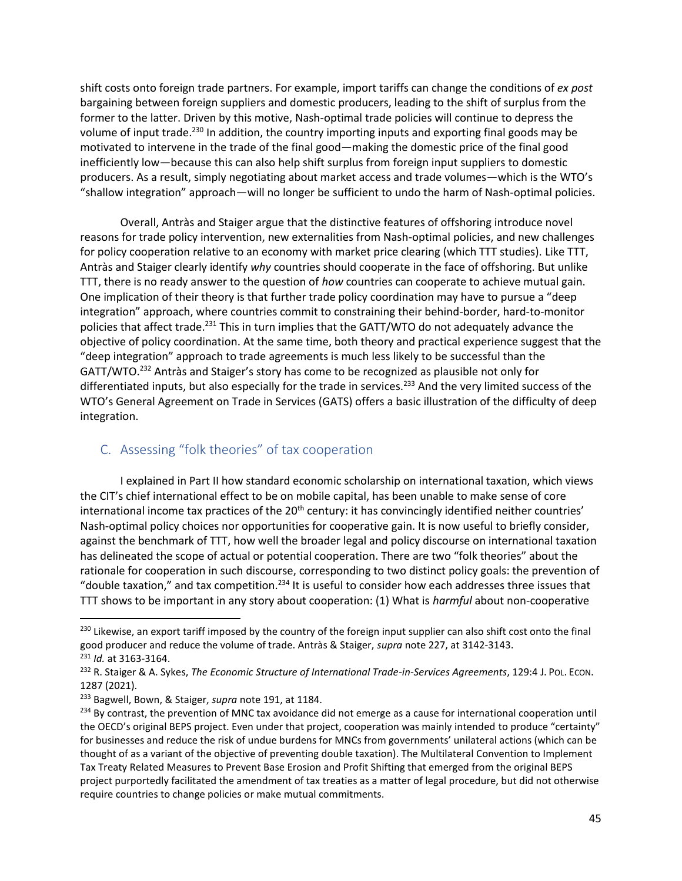shift costs onto foreign trade partners. For example, import tariffs can change the conditions of *ex post* bargaining between foreign suppliers and domestic producers, leading to the shift of surplus from the former to the latter. Driven by this motive, Nash-optimal trade policies will continue to depress the volume of input trade.<sup>230</sup> In addition, the country importing inputs and exporting final goods may be motivated to intervene in the trade of the final good—making the domestic price of the final good inefficiently low—because this can also help shift surplus from foreign input suppliers to domestic producers. As a result, simply negotiating about market access and trade volumes—which is the WTO's "shallow integration" approach—will no longer be sufficient to undo the harm of Nash-optimal policies.

Overall, Antràs and Staiger argue that the distinctive features of offshoring introduce novel reasons for trade policy intervention, new externalities from Nash-optimal policies, and new challenges for policy cooperation relative to an economy with market price clearing (which TTT studies). Like TTT, Antràs and Staiger clearly identify *why* countries should cooperate in the face of offshoring. But unlike TTT, there is no ready answer to the question of *how* countries can cooperate to achieve mutual gain. One implication of their theory is that further trade policy coordination may have to pursue a "deep integration" approach, where countries commit to constraining their behind-border, hard-to-monitor policies that affect trade.<sup>231</sup> This in turn implies that the GATT/WTO do not adequately advance the objective of policy coordination. At the same time, both theory and practical experience suggest that the "deep integration" approach to trade agreements is much less likely to be successful than the GATT/WTO.<sup>232</sup> Antràs and Staiger's story has come to be recognized as plausible not only for differentiated inputs, but also especially for the trade in services.<sup>233</sup> And the very limited success of the WTO's General Agreement on Trade in Services (GATS) offers a basic illustration of the difficulty of deep integration.

## <span id="page-45-0"></span>C. Assessing "folk theories" of tax cooperation

I explained in Part II how standard economic scholarship on international taxation, which views the CIT's chief international effect to be on mobile capital, has been unable to make sense of core international income tax practices of the  $20<sup>th</sup>$  century: it has convincingly identified neither countries' Nash-optimal policy choices nor opportunities for cooperative gain. It is now useful to briefly consider, against the benchmark of TTT, how well the broader legal and policy discourse on international taxation has delineated the scope of actual or potential cooperation. There are two "folk theories" about the rationale for cooperation in such discourse, corresponding to two distinct policy goals: the prevention of "double taxation," and tax competition.<sup>234</sup> It is useful to consider how each addresses three issues that TTT shows to be important in any story about cooperation: (1) What is *harmful* about non-cooperative

 $^{230}$  Likewise, an export tariff imposed by the country of the foreign input supplier can also shift cost onto the final good producer and reduce the volume of trade. Antràs & Staiger, *supra* note [227,](#page-44-0) at 3142-3143. <sup>231</sup> *Id.* at 3163-3164.

<sup>232</sup> R. Staiger & A. Sykes, *The Economic Structure of International Trade-in-Services Agreements*, 129:4 J. POL. ECON. 1287 (2021).

<sup>233</sup> Bagwell, Bown, & Staiger, *supra* not[e 191,](#page-38-1) at 1184.

 $^{234}$  By contrast, the prevention of MNC tax avoidance did not emerge as a cause for international cooperation until the OECD's original BEPS project. Even under that project, cooperation was mainly intended to produce "certainty" for businesses and reduce the risk of undue burdens for MNCs from governments' unilateral actions (which can be thought of as a variant of the objective of preventing double taxation). The Multilateral Convention to Implement Tax Treaty Related Measures to Prevent Base Erosion and Profit Shifting that emerged from the original BEPS project purportedly facilitated the amendment of tax treaties as a matter of legal procedure, but did not otherwise require countries to change policies or make mutual commitments.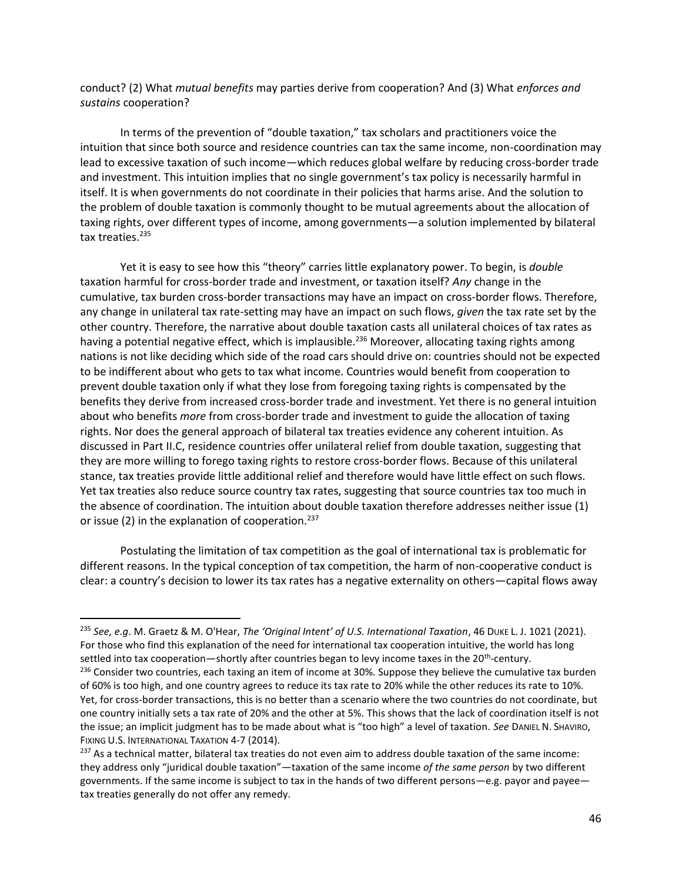conduct? (2) What *mutual benefits* may parties derive from cooperation? And (3) What *enforces and sustains* cooperation?

In terms of the prevention of "double taxation," tax scholars and practitioners voice the intuition that since both source and residence countries can tax the same income, non-coordination may lead to excessive taxation of such income—which reduces global welfare by reducing cross-border trade and investment. This intuition implies that no single government's tax policy is necessarily harmful in itself. It is when governments do not coordinate in their policies that harms arise. And the solution to the problem of double taxation is commonly thought to be mutual agreements about the allocation of taxing rights, over different types of income, among governments—a solution implemented by bilateral tax treaties.<sup>235</sup>

Yet it is easy to see how this "theory" carries little explanatory power. To begin, is *double* taxation harmful for cross-border trade and investment, or taxation itself? *Any* change in the cumulative, tax burden cross-border transactions may have an impact on cross-border flows. Therefore, any change in unilateral tax rate-setting may have an impact on such flows, *given* the tax rate set by the other country. Therefore, the narrative about double taxation casts all unilateral choices of tax rates as having a potential negative effect, which is implausible.<sup>236</sup> Moreover, allocating taxing rights among nations is not like deciding which side of the road cars should drive on: countries should not be expected to be indifferent about who gets to tax what income. Countries would benefit from cooperation to prevent double taxation only if what they lose from foregoing taxing rights is compensated by the benefits they derive from increased cross-border trade and investment. Yet there is no general intuition about who benefits *more* from cross-border trade and investment to guide the allocation of taxing rights. Nor does the general approach of bilateral tax treaties evidence any coherent intuition. As discussed in Part II.C, residence countries offer unilateral relief from double taxation, suggesting that they are more willing to forego taxing rights to restore cross-border flows. Because of this unilateral stance, tax treaties provide little additional relief and therefore would have little effect on such flows. Yet tax treaties also reduce source country tax rates, suggesting that source countries tax too much in the absence of coordination. The intuition about double taxation therefore addresses neither issue (1) or issue (2) in the explanation of cooperation. $237$ 

Postulating the limitation of tax competition as the goal of international tax is problematic for different reasons. In the typical conception of tax competition, the harm of non-cooperative conduct is clear: a country's decision to lower its tax rates has a negative externality on others—capital flows away

<sup>235</sup> *See, e.g*. M. Graetz & M. O'Hear, *The 'Original Intent' of U.S. International Taxation*, 46 DUKE L. J. 1021 (2021). For those who find this explanation of the need for international tax cooperation intuitive, the world has long settled into tax cooperation—shortly after countries began to levy income taxes in the 20<sup>th</sup>-century.

<sup>&</sup>lt;sup>236</sup> Consider two countries, each taxing an item of income at 30%. Suppose they believe the cumulative tax burden of 60% is too high, and one country agrees to reduce its tax rate to 20% while the other reduces its rate to 10%. Yet, for cross-border transactions, this is no better than a scenario where the two countries do not coordinate, but one country initially sets a tax rate of 20% and the other at 5%. This shows that the lack of coordination itself is not the issue; an implicit judgment has to be made about what is "too high" a level of taxation. *See* DANIEL N. SHAVIRO, FIXING U.S. INTERNATIONAL TAXATION 4-7 (2014).

 $237$  As a technical matter, bilateral tax treaties do not even aim to address double taxation of the same income: they address only "juridical double taxation"—taxation of the same income *of the same person* by two different governments. If the same income is subject to tax in the hands of two different persons—e.g. payor and payee tax treaties generally do not offer any remedy.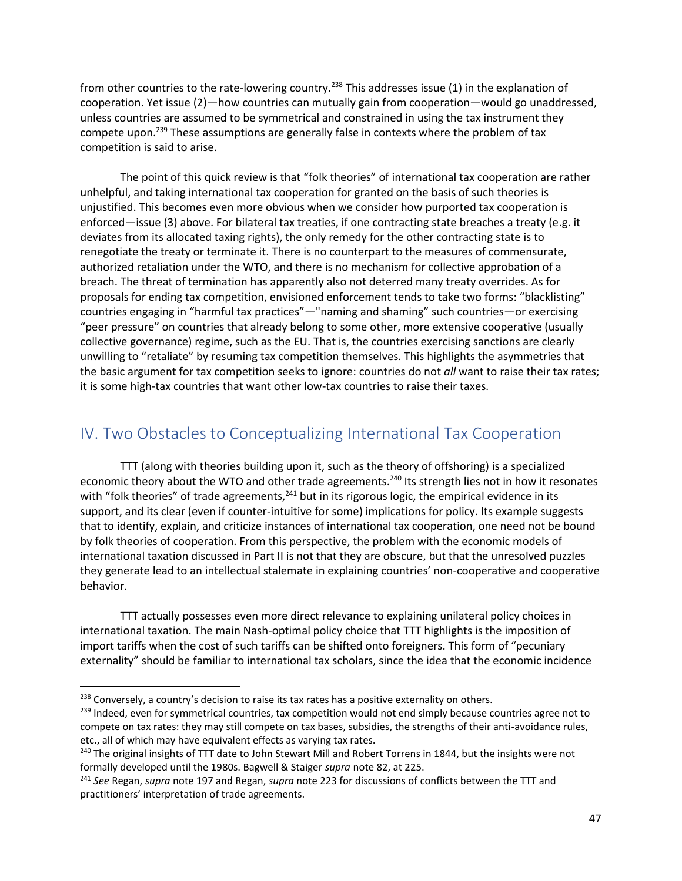from other countries to the rate-lowering country.<sup>238</sup> This addresses issue (1) in the explanation of cooperation. Yet issue (2)—how countries can mutually gain from cooperation—would go unaddressed, unless countries are assumed to be symmetrical and constrained in using the tax instrument they compete upon.<sup>239</sup> These assumptions are generally false in contexts where the problem of tax competition is said to arise.

The point of this quick review is that "folk theories" of international tax cooperation are rather unhelpful, and taking international tax cooperation for granted on the basis of such theories is unjustified. This becomes even more obvious when we consider how purported tax cooperation is enforced—issue (3) above. For bilateral tax treaties, if one contracting state breaches a treaty (e.g. it deviates from its allocated taxing rights), the only remedy for the other contracting state is to renegotiate the treaty or terminate it. There is no counterpart to the measures of commensurate, authorized retaliation under the WTO, and there is no mechanism for collective approbation of a breach. The threat of termination has apparently also not deterred many treaty overrides. As for proposals for ending tax competition, envisioned enforcement tends to take two forms: "blacklisting" countries engaging in "harmful tax practices"—"naming and shaming" such countries—or exercising "peer pressure" on countries that already belong to some other, more extensive cooperative (usually collective governance) regime, such as the EU. That is, the countries exercising sanctions are clearly unwilling to "retaliate" by resuming tax competition themselves. This highlights the asymmetries that the basic argument for tax competition seeks to ignore: countries do not *all* want to raise their tax rates; it is some high-tax countries that want other low-tax countries to raise their taxes.

# <span id="page-47-0"></span>IV. Two Obstacles to Conceptualizing International Tax Cooperation

TTT (along with theories building upon it, such as the theory of offshoring) is a specialized economic theory about the WTO and other trade agreements.<sup>240</sup> Its strength lies not in how it resonates with "folk theories" of trade agreements,<sup>241</sup> but in its rigorous logic, the empirical evidence in its support, and its clear (even if counter-intuitive for some) implications for policy. Its example suggests that to identify, explain, and criticize instances of international tax cooperation, one need not be bound by folk theories of cooperation. From this perspective, the problem with the economic models of international taxation discussed in Part II is not that they are obscure, but that the unresolved puzzles they generate lead to an intellectual stalemate in explaining countries' non-cooperative and cooperative behavior.

TTT actually possesses even more direct relevance to explaining unilateral policy choices in international taxation. The main Nash-optimal policy choice that TTT highlights is the imposition of import tariffs when the cost of such tariffs can be shifted onto foreigners. This form of "pecuniary externality" should be familiar to international tax scholars, since the idea that the economic incidence

<sup>&</sup>lt;sup>238</sup> Conversely, a country's decision to raise its tax rates has a positive externality on others.

<sup>&</sup>lt;sup>239</sup> Indeed, even for symmetrical countries, tax competition would not end simply because countries agree not to compete on tax rates: they may still compete on tax bases, subsidies, the strengths of their anti-avoidance rules, etc., all of which may have equivalent effects as varying tax rates.

<sup>&</sup>lt;sup>240</sup> The original insights of TTT date to John Stewart Mill and Robert Torrens in 1844, but the insights were not formally developed until the 1980s. Bagwell & Staiger *supra* note [82,](#page-16-1) at 225.

<sup>241</sup> *See* Regan, *supra* not[e 197](#page-40-0) and Regan, *supra* not[e 223](#page-44-1) for discussions of conflicts between the TTT and practitioners' interpretation of trade agreements.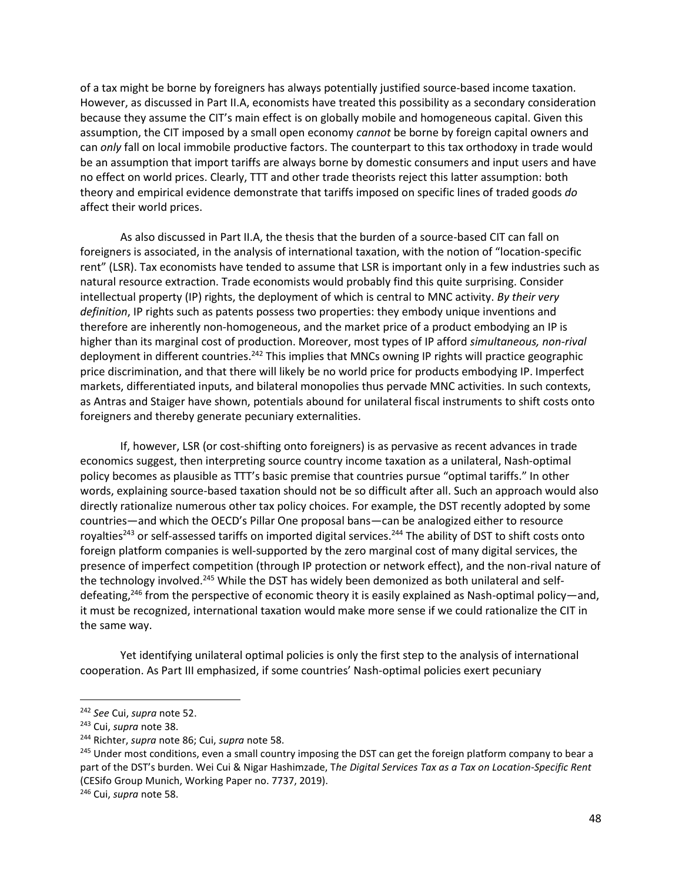of a tax might be borne by foreigners has always potentially justified source-based income taxation. However, as discussed in Part II.A, economists have treated this possibility as a secondary consideration because they assume the CIT's main effect is on globally mobile and homogeneous capital. Given this assumption, the CIT imposed by a small open economy *cannot* be borne by foreign capital owners and can *only* fall on local immobile productive factors. The counterpart to this tax orthodoxy in trade would be an assumption that import tariffs are always borne by domestic consumers and input users and have no effect on world prices. Clearly, TTT and other trade theorists reject this latter assumption: both theory and empirical evidence demonstrate that tariffs imposed on specific lines of traded goods *do* affect their world prices.

As also discussed in Part II.A, the thesis that the burden of a source-based CIT can fall on foreigners is associated, in the analysis of international taxation, with the notion of "location-specific rent" (LSR). Tax economists have tended to assume that LSR is important only in a few industries such as natural resource extraction. Trade economists would probably find this quite surprising. Consider intellectual property (IP) rights, the deployment of which is central to MNC activity. *By their very definition*, IP rights such as patents possess two properties: they embody unique inventions and therefore are inherently non-homogeneous, and the market price of a product embodying an IP is higher than its marginal cost of production. Moreover, most types of IP afford *simultaneous, non-rival* deployment in different countries.<sup>242</sup> This implies that MNCs owning IP rights will practice geographic price discrimination, and that there will likely be no world price for products embodying IP. Imperfect markets, differentiated inputs, and bilateral monopolies thus pervade MNC activities. In such contexts, as Antras and Staiger have shown, potentials abound for unilateral fiscal instruments to shift costs onto foreigners and thereby generate pecuniary externalities.

If, however, LSR (or cost-shifting onto foreigners) is as pervasive as recent advances in trade economics suggest, then interpreting source country income taxation as a unilateral, Nash-optimal policy becomes as plausible as TTT's basic premise that countries pursue "optimal tariffs." In other words, explaining source-based taxation should not be so difficult after all. Such an approach would also directly rationalize numerous other tax policy choices. For example, the DST recently adopted by some countries—and which the OECD's Pillar One proposal bans—can be analogized either to resource royalties<sup>243</sup> or self-assessed tariffs on imported digital services.<sup>244</sup> The ability of DST to shift costs onto foreign platform companies is well-supported by the zero marginal cost of many digital services, the presence of imperfect competition (through IP protection or network effect), and the non-rival nature of the technology involved.<sup>245</sup> While the DST has widely been demonized as both unilateral and selfdefeating,<sup>246</sup> from the perspective of economic theory it is easily explained as Nash-optimal policy—and, it must be recognized, international taxation would make more sense if we could rationalize the CIT in the same way.

Yet identifying unilateral optimal policies is only the first step to the analysis of international cooperation. As Part III emphasized, if some countries' Nash-optimal policies exert pecuniary

<sup>242</sup> *See* Cui, *supra* note [52.](#page-12-2)

<sup>243</sup> Cui, *supra* note [38.](#page-8-2)

<sup>244</sup> Richter, *supra* note [86;](#page-17-2) Cui, *supra* note [58.](#page-12-3)

<sup>&</sup>lt;sup>245</sup> Under most conditions, even a small country imposing the DST can get the foreign platform company to bear a part of the DST's burden. Wei Cui & Nigar Hashimzade, T*he Digital Services Tax as a Tax on Location-Specific Rent* (CESifo Group Munich, Working Paper no. 7737, 2019).

<sup>246</sup> Cui, *supra* note [58.](#page-12-3)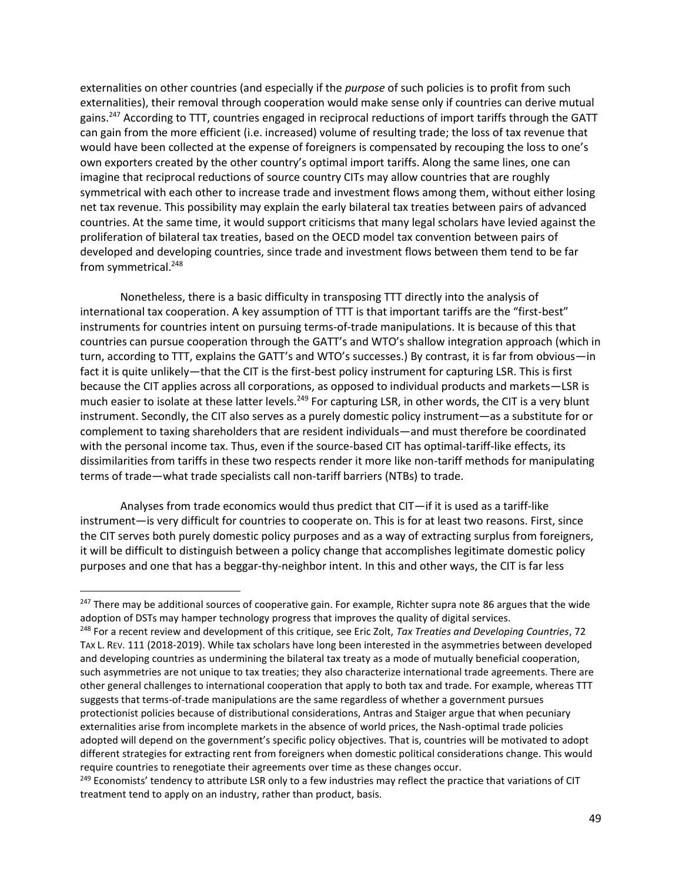externalities on other countries (and especially if the *purpose* of such policies is to profit from such externalities), their removal through cooperation would make sense only if countries can derive mutual gains.<sup>247</sup> According to TTT, countries engaged in reciprocal reductions of import tariffs through the GATT can gain from the more efficient (i.e. increased) volume of resulting trade; the loss of tax revenue that would have been collected at the expense of foreigners is compensated by recouping the loss to one's own exporters created by the other country's optimal import tariffs. Along the same lines, one can imagine that reciprocal reductions of source country CITs may allow countries that are roughly symmetrical with each other to increase trade and investment flows among them, without either losing net tax revenue. This possibility may explain the early bilateral tax treaties between pairs of advanced countries. At the same time, it would support criticisms that many legal scholars have levied against the proliferation of bilateral tax treaties, based on the OECD model tax convention between pairs of developed and developing countries, since trade and investment flows between them tend to be far from symmetrical.<sup>248</sup>

Nonetheless, there is a basic difficulty in transposing TTT directly into the analysis of international tax cooperation. A key assumption of TTT is that important tariffs are the "first-best" instruments for countries intent on pursuing terms-of-trade manipulations. It is because of this that countries can pursue cooperation through the GATT's and WTO's shallow integration approach (which in turn, according to TTT, explains the GATT's and WTO's successes.) By contrast, it is far from obvious—in fact it is quite unlikely—that the CIT is the first-best policy instrument for capturing LSR. This is first because the CIT applies across all corporations, as opposed to individual products and markets—LSR is much easier to isolate at these latter levels.<sup>249</sup> For capturing LSR, in other words, the CIT is a very blunt instrument. Secondly, the CIT also serves as a purely domestic policy instrument—as a substitute for or complement to taxing shareholders that are resident individuals—and must therefore be coordinated with the personal income tax. Thus, even if the source-based CIT has optimal-tariff-like effects, its dissimilarities from tariffs in these two respects render it more like non-tariff methods for manipulating terms of trade—what trade specialists call non-tariff barriers (NTBs) to trade.

Analyses from trade economics would thus predict that CIT—if it is used as a tariff-like instrument—is very difficult for countries to cooperate on. This is for at least two reasons. First, since the CIT serves both purely domestic policy purposes and as a way of extracting surplus from foreigners, it will be difficult to distinguish between a policy change that accomplishes legitimate domestic policy purposes and one that has a beggar-thy-neighbor intent. In this and other ways, the CIT is far less

<sup>&</sup>lt;sup>247</sup> There may be additional sources of cooperative gain. For example, Richter supra note [86](#page-17-2) argues that the wide adoption of DSTs may hamper technology progress that improves the quality of digital services.

<sup>248</sup> For a recent review and development of this critique, see Eric Zolt, *Tax Treaties and Developing Countries*, 72 TAX L. REV. 111 (2018-2019). While tax scholars have long been interested in the asymmetries between developed and developing countries as undermining the bilateral tax treaty as a mode of mutually beneficial cooperation, such asymmetries are not unique to tax treaties; they also characterize international trade agreements. There are other general challenges to international cooperation that apply to both tax and trade. For example, whereas TTT suggests that terms-of-trade manipulations are the same regardless of whether a government pursues protectionist policies because of distributional considerations, Antras and Staiger argue that when pecuniary externalities arise from incomplete markets in the absence of world prices, the Nash-optimal trade policies adopted will depend on the government's specific policy objectives. That is, countries will be motivated to adopt different strategies for extracting rent from foreigners when domestic political considerations change. This would require countries to renegotiate their agreements over time as these changes occur.

<sup>&</sup>lt;sup>249</sup> Economists' tendency to attribute LSR only to a few industries may reflect the practice that variations of CIT treatment tend to apply on an industry, rather than product, basis.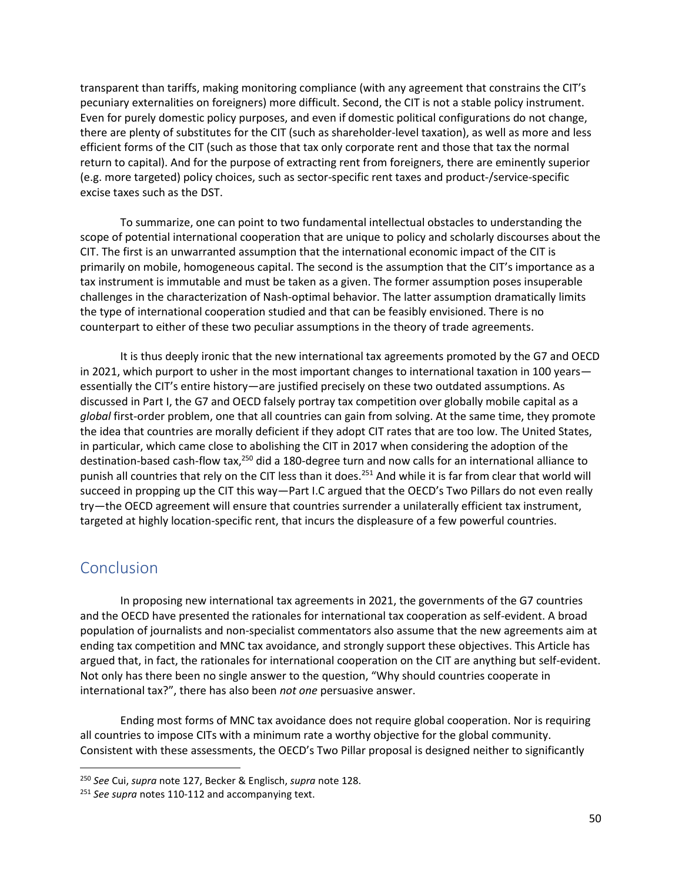transparent than tariffs, making monitoring compliance (with any agreement that constrains the CIT's pecuniary externalities on foreigners) more difficult. Second, the CIT is not a stable policy instrument. Even for purely domestic policy purposes, and even if domestic political configurations do not change, there are plenty of substitutes for the CIT (such as shareholder-level taxation), as well as more and less efficient forms of the CIT (such as those that tax only corporate rent and those that tax the normal return to capital). And for the purpose of extracting rent from foreigners, there are eminently superior (e.g. more targeted) policy choices, such as sector-specific rent taxes and product-/service-specific excise taxes such as the DST.

To summarize, one can point to two fundamental intellectual obstacles to understanding the scope of potential international cooperation that are unique to policy and scholarly discourses about the CIT. The first is an unwarranted assumption that the international economic impact of the CIT is primarily on mobile, homogeneous capital. The second is the assumption that the CIT's importance as a tax instrument is immutable and must be taken as a given. The former assumption poses insuperable challenges in the characterization of Nash-optimal behavior. The latter assumption dramatically limits the type of international cooperation studied and that can be feasibly envisioned. There is no counterpart to either of these two peculiar assumptions in the theory of trade agreements.

It is thus deeply ironic that the new international tax agreements promoted by the G7 and OECD in 2021, which purport to usher in the most important changes to international taxation in 100 years essentially the CIT's entire history—are justified precisely on these two outdated assumptions. As discussed in Part I, the G7 and OECD falsely portray tax competition over globally mobile capital as a *global* first-order problem, one that all countries can gain from solving. At the same time, they promote the idea that countries are morally deficient if they adopt CIT rates that are too low. The United States, in particular, which came close to abolishing the CIT in 2017 when considering the adoption of the destination-based cash-flow tax,<sup>250</sup> did a 180-degree turn and now calls for an international alliance to punish all countries that rely on the CIT less than it does.<sup>251</sup> And while it is far from clear that world will succeed in propping up the CIT this way—Part I.C argued that the OECD's Two Pillars do not even really try—the OECD agreement will ensure that countries surrender a unilaterally efficient tax instrument, targeted at highly location-specific rent, that incurs the displeasure of a few powerful countries.

## <span id="page-50-0"></span>Conclusion

 $\overline{\phantom{a}}$ 

In proposing new international tax agreements in 2021, the governments of the G7 countries and the OECD have presented the rationales for international tax cooperation as self-evident. A broad population of journalists and non-specialist commentators also assume that the new agreements aim at ending tax competition and MNC tax avoidance, and strongly support these objectives. This Article has argued that, in fact, the rationales for international cooperation on the CIT are anything but self-evident. Not only has there been no single answer to the question, "Why should countries cooperate in international tax?", there has also been *not one* persuasive answer.

Ending most forms of MNC tax avoidance does not require global cooperation. Nor is requiring all countries to impose CITs with a minimum rate a worthy objective for the global community. Consistent with these assessments, the OECD's Two Pillar proposal is designed neither to significantly

<sup>250</sup> *See* Cui, *supra* note [127,](#page-24-0) Becker & Englisch, *supra* note [128.](#page-25-0)

<sup>251</sup> *See supra* note[s 110-](#page-22-0)[112](#page-22-1) and accompanying text.